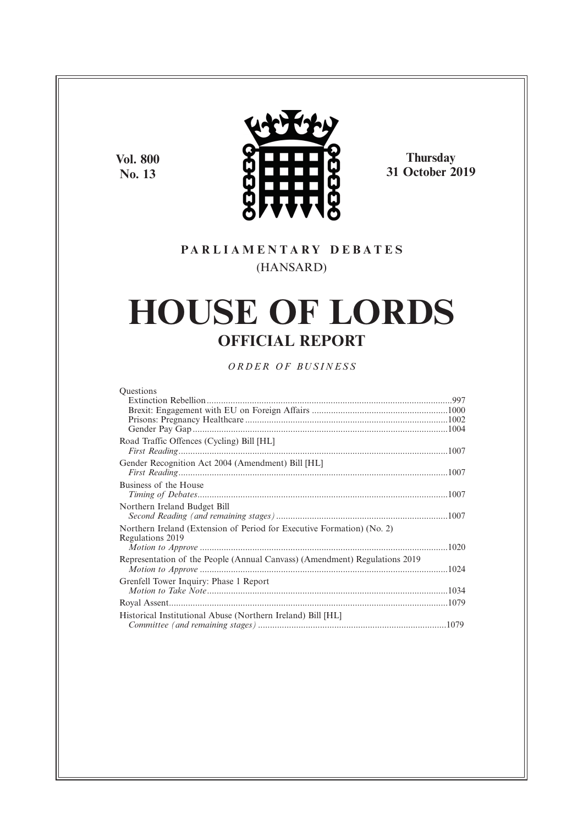**Vol. 800 No. 13**



**Thursday 31 October 2019**

### **P A R L I A M E N T A R Y D E B A T E S** (HANSARD)

# **HOUSE OF LORDS OFFICIAL REPORT**

*O R D E R O F BU S I N E S S*

| <b>Ouestions</b>                                                           |  |
|----------------------------------------------------------------------------|--|
|                                                                            |  |
|                                                                            |  |
|                                                                            |  |
|                                                                            |  |
| Road Traffic Offences (Cycling) Bill [HL]                                  |  |
|                                                                            |  |
| Gender Recognition Act 2004 (Amendment) Bill [HL]                          |  |
|                                                                            |  |
| Business of the House                                                      |  |
|                                                                            |  |
| Northern Ireland Budget Bill                                               |  |
|                                                                            |  |
| Northern Ireland (Extension of Period for Executive Formation) (No. 2)     |  |
| Regulations 2019                                                           |  |
|                                                                            |  |
| Representation of the People (Annual Canvass) (Amendment) Regulations 2019 |  |
|                                                                            |  |
| Grenfell Tower Inquiry: Phase 1 Report                                     |  |
|                                                                            |  |
|                                                                            |  |
| Historical Institutional Abuse (Northern Ireland) Bill [HL]                |  |
|                                                                            |  |
|                                                                            |  |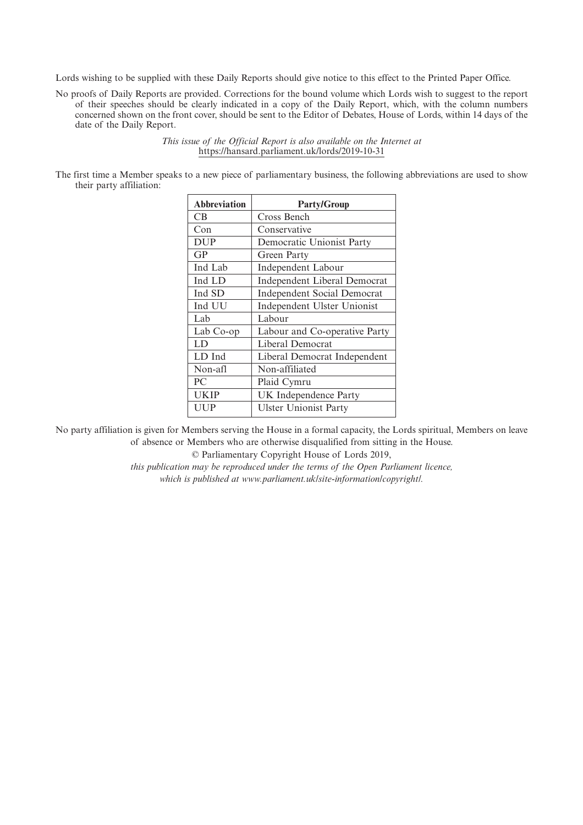Lords wishing to be supplied with these Daily Reports should give notice to this effect to the Printed Paper Office.

No proofs of Daily Reports are provided. Corrections for the bound volume which Lords wish to suggest to the report of their speeches should be clearly indicated in a copy of the Daily Report, which, with the column numbers concerned shown on the front cover, should be sent to the Editor of Debates, House of Lords, within 14 days of the date of the Daily Report.

> *This issue of the Official Report is also available on the Internet at* https://hansard.parliament.uk/lords/2019-10-31

The first time a Member speaks to a new piece of parliamentary business, the following abbreviations are used to show their party affiliation:

| <b>Abbreviation</b> | <b>Party/Group</b>                 |
|---------------------|------------------------------------|
| <b>CB</b>           | Cross Bench                        |
| Con                 | Conservative                       |
| <b>DUP</b>          | Democratic Unionist Party          |
| GP                  | Green Party                        |
| Ind Lab             | <b>Independent Labour</b>          |
| Ind LD              | Independent Liberal Democrat       |
| Ind SD              | <b>Independent Social Democrat</b> |
| Ind UU              | Independent Ulster Unionist        |
| Lab                 | Labour                             |
| Lab Co-op           | Labour and Co-operative Party      |
| LD                  | Liberal Democrat                   |
| LD Ind              | Liberal Democrat Independent       |
| Non-afl             | Non-affiliated                     |
| PC                  | Plaid Cymru                        |
| UKIP                | UK Independence Party              |
| UUP                 | <b>Ulster Unionist Party</b>       |

No party affiliation is given for Members serving the House in a formal capacity, the Lords spiritual, Members on leave of absence or Members who are otherwise disqualified from sitting in the House.

© Parliamentary Copyright House of Lords 2019,

*this publication may be reproduced under the terms of the Open Parliament licence, which is published at www.parliament.uk/site-information/copyright/.*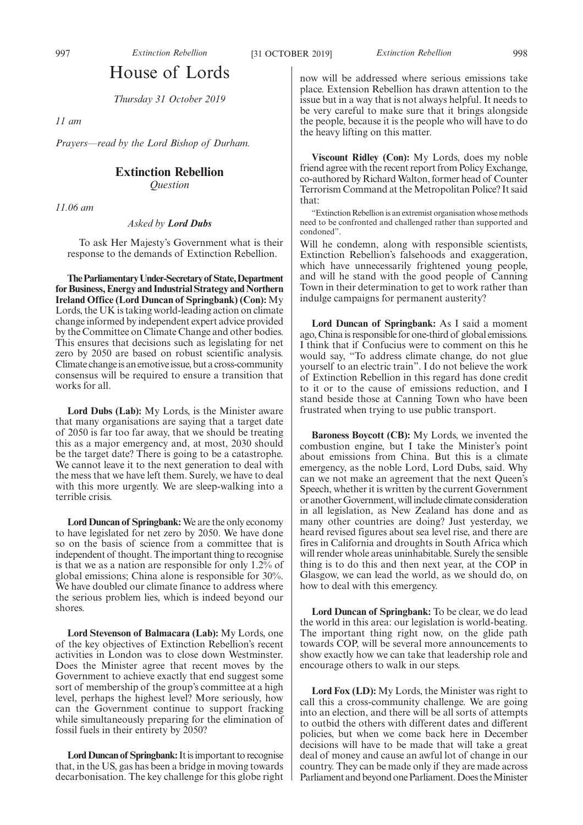## House of Lords

*Thursday 31 October 2019*

*11 am*

*Prayers—read by the Lord Bishop of Durham.*

#### **Extinction Rebellion**

*Question*

*11.06 am*

*Asked by Lord Dubs*

To ask Her Majesty's Government what is their response to the demands of Extinction Rebellion.

**TheParliamentaryUnder-Secretaryof State,Department for Business, Energy and Industrial Strategy and Northern Ireland Office (Lord Duncan of Springbank) (Con):** My Lords, the UK is taking world-leading action on climate change informed by independent expert advice provided by the Committee on Climate Change and other bodies. This ensures that decisions such as legislating for net zero by 2050 are based on robust scientific analysis. Climate change is an emotive issue, but a cross-community consensus will be required to ensure a transition that works for all.

**Lord Dubs (Lab):** My Lords, is the Minister aware that many organisations are saying that a target date of 2050 is far too far away, that we should be treating this as a major emergency and, at most, 2030 should be the target date? There is going to be a catastrophe. We cannot leave it to the next generation to deal with the mess that we have left them. Surely, we have to deal with this more urgently. We are sleep-walking into a terrible crisis.

**Lord Duncan of Springbank:**We are the only economy to have legislated for net zero by 2050. We have done so on the basis of science from a committee that is independent of thought. The important thing to recognise is that we as a nation are responsible for only 1.2% of global emissions; China alone is responsible for 30%. We have doubled our climate finance to address where the serious problem lies, which is indeed beyond our shores.

**Lord Stevenson of Balmacara (Lab):** My Lords, one of the key objectives of Extinction Rebellion's recent activities in London was to close down Westminster. Does the Minister agree that recent moves by the Government to achieve exactly that end suggest some sort of membership of the group's committee at a high level, perhaps the highest level? More seriously, how can the Government continue to support fracking while simultaneously preparing for the elimination of fossil fuels in their entirety by 2050?

**Lord Duncan of Springbank:**It is important to recognise that, in the US, gas has been a bridge in moving towards decarbonisation. The key challenge for this globe right now will be addressed where serious emissions take place. Extension Rebellion has drawn attention to the issue but in a way that is not always helpful. It needs to be very careful to make sure that it brings alongside the people, because it is the people who will have to do the heavy lifting on this matter.

**Viscount Ridley (Con):** My Lords, does my noble friend agree with the recent report from Policy Exchange, co-authored by Richard Walton, former head of Counter Terrorism Command at the Metropolitan Police? It said that:

"Extinction Rebellion is an extremist organisation whose methods need to be confronted and challenged rather than supported and condoned".

Will he condemn, along with responsible scientists, Extinction Rebellion's falsehoods and exaggeration, which have unnecessarily frightened young people, and will he stand with the good people of Canning Town in their determination to get to work rather than indulge campaigns for permanent austerity?

**Lord Duncan of Springbank:** As I said a moment ago, China is responsible for one-third of global emissions. I think that if Confucius were to comment on this he would say, "To address climate change, do not glue yourself to an electric train". I do not believe the work of Extinction Rebellion in this regard has done credit to it or to the cause of emissions reduction, and I stand beside those at Canning Town who have been frustrated when trying to use public transport.

**Baroness Boycott (CB):** My Lords, we invented the combustion engine, but I take the Minister's point about emissions from China. But this is a climate emergency, as the noble Lord, Lord Dubs, said. Why can we not make an agreement that the next Queen's Speech, whether it is written by the current Government or another Government, will include climate consideration in all legislation, as New Zealand has done and as many other countries are doing? Just yesterday, we heard revised figures about sea level rise, and there are fires in California and droughts in South Africa which will render whole areas uninhabitable. Surely the sensible thing is to do this and then next year, at the COP in Glasgow, we can lead the world, as we should do, on how to deal with this emergency.

**Lord Duncan of Springbank:** To be clear, we do lead the world in this area: our legislation is world-beating. The important thing right now, on the glide path towards COP, will be several more announcements to show exactly how we can take that leadership role and encourage others to walk in our steps.

**Lord Fox (LD):** My Lords, the Minister was right to call this a cross-community challenge. We are going into an election, and there will be all sorts of attempts to outbid the others with different dates and different policies, but when we come back here in December decisions will have to be made that will take a great deal of money and cause an awful lot of change in our country. They can be made only if they are made across Parliament and beyond one Parliament. Does the Minister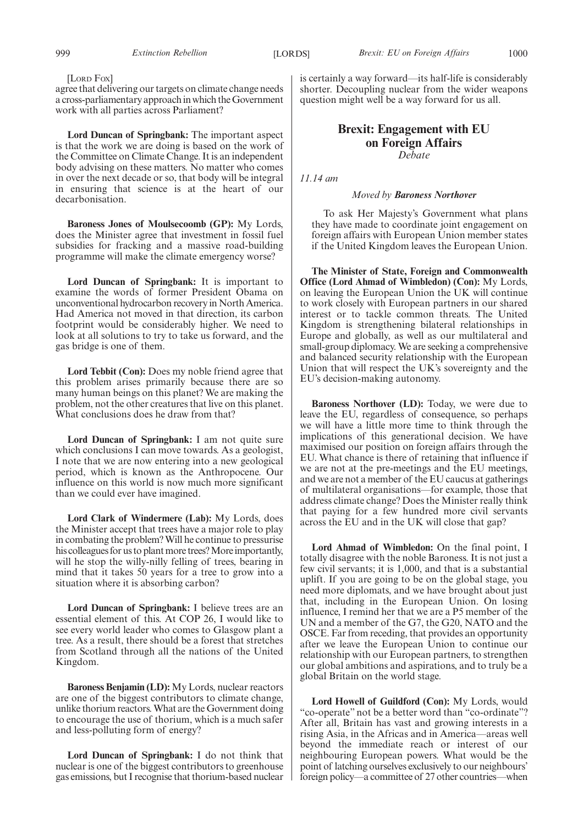[LORD FOX]

agree that delivering our targets on climate change needs a cross-parliamentary approach in which the Government work with all parties across Parliament?

**Lord Duncan of Springbank:** The important aspect is that the work we are doing is based on the work of the Committee on Climate Change. It is an independent body advising on these matters. No matter who comes in over the next decade or so, that body will be integral in ensuring that science is at the heart of our decarbonisation.

**Baroness Jones of Moulsecoomb (GP):** My Lords, does the Minister agree that investment in fossil fuel subsidies for fracking and a massive road-building programme will make the climate emergency worse?

**Lord Duncan of Springbank:** It is important to examine the words of former President Obama on unconventional hydrocarbon recovery in North America. Had America not moved in that direction, its carbon footprint would be considerably higher. We need to look at all solutions to try to take us forward, and the gas bridge is one of them.

**Lord Tebbit (Con):** Does my noble friend agree that this problem arises primarily because there are so many human beings on this planet? We are making the problem, not the other creatures that live on this planet. What conclusions does he draw from that?

**Lord Duncan of Springbank:** I am not quite sure which conclusions I can move towards. As a geologist, I note that we are now entering into a new geological period, which is known as the Anthropocene. Our influence on this world is now much more significant than we could ever have imagined.

**Lord Clark of Windermere (Lab):** My Lords, does the Minister accept that trees have a major role to play in combating the problem? Will he continue to pressurise his colleagues for us to plant more trees? More importantly, will he stop the willy-nilly felling of trees, bearing in mind that it takes 50 years for a tree to grow into a situation where it is absorbing carbon?

**Lord Duncan of Springbank:** I believe trees are an essential element of this. At COP 26, I would like to see every world leader who comes to Glasgow plant a tree. As a result, there should be a forest that stretches from Scotland through all the nations of the United Kingdom.

**Baroness Benjamin (LD):** My Lords, nuclear reactors are one of the biggest contributors to climate change, unlike thorium reactors. What are the Government doing to encourage the use of thorium, which is a much safer and less-polluting form of energy?

**Lord Duncan of Springbank:** I do not think that nuclear is one of the biggest contributors to greenhouse gas emissions, but I recognise that thorium-based nuclear is certainly a way forward—its half-life is considerably shorter. Decoupling nuclear from the wider weapons question might well be a way forward for us all.

### **Brexit: Engagement with EU on Foreign Affairs** *Debate*

*11.14 am*

#### *Moved by Baroness Northover*

To ask Her Majesty's Government what plans they have made to coordinate joint engagement on foreign affairs with European Union member states if the United Kingdom leaves the European Union.

**The Minister of State, Foreign and Commonwealth Office (Lord Ahmad of Wimbledon) (Con):** My Lords, on leaving the European Union the UK will continue to work closely with European partners in our shared interest or to tackle common threats. The United Kingdom is strengthening bilateral relationships in Europe and globally, as well as our multilateral and small-group diplomacy. We are seeking a comprehensive and balanced security relationship with the European Union that will respect the UK's sovereignty and the EU's decision-making autonomy.

**Baroness Northover (LD):** Today, we were due to leave the EU, regardless of consequence, so perhaps we will have a little more time to think through the implications of this generational decision. We have maximised our position on foreign affairs through the EU. What chance is there of retaining that influence if we are not at the pre-meetings and the EU meetings, and we are not a member of the EU caucus at gatherings of multilateral organisations—for example, those that address climate change? Does the Minister really think that paying for a few hundred more civil servants across the EU and in the UK will close that gap?

**Lord Ahmad of Wimbledon:** On the final point, I totally disagree with the noble Baroness. It is not just a few civil servants; it is 1,000, and that is a substantial uplift. If you are going to be on the global stage, you need more diplomats, and we have brought about just that, including in the European Union. On losing influence, I remind her that we are a P5 member of the UN and a member of the G7, the G20, NATO and the OSCE. Far from receding, that provides an opportunity after we leave the European Union to continue our relationship with our European partners, to strengthen our global ambitions and aspirations, and to truly be a global Britain on the world stage.

**Lord Howell of Guildford (Con):** My Lords, would "co-operate" not be a better word than "co-ordinate"? After all, Britain has vast and growing interests in a rising Asia, in the Africas and in America—areas well beyond the immediate reach or interest of our neighbouring European powers. What would be the point of latching ourselves exclusively to our neighbours' foreign policy—a committee of 27 other countries—when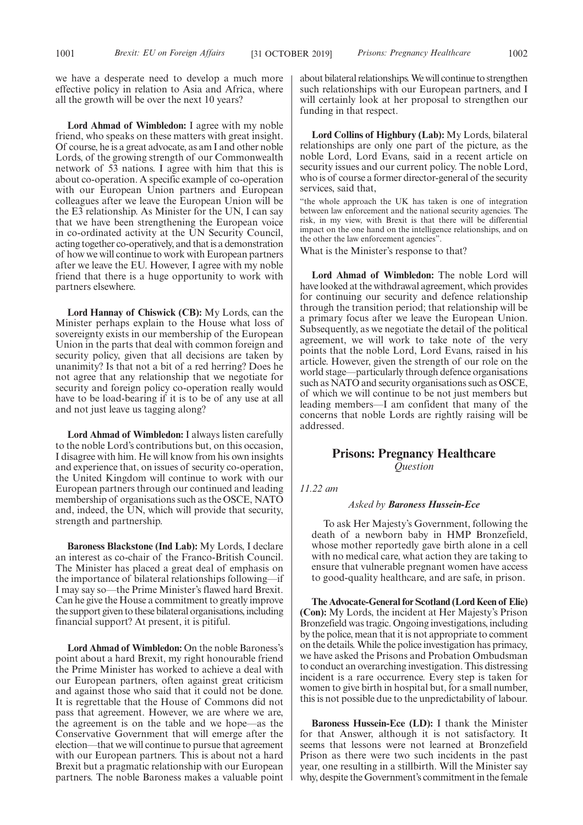we have a desperate need to develop a much more effective policy in relation to Asia and Africa, where all the growth will be over the next 10 years?

**Lord Ahmad of Wimbledon:** I agree with my noble friend, who speaks on these matters with great insight. Of course, he is a great advocate, as am I and other noble Lords, of the growing strength of our Commonwealth network of 53 nations. I agree with him that this is about co-operation. A specific example of co-operation with our European Union partners and European colleagues after we leave the European Union will be the E3 relationship. As Minister for the UN, I can say that we have been strengthening the European voice in co-ordinated activity at the UN Security Council, acting together co-operatively, and that is a demonstration of how we will continue to work with European partners after we leave the EU. However, I agree with my noble friend that there is a huge opportunity to work with partners elsewhere.

**Lord Hannay of Chiswick (CB):** My Lords, can the Minister perhaps explain to the House what loss of sovereignty exists in our membership of the European Union in the parts that deal with common foreign and security policy, given that all decisions are taken by unanimity? Is that not a bit of a red herring? Does he not agree that any relationship that we negotiate for security and foreign policy co-operation really would have to be load-bearing if it is to be of any use at all and not just leave us tagging along?

**Lord Ahmad of Wimbledon:** I always listen carefully to the noble Lord's contributions but, on this occasion, I disagree with him. He will know from his own insights and experience that, on issues of security co-operation, the United Kingdom will continue to work with our European partners through our continued and leading membership of organisations such as the OSCE, NATO and, indeed, the UN, which will provide that security, strength and partnership.

**Baroness Blackstone (Ind Lab):** My Lords, I declare an interest as co-chair of the Franco-British Council. The Minister has placed a great deal of emphasis on the importance of bilateral relationships following—if I may say so—the Prime Minister's flawed hard Brexit. Can he give the House a commitment to greatly improve the support given to these bilateral organisations, including financial support? At present, it is pitiful.

**Lord Ahmad of Wimbledon:** On the noble Baroness's point about a hard Brexit, my right honourable friend the Prime Minister has worked to achieve a deal with our European partners, often against great criticism and against those who said that it could not be done. It is regrettable that the House of Commons did not pass that agreement. However, we are where we are, the agreement is on the table and we hope—as the Conservative Government that will emerge after the election—that we will continue to pursue that agreement with our European partners. This is about not a hard Brexit but a pragmatic relationship with our European partners. The noble Baroness makes a valuable point about bilateral relationships. We will continue to strengthen such relationships with our European partners, and I will certainly look at her proposal to strengthen our funding in that respect.

**Lord Collins of Highbury (Lab):** My Lords, bilateral relationships are only one part of the picture, as the noble Lord, Lord Evans, said in a recent article on security issues and our current policy. The noble Lord, who is of course a former director-general of the security services, said that,

"the whole approach the UK has taken is one of integration between law enforcement and the national security agencies. The risk, in my view, with Brexit is that there will be differential impact on the one hand on the intelligence relationships, and on the other the law enforcement agencies".

What is the Minister's response to that?

**Lord Ahmad of Wimbledon:** The noble Lord will have looked at the withdrawal agreement, which provides for continuing our security and defence relationship through the transition period; that relationship will be a primary focus after we leave the European Union. Subsequently, as we negotiate the detail of the political agreement, we will work to take note of the very points that the noble Lord, Lord Evans, raised in his article. However, given the strength of our role on the world stage—particularly through defence organisations such as NATO and security organisations such as OSCE, of which we will continue to be not just members but leading members—I am confident that many of the concerns that noble Lords are rightly raising will be addressed.

### **Prisons: Pregnancy Healthcare** *Question*

*11.22 am*

#### *Asked by Baroness Hussein-Ece*

To ask Her Majesty's Government, following the death of a newborn baby in HMP Bronzefield, whose mother reportedly gave birth alone in a cell with no medical care, what action they are taking to ensure that vulnerable pregnant women have access to good-quality healthcare, and are safe, in prison.

**The Advocate-General for Scotland (Lord Keen of Elie) (Con):** My Lords, the incident at Her Majesty's Prison Bronzefield was tragic. Ongoing investigations, including by the police, mean that it is not appropriate to comment on the details. While the police investigation has primacy, we have asked the Prisons and Probation Ombudsman to conduct an overarching investigation. This distressing incident is a rare occurrence. Every step is taken for women to give birth in hospital but, for a small number, this is not possible due to the unpredictability of labour.

**Baroness Hussein-Ece (LD):** I thank the Minister for that Answer, although it is not satisfactory. It seems that lessons were not learned at Bronzefield Prison as there were two such incidents in the past year, one resulting in a stillbirth. Will the Minister say why, despite the Government's commitment in the female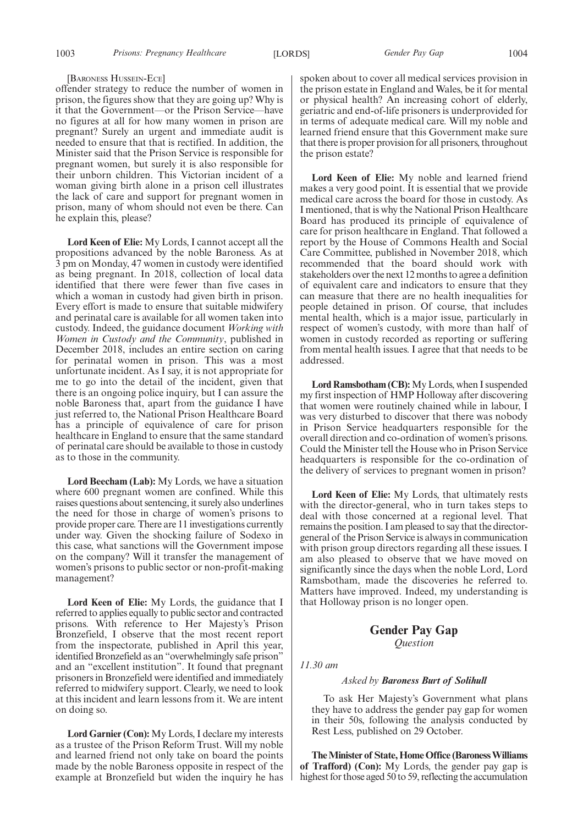#### [BARONESS HUSSEIN-ECE]

offender strategy to reduce the number of women in prison, the figures show that they are going up? Why is it that the Government—or the Prison Service—have no figures at all for how many women in prison are pregnant? Surely an urgent and immediate audit is needed to ensure that that is rectified. In addition, the Minister said that the Prison Service is responsible for pregnant women, but surely it is also responsible for their unborn children. This Victorian incident of a woman giving birth alone in a prison cell illustrates the lack of care and support for pregnant women in prison, many of whom should not even be there. Can he explain this, please?

**Lord Keen of Elie:** My Lords, I cannot accept all the propositions advanced by the noble Baroness. As at 3 pm on Monday, 47 women in custody were identified as being pregnant. In 2018, collection of local data identified that there were fewer than five cases in which a woman in custody had given birth in prison. Every effort is made to ensure that suitable midwifery and perinatal care is available for all women taken into custody. Indeed, the guidance document *Working with Women in Custody and the Community*, published in December 2018, includes an entire section on caring for perinatal women in prison. This was a most unfortunate incident. As I say, it is not appropriate for me to go into the detail of the incident, given that there is an ongoing police inquiry, but I can assure the noble Baroness that, apart from the guidance I have just referred to, the National Prison Healthcare Board has a principle of equivalence of care for prison healthcare in England to ensure that the same standard of perinatal care should be available to those in custody as to those in the community.

**Lord Beecham (Lab):** My Lords, we have a situation where 600 pregnant women are confined. While this raises questions about sentencing, it surely also underlines the need for those in charge of women's prisons to provide proper care. There are 11 investigations currently under way. Given the shocking failure of Sodexo in this case, what sanctions will the Government impose on the company? Will it transfer the management of women's prisons to public sector or non-profit-making management?

**Lord Keen of Elie:** My Lords, the guidance that I referred to applies equally to public sector and contracted prisons. With reference to Her Majesty's Prison Bronzefield, I observe that the most recent report from the inspectorate, published in April this year, identified Bronzefield as an "overwhelmingly safe prison" and an "excellent institution". It found that pregnant prisoners in Bronzefield were identified and immediately referred to midwifery support. Clearly, we need to look at this incident and learn lessons from it. We are intent on doing so.

**Lord Garnier (Con):** My Lords, I declare my interests as a trustee of the Prison Reform Trust. Will my noble and learned friend not only take on board the points made by the noble Baroness opposite in respect of the example at Bronzefield but widen the inquiry he has spoken about to cover all medical services provision in the prison estate in England and Wales, be it for mental or physical health? An increasing cohort of elderly, geriatric and end-of-life prisoners is underprovided for in terms of adequate medical care. Will my noble and learned friend ensure that this Government make sure that there is proper provision for all prisoners, throughout the prison estate?

**Lord Keen of Elie:** My noble and learned friend makes a very good point. It is essential that we provide medical care across the board for those in custody. As I mentioned, that is why the National Prison Healthcare Board has produced its principle of equivalence of care for prison healthcare in England. That followed a report by the House of Commons Health and Social Care Committee, published in November 2018, which recommended that the board should work with stakeholders over the next 12 months to agree a definition of equivalent care and indicators to ensure that they can measure that there are no health inequalities for people detained in prison. Of course, that includes mental health, which is a major issue, particularly in respect of women's custody, with more than half of women in custody recorded as reporting or suffering from mental health issues. I agree that that needs to be addressed.

**Lord Ramsbotham (CB):**My Lords, when I suspended my first inspection of HMP Holloway after discovering that women were routinely chained while in labour, I was very disturbed to discover that there was nobody in Prison Service headquarters responsible for the overall direction and co-ordination of women's prisons. Could the Minister tell the House who in Prison Service headquarters is responsible for the co-ordination of the delivery of services to pregnant women in prison?

**Lord Keen of Elie:** My Lords, that ultimately rests with the director-general, who in turn takes steps to deal with those concerned at a regional level. That remains the position. I am pleased to say that the directorgeneral of the Prison Service is always in communication with prison group directors regarding all these issues. I am also pleased to observe that we have moved on significantly since the days when the noble Lord, Lord Ramsbotham, made the discoveries he referred to. Matters have improved. Indeed, my understanding is that Holloway prison is no longer open.

### **Gender Pay Gap** *Question*

*11.30 am*

#### *Asked by Baroness Burt of Solihull*

To ask Her Majesty's Government what plans they have to address the gender pay gap for women in their 50s, following the analysis conducted by Rest Less, published on 29 October.

**The Minister of State, Home Office (Baroness Williams of Trafford) (Con):** My Lords, the gender pay gap is highest for those aged 50 to 59, reflecting the accumulation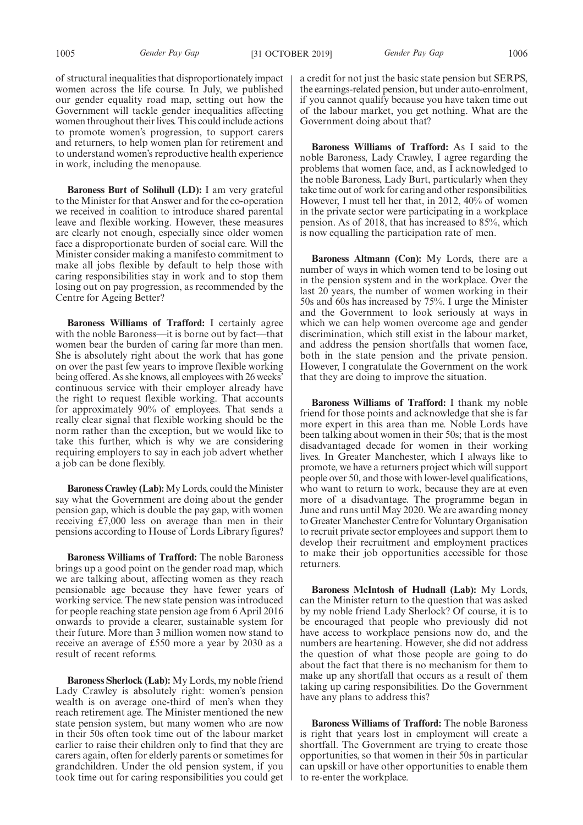1005 *Gender Pay Gap* [31 OCTOBER 2019] *Gender Pay Gap* 1006

of structural inequalities that disproportionately impact women across the life course. In July, we published our gender equality road map, setting out how the Government will tackle gender inequalities affecting women throughout their lives. This could include actions to promote women's progression, to support carers and returners, to help women plan for retirement and to understand women's reproductive health experience in work, including the menopause.

**Baroness Burt of Solihull (LD):** I am very grateful to the Minister for that Answer and for the co-operation we received in coalition to introduce shared parental leave and flexible working. However, these measures are clearly not enough, especially since older women face a disproportionate burden of social care. Will the Minister consider making a manifesto commitment to make all jobs flexible by default to help those with caring responsibilities stay in work and to stop them losing out on pay progression, as recommended by the Centre for Ageing Better?

**Baroness Williams of Trafford:** I certainly agree with the noble Baroness—it is borne out by fact—that women bear the burden of caring far more than men. She is absolutely right about the work that has gone on over the past few years to improve flexible working being offered. As she knows, all employees with 26 weeks' continuous service with their employer already have the right to request flexible working. That accounts for approximately 90% of employees. That sends a really clear signal that flexible working should be the norm rather than the exception, but we would like to take this further, which is why we are considering requiring employers to say in each job advert whether a job can be done flexibly.

**Baroness Crawley (Lab):**My Lords, could the Minister say what the Government are doing about the gender pension gap, which is double the pay gap, with women receiving £7,000 less on average than men in their pensions according to House of Lords Library figures?

**Baroness Williams of Trafford:** The noble Baroness brings up a good point on the gender road map, which we are talking about, affecting women as they reach pensionable age because they have fewer years of working service. The new state pension was introduced for people reaching state pension age from 6 April 2016 onwards to provide a clearer, sustainable system for their future. More than 3 million women now stand to receive an average of £550 more a year by 2030 as a result of recent reforms.

**Baroness Sherlock (Lab):** My Lords, my noble friend Lady Crawley is absolutely right: women's pension wealth is on average one-third of men's when they reach retirement age. The Minister mentioned the new state pension system, but many women who are now in their 50s often took time out of the labour market earlier to raise their children only to find that they are carers again, often for elderly parents or sometimes for grandchildren. Under the old pension system, if you took time out for caring responsibilities you could get

a credit for not just the basic state pension but SERPS, the earnings-related pension, but under auto-enrolment, if you cannot qualify because you have taken time out of the labour market, you get nothing. What are the Government doing about that?

**Baroness Williams of Trafford:** As I said to the noble Baroness, Lady Crawley, I agree regarding the problems that women face, and, as I acknowledged to the noble Baroness, Lady Burt, particularly when they take time out of work for caring and other responsibilities. However, I must tell her that, in 2012, 40% of women in the private sector were participating in a workplace pension. As of 2018, that has increased to 85%, which is now equalling the participation rate of men.

**Baroness Altmann (Con):** My Lords, there are a number of ways in which women tend to be losing out in the pension system and in the workplace. Over the last 20 years, the number of women working in their 50s and 60s has increased by 75%. I urge the Minister and the Government to look seriously at ways in which we can help women overcome age and gender discrimination, which still exist in the labour market, and address the pension shortfalls that women face, both in the state pension and the private pension. However, I congratulate the Government on the work that they are doing to improve the situation.

**Baroness Williams of Trafford:** I thank my noble friend for those points and acknowledge that she is far more expert in this area than me. Noble Lords have been talking about women in their 50s; that is the most disadvantaged decade for women in their working lives. In Greater Manchester, which I always like to promote, we have a returners project which will support people over 50, and those with lower-level qualifications, who want to return to work, because they are at even more of a disadvantage. The programme began in June and runs until May 2020. We are awarding money to Greater Manchester Centre for Voluntary Organisation to recruit private sector employees and support them to develop their recruitment and employment practices to make their job opportunities accessible for those returners.

**Baroness McIntosh of Hudnall (Lab):** My Lords, can the Minister return to the question that was asked by my noble friend Lady Sherlock? Of course, it is to be encouraged that people who previously did not have access to workplace pensions now do, and the numbers are heartening. However, she did not address the question of what those people are going to do about the fact that there is no mechanism for them to make up any shortfall that occurs as a result of them taking up caring responsibilities. Do the Government have any plans to address this?

**Baroness Williams of Trafford:** The noble Baroness is right that years lost in employment will create a shortfall. The Government are trying to create those opportunities, so that women in their 50s in particular can upskill or have other opportunities to enable them to re-enter the workplace.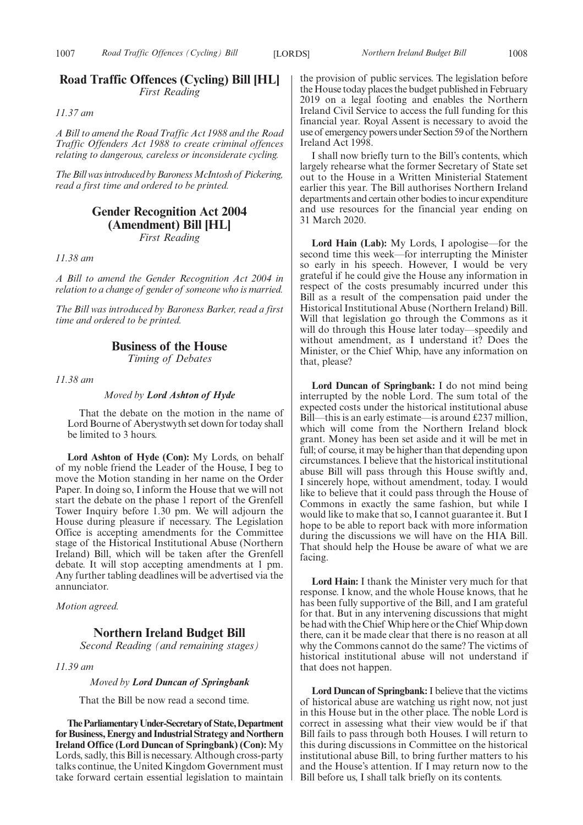### **Road Traffic Offences (Cycling) Bill [HL]** *First Reading*

*11.37 am*

*A Bill to amend the Road Traffic Act 1988 and the Road Traffic Offenders Act 1988 to create criminal offences relating to dangerous, careless or inconsiderate cycling.*

*The Bill was introduced by Baroness McIntosh of Pickering, read a first time and ordered to be printed.*

### **Gender Recognition Act 2004 (Amendment) Bill [HL]**

*First Reading*

*11.38 am*

*A Bill to amend the Gender Recognition Act 2004 in relation to a change of gender of someone who is married.*

*The Bill was introduced by Baroness Barker, read a first time and ordered to be printed.*

#### **Business of the House**

*Timing of Debates*

*11.38 am*

*Moved by Lord Ashton of Hyde*

That the debate on the motion in the name of Lord Bourne of Aberystwyth set down for today shall be limited to 3 hours.

**Lord Ashton of Hyde (Con):** My Lords, on behalf of my noble friend the Leader of the House, I beg to move the Motion standing in her name on the Order Paper. In doing so, I inform the House that we will not start the debate on the phase 1 report of the Grenfell Tower Inquiry before 1.30 pm. We will adjourn the House during pleasure if necessary. The Legislation Office is accepting amendments for the Committee stage of the Historical Institutional Abuse (Northern Ireland) Bill, which will be taken after the Grenfell debate. It will stop accepting amendments at 1 pm. Any further tabling deadlines will be advertised via the annunciator.

*Motion agreed.*

#### **Northern Ireland Budget Bill**

*Second Reading (and remaining stages)*

*11.39 am*

#### *Moved by Lord Duncan of Springbank*

That the Bill be now read a second time.

**TheParliamentaryUnder-Secretaryof State,Department for Business, Energy and Industrial Strategy and Northern Ireland Office (Lord Duncan of Springbank) (Con):** My Lords, sadly, this Bill is necessary. Although cross-party talks continue, the United Kingdom Government must take forward certain essential legislation to maintain the provision of public services. The legislation before the House today places the budget published in February 2019 on a legal footing and enables the Northern Ireland Civil Service to access the full funding for this financial year. Royal Assent is necessary to avoid the use of emergency powers under Section 59 of the Northern Ireland Act 1998.

I shall now briefly turn to the Bill's contents, which largely rehearse what the former Secretary of State set out to the House in a Written Ministerial Statement earlier this year. The Bill authorises Northern Ireland departments and certain other bodies to incur expenditure and use resources for the financial year ending on 31 March 2020.

**Lord Hain (Lab):** My Lords, I apologise—for the second time this week—for interrupting the Minister so early in his speech. However, I would be very grateful if he could give the House any information in respect of the costs presumably incurred under this Bill as a result of the compensation paid under the Historical Institutional Abuse (Northern Ireland) Bill. Will that legislation go through the Commons as it will do through this House later today—speedily and without amendment, as I understand it? Does the Minister, or the Chief Whip, have any information on that, please?

**Lord Duncan of Springbank:** I do not mind being interrupted by the noble Lord. The sum total of the expected costs under the historical institutional abuse Bill—this is an early estimate—is around £237 million, which will come from the Northern Ireland block grant. Money has been set aside and it will be met in full; of course, it may be higher than that depending upon circumstances. I believe that the historical institutional abuse Bill will pass through this House swiftly and, I sincerely hope, without amendment, today. I would like to believe that it could pass through the House of Commons in exactly the same fashion, but while I would like to make that so, I cannot guarantee it. But I hope to be able to report back with more information during the discussions we will have on the HIA Bill. That should help the House be aware of what we are facing.

**Lord Hain:** I thank the Minister very much for that response. I know, and the whole House knows, that he has been fully supportive of the Bill, and I am grateful for that. But in any intervening discussions that might be had with the Chief Whip here or the Chief Whip down there, can it be made clear that there is no reason at all why the Commons cannot do the same? The victims of historical institutional abuse will not understand if that does not happen.

**Lord Duncan of Springbank:**I believe that the victims of historical abuse are watching us right now, not just in this House but in the other place. The noble Lord is correct in assessing what their view would be if that Bill fails to pass through both Houses. I will return to this during discussions in Committee on the historical institutional abuse Bill, to bring further matters to his and the House's attention. If I may return now to the Bill before us, I shall talk briefly on its contents.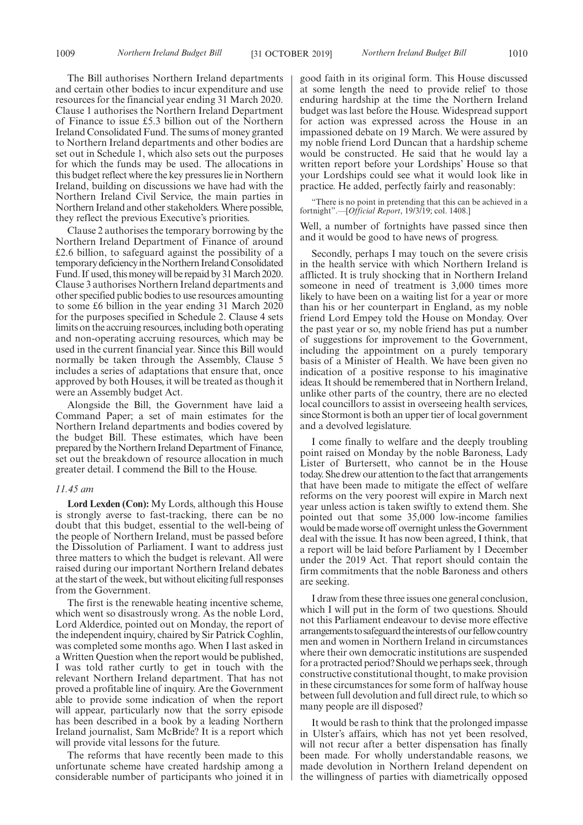The Bill authorises Northern Ireland departments and certain other bodies to incur expenditure and use resources for the financial year ending 31 March 2020. Clause 1 authorises the Northern Ireland Department of Finance to issue £5.3 billion out of the Northern Ireland Consolidated Fund. The sums of money granted to Northern Ireland departments and other bodies are set out in Schedule 1, which also sets out the purposes for which the funds may be used. The allocations in this budget reflect where the key pressures lie in Northern Ireland, building on discussions we have had with the Northern Ireland Civil Service, the main parties in Northern Ireland and other stakeholders. Where possible, they reflect the previous Executive's priorities.

Clause 2 authorises the temporary borrowing by the Northern Ireland Department of Finance of around £2.6 billion, to safeguard against the possibility of a temporary deficiency in the Northern Ireland Consolidated Fund. If used, this money will be repaid by 31 March 2020. Clause 3 authorises Northern Ireland departments and other specified public bodies to use resources amounting to some £6 billion in the year ending 31 March 2020 for the purposes specified in Schedule 2. Clause 4 sets limits on the accruing resources, including both operating and non-operating accruing resources, which may be used in the current financial year. Since this Bill would normally be taken through the Assembly, Clause 5 includes a series of adaptations that ensure that, once approved by both Houses, it will be treated as though it were an Assembly budget Act.

Alongside the Bill, the Government have laid a Command Paper; a set of main estimates for the Northern Ireland departments and bodies covered by the budget Bill. These estimates, which have been prepared by the Northern Ireland Department of Finance, set out the breakdown of resource allocation in much greater detail. I commend the Bill to the House.

#### *11.45 am*

**Lord Lexden (Con):** My Lords, although this House is strongly averse to fast-tracking, there can be no doubt that this budget, essential to the well-being of the people of Northern Ireland, must be passed before the Dissolution of Parliament. I want to address just three matters to which the budget is relevant. All were raised during our important Northern Ireland debates at the start of the week, but without eliciting full responses from the Government.

The first is the renewable heating incentive scheme, which went so disastrously wrong. As the noble Lord, Lord Alderdice, pointed out on Monday, the report of the independent inquiry, chaired by Sir Patrick Coghlin, was completed some months ago. When I last asked in a Written Question when the report would be published, I was told rather curtly to get in touch with the relevant Northern Ireland department. That has not proved a profitable line of inquiry. Are the Government able to provide some indication of when the report will appear, particularly now that the sorry episode has been described in a book by a leading Northern Ireland journalist, Sam McBride? It is a report which will provide vital lessons for the future.

The reforms that have recently been made to this unfortunate scheme have created hardship among a considerable number of participants who joined it in good faith in its original form. This House discussed at some length the need to provide relief to those enduring hardship at the time the Northern Ireland budget was last before the House. Widespread support for action was expressed across the House in an impassioned debate on 19 March. We were assured by my noble friend Lord Duncan that a hardship scheme would be constructed. He said that he would lay a written report before your Lordships' House so that your Lordships could see what it would look like in practice. He added, perfectly fairly and reasonably:

"There is no point in pretending that this can be achieved in a fortnight".—[*Official Report*, 19/3/19; col. 1408.]

Well, a number of fortnights have passed since then and it would be good to have news of progress.

Secondly, perhaps I may touch on the severe crisis in the health service with which Northern Ireland is afflicted. It is truly shocking that in Northern Ireland someone in need of treatment is 3,000 times more likely to have been on a waiting list for a year or more than his or her counterpart in England, as my noble friend Lord Empey told the House on Monday. Over the past year or so, my noble friend has put a number of suggestions for improvement to the Government, including the appointment on a purely temporary basis of a Minister of Health. We have been given no indication of a positive response to his imaginative ideas. It should be remembered that in Northern Ireland, unlike other parts of the country, there are no elected local councillors to assist in overseeing health services, since Stormont is both an upper tier of local government and a devolved legislature.

I come finally to welfare and the deeply troubling point raised on Monday by the noble Baroness, Lady Lister of Burtersett, who cannot be in the House today. She drew our attention to the fact that arrangements that have been made to mitigate the effect of welfare reforms on the very poorest will expire in March next year unless action is taken swiftly to extend them. She pointed out that some 35,000 low-income families would be made worse off overnight unless the Government deal with the issue. It has now been agreed, I think, that a report will be laid before Parliament by 1 December under the 2019 Act. That report should contain the firm commitments that the noble Baroness and others are seeking.

I draw from these three issues one general conclusion, which I will put in the form of two questions. Should not this Parliament endeavour to devise more effective arrangements to safeguard the interests of our fellow country men and women in Northern Ireland in circumstances where their own democratic institutions are suspended for a protracted period? Should we perhaps seek, through constructive constitutional thought, to make provision in these circumstances for some form of halfway house between full devolution and full direct rule, to which so many people are ill disposed?

It would be rash to think that the prolonged impasse in Ulster's affairs, which has not yet been resolved, will not recur after a better dispensation has finally been made. For wholly understandable reasons, we made devolution in Northern Ireland dependent on the willingness of parties with diametrically opposed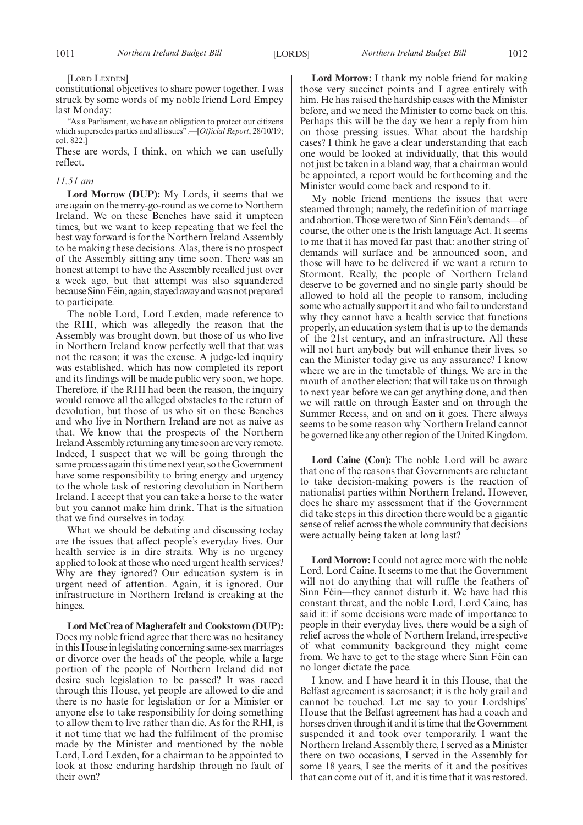#### [LORD LEXDEN]

constitutional objectives to share power together. I was struck by some words of my noble friend Lord Empey last Monday:

"As a Parliament, we have an obligation to protect our citizens which supersedes parties and all issues".—[*Official Report*, 28/10/19; col. 822.]

These are words, I think, on which we can usefully reflect.

#### *11.51 am*

**Lord Morrow (DUP):** My Lords, it seems that we are again on the merry-go-round as we come to Northern Ireland. We on these Benches have said it umpteen times, but we want to keep repeating that we feel the best way forward is for the Northern Ireland Assembly to be making these decisions. Alas, there is no prospect of the Assembly sitting any time soon. There was an honest attempt to have the Assembly recalled just over a week ago, but that attempt was also squandered because Sinn Féin, again, stayed away and was not prepared to participate.

The noble Lord, Lord Lexden, made reference to the RHI, which was allegedly the reason that the Assembly was brought down, but those of us who live in Northern Ireland know perfectly well that that was not the reason; it was the excuse. A judge-led inquiry was established, which has now completed its report and its findings will be made public very soon, we hope. Therefore, if the RHI had been the reason, the inquiry would remove all the alleged obstacles to the return of devolution, but those of us who sit on these Benches and who live in Northern Ireland are not as naive as that. We know that the prospects of the Northern Ireland Assembly returning any time soon are very remote. Indeed, I suspect that we will be going through the same process again this time next year, so the Government have some responsibility to bring energy and urgency to the whole task of restoring devolution in Northern Ireland. I accept that you can take a horse to the water but you cannot make him drink. That is the situation that we find ourselves in today.

What we should be debating and discussing today are the issues that affect people's everyday lives. Our health service is in dire straits. Why is no urgency applied to look at those who need urgent health services? Why are they ignored? Our education system is in urgent need of attention. Again, it is ignored. Our infrastructure in Northern Ireland is creaking at the hinges.

**Lord McCrea of Magherafelt and Cookstown (DUP):** Does my noble friend agree that there was no hesitancy in this House in legislating concerning same-sex marriages or divorce over the heads of the people, while a large portion of the people of Northern Ireland did not desire such legislation to be passed? It was raced through this House, yet people are allowed to die and there is no haste for legislation or for a Minister or anyone else to take responsibility for doing something to allow them to live rather than die. As for the RHI, is it not time that we had the fulfilment of the promise made by the Minister and mentioned by the noble Lord, Lord Lexden, for a chairman to be appointed to look at those enduring hardship through no fault of their own?

**Lord Morrow:** I thank my noble friend for making those very succinct points and I agree entirely with him. He has raised the hardship cases with the Minister before, and we need the Minister to come back on this. Perhaps this will be the day we hear a reply from him on those pressing issues. What about the hardship cases? I think he gave a clear understanding that each one would be looked at individually, that this would not just be taken in a bland way, that a chairman would be appointed, a report would be forthcoming and the Minister would come back and respond to it.

My noble friend mentions the issues that were steamed through; namely, the redefinition of marriage and abortion. Those were two of Sinn Féin's demands—of course, the other one is the Irish language Act. It seems to me that it has moved far past that: another string of demands will surface and be announced soon, and those will have to be delivered if we want a return to Stormont. Really, the people of Northern Ireland deserve to be governed and no single party should be allowed to hold all the people to ransom, including some who actually support it and who fail to understand why they cannot have a health service that functions properly, an education system that is up to the demands of the 21st century, and an infrastructure. All these will not hurt anybody but will enhance their lives, so can the Minister today give us any assurance? I know where we are in the timetable of things. We are in the mouth of another election; that will take us on through to next year before we can get anything done, and then we will rattle on through Easter and on through the Summer Recess, and on and on it goes. There always seems to be some reason why Northern Ireland cannot be governed like any other region of the United Kingdom.

**Lord Caine (Con):** The noble Lord will be aware that one of the reasons that Governments are reluctant to take decision-making powers is the reaction of nationalist parties within Northern Ireland. However, does he share my assessment that if the Government did take steps in this direction there would be a gigantic sense of relief across the whole community that decisions were actually being taken at long last?

**Lord Morrow:** I could not agree more with the noble Lord, Lord Caine. It seems to me that the Government will not do anything that will ruffle the feathers of Sinn Féin—they cannot disturb it. We have had this constant threat, and the noble Lord, Lord Caine, has said it: if some decisions were made of importance to people in their everyday lives, there would be a sigh of relief across the whole of Northern Ireland, irrespective of what community background they might come from. We have to get to the stage where Sinn Féin can no longer dictate the pace.

I know, and I have heard it in this House, that the Belfast agreement is sacrosanct; it is the holy grail and cannot be touched. Let me say to your Lordships' House that the Belfast agreement has had a coach and horses driven through it and it is time that the Government suspended it and took over temporarily. I want the Northern Ireland Assembly there, I served as a Minister there on two occasions, I served in the Assembly for some 18 years, I see the merits of it and the positives that can come out of it, and it is time that it was restored.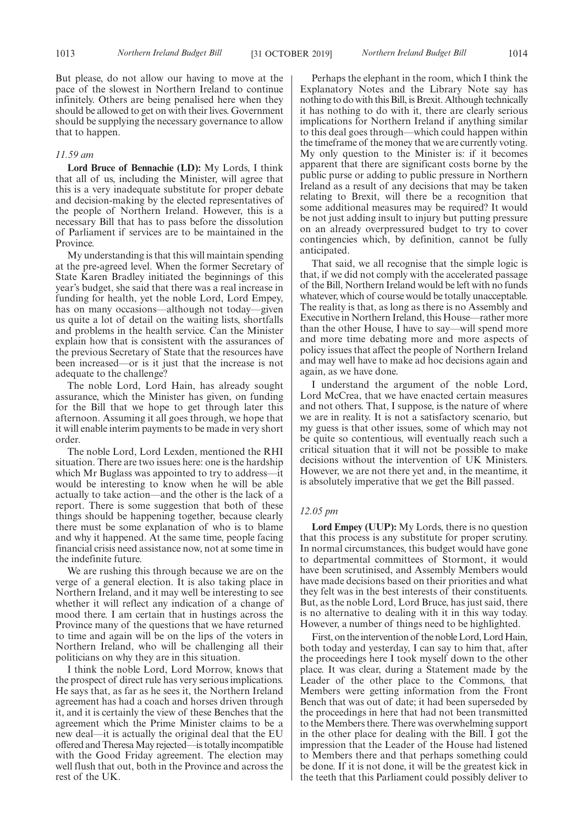But please, do not allow our having to move at the pace of the slowest in Northern Ireland to continue infinitely. Others are being penalised here when they should be allowed to get on with their lives. Government should be supplying the necessary governance to allow that to happen.

#### *11.59 am*

**Lord Bruce of Bennachie (LD):** My Lords, I think that all of us, including the Minister, will agree that this is a very inadequate substitute for proper debate and decision-making by the elected representatives of the people of Northern Ireland. However, this is a necessary Bill that has to pass before the dissolution of Parliament if services are to be maintained in the Province.

My understanding is that this will maintain spending at the pre-agreed level. When the former Secretary of State Karen Bradley initiated the beginnings of this year's budget, she said that there was a real increase in funding for health, yet the noble Lord, Lord Empey, has on many occasions—although not today—given us quite a lot of detail on the waiting lists, shortfalls and problems in the health service. Can the Minister explain how that is consistent with the assurances of the previous Secretary of State that the resources have been increased—or is it just that the increase is not adequate to the challenge?

The noble Lord, Lord Hain, has already sought assurance, which the Minister has given, on funding for the Bill that we hope to get through later this afternoon. Assuming it all goes through, we hope that it will enable interim payments to be made in very short order.

The noble Lord, Lord Lexden, mentioned the RHI situation. There are two issues here: one is the hardship which Mr Buglass was appointed to try to address—it would be interesting to know when he will be able actually to take action—and the other is the lack of a report. There is some suggestion that both of these things should be happening together, because clearly there must be some explanation of who is to blame and why it happened. At the same time, people facing financial crisis need assistance now, not at some time in the indefinite future.

We are rushing this through because we are on the verge of a general election. It is also taking place in Northern Ireland, and it may well be interesting to see whether it will reflect any indication of a change of mood there. I am certain that in hustings across the Province many of the questions that we have returned to time and again will be on the lips of the voters in Northern Ireland, who will be challenging all their politicians on why they are in this situation.

I think the noble Lord, Lord Morrow, knows that the prospect of direct rule has very serious implications. He says that, as far as he sees it, the Northern Ireland agreement has had a coach and horses driven through it, and it is certainly the view of these Benches that the agreement which the Prime Minister claims to be a new deal—it is actually the original deal that the EU offered and Theresa May rejected—is totally incompatible with the Good Friday agreement. The election may well flush that out, both in the Province and across the rest of the UK.

Perhaps the elephant in the room, which I think the Explanatory Notes and the Library Note say has nothing to do with this Bill, is Brexit. Although technically it has nothing to do with it, there are clearly serious implications for Northern Ireland if anything similar to this deal goes through—which could happen within the timeframe of the money that we are currently voting. My only question to the Minister is: if it becomes apparent that there are significant costs borne by the public purse or adding to public pressure in Northern Ireland as a result of any decisions that may be taken relating to Brexit, will there be a recognition that some additional measures may be required? It would be not just adding insult to injury but putting pressure on an already overpressured budget to try to cover contingencies which, by definition, cannot be fully anticipated.

That said, we all recognise that the simple logic is that, if we did not comply with the accelerated passage of the Bill, Northern Ireland would be left with no funds whatever, which of course would be totally unacceptable. The reality is that, as long as there is no Assembly and Executive in Northern Ireland, this House—rather more than the other House, I have to say—will spend more and more time debating more and more aspects of policy issues that affect the people of Northern Ireland and may well have to make ad hoc decisions again and again, as we have done.

I understand the argument of the noble Lord, Lord McCrea, that we have enacted certain measures and not others. That, I suppose, is the nature of where we are in reality. It is not a satisfactory scenario, but my guess is that other issues, some of which may not be quite so contentious, will eventually reach such a critical situation that it will not be possible to make decisions without the intervention of UK Ministers. However, we are not there yet and, in the meantime, it is absolutely imperative that we get the Bill passed.

#### *12.05 pm*

**Lord Empey (UUP):** My Lords, there is no question that this process is any substitute for proper scrutiny. In normal circumstances, this budget would have gone to departmental committees of Stormont, it would have been scrutinised, and Assembly Members would have made decisions based on their priorities and what they felt was in the best interests of their constituents. But, as the noble Lord, Lord Bruce, has just said, there is no alternative to dealing with it in this way today. However, a number of things need to be highlighted.

First, on the intervention of the noble Lord, Lord Hain, both today and yesterday, I can say to him that, after the proceedings here I took myself down to the other place. It was clear, during a Statement made by the Leader of the other place to the Commons, that Members were getting information from the Front Bench that was out of date; it had been superseded by the proceedings in here that had not been transmitted to the Members there. There was overwhelming support in the other place for dealing with the Bill. I got the impression that the Leader of the House had listened to Members there and that perhaps something could be done. If it is not done, it will be the greatest kick in the teeth that this Parliament could possibly deliver to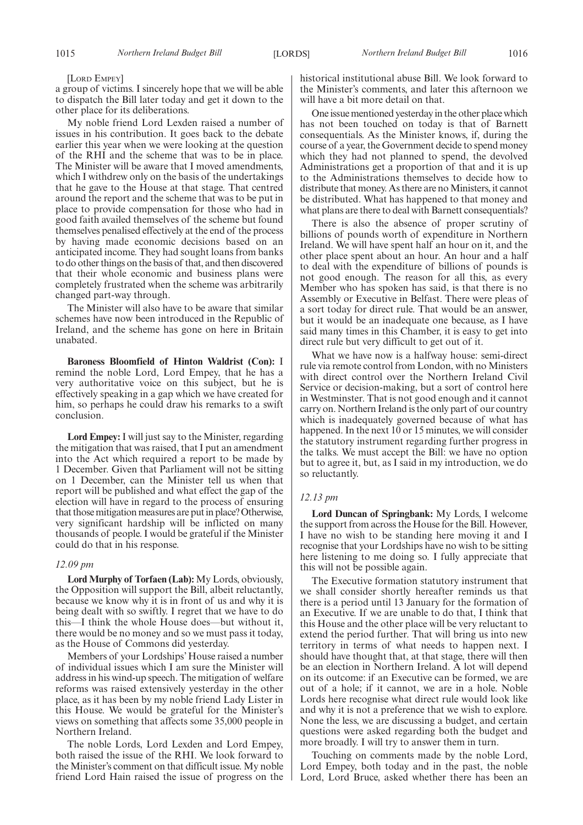[LORD EMPEY]

a group of victims. I sincerely hope that we will be able to dispatch the Bill later today and get it down to the other place for its deliberations.

My noble friend Lord Lexden raised a number of issues in his contribution. It goes back to the debate earlier this year when we were looking at the question of the RHI and the scheme that was to be in place. The Minister will be aware that I moved amendments, which I withdrew only on the basis of the undertakings that he gave to the House at that stage. That centred around the report and the scheme that was to be put in place to provide compensation for those who had in good faith availed themselves of the scheme but found themselves penalised effectively at the end of the process by having made economic decisions based on an anticipated income. They had sought loans from banks to do other things on the basis of that, and then discovered that their whole economic and business plans were completely frustrated when the scheme was arbitrarily changed part-way through.

The Minister will also have to be aware that similar schemes have now been introduced in the Republic of Ireland, and the scheme has gone on here in Britain unabated.

**Baroness Bloomfield of Hinton Waldrist (Con):** I remind the noble Lord, Lord Empey, that he has a very authoritative voice on this subject, but he is effectively speaking in a gap which we have created for him, so perhaps he could draw his remarks to a swift conclusion.

**Lord Empey:**I will just say to the Minister, regarding the mitigation that was raised, that I put an amendment into the Act which required a report to be made by 1 December. Given that Parliament will not be sitting on 1 December, can the Minister tell us when that report will be published and what effect the gap of the election will have in regard to the process of ensuring that those mitigation measures are put in place? Otherwise, very significant hardship will be inflicted on many thousands of people. I would be grateful if the Minister could do that in his response.

#### *12.09 pm*

**Lord Murphy of Torfaen (Lab):** My Lords, obviously, the Opposition will support the Bill, albeit reluctantly, because we know why it is in front of us and why it is being dealt with so swiftly. I regret that we have to do this—I think the whole House does—but without it, there would be no money and so we must pass it today, as the House of Commons did yesterday.

Members of your Lordships' House raised a number of individual issues which I am sure the Minister will address in his wind-up speech. The mitigation of welfare reforms was raised extensively yesterday in the other place, as it has been by my noble friend Lady Lister in this House. We would be grateful for the Minister's views on something that affects some 35,000 people in Northern Ireland.

The noble Lords, Lord Lexden and Lord Empey, both raised the issue of the RHI. We look forward to the Minister's comment on that difficult issue. My noble friend Lord Hain raised the issue of progress on the historical institutional abuse Bill. We look forward to the Minister's comments, and later this afternoon we will have a bit more detail on that.

One issue mentioned yesterday in the other place which has not been touched on today is that of Barnett consequentials. As the Minister knows, if, during the course of a year, the Government decide to spend money which they had not planned to spend, the devolved Administrations get a proportion of that and it is up to the Administrations themselves to decide how to distribute that money. As there are no Ministers, it cannot be distributed. What has happened to that money and what plans are there to deal with Barnett consequentials?

There is also the absence of proper scrutiny of billions of pounds worth of expenditure in Northern Ireland. We will have spent half an hour on it, and the other place spent about an hour. An hour and a half to deal with the expenditure of billions of pounds is not good enough. The reason for all this, as every Member who has spoken has said, is that there is no Assembly or Executive in Belfast. There were pleas of a sort today for direct rule. That would be an answer, but it would be an inadequate one because, as I have said many times in this Chamber, it is easy to get into direct rule but very difficult to get out of it.

What we have now is a halfway house: semi-direct rule via remote control from London, with no Ministers with direct control over the Northern Ireland Civil Service or decision-making, but a sort of control here in Westminster. That is not good enough and it cannot carry on. Northern Ireland is the only part of our country which is inadequately governed because of what has happened. In the next 10 or 15 minutes, we will consider the statutory instrument regarding further progress in the talks. We must accept the Bill: we have no option but to agree it, but, as I said in my introduction, we do so reluctantly.

#### *12.13 pm*

**Lord Duncan of Springbank:** My Lords, I welcome the support from across the House for the Bill. However, I have no wish to be standing here moving it and I recognise that your Lordships have no wish to be sitting here listening to me doing so. I fully appreciate that this will not be possible again.

The Executive formation statutory instrument that we shall consider shortly hereafter reminds us that there is a period until 13 January for the formation of an Executive. If we are unable to do that, I think that this House and the other place will be very reluctant to extend the period further. That will bring us into new territory in terms of what needs to happen next. I should have thought that, at that stage, there will then be an election in Northern Ireland. A lot will depend on its outcome: if an Executive can be formed, we are out of a hole; if it cannot, we are in a hole. Noble Lords here recognise what direct rule would look like and why it is not a preference that we wish to explore. None the less, we are discussing a budget, and certain questions were asked regarding both the budget and more broadly. I will try to answer them in turn.

Touching on comments made by the noble Lord, Lord Empey, both today and in the past, the noble Lord, Lord Bruce, asked whether there has been an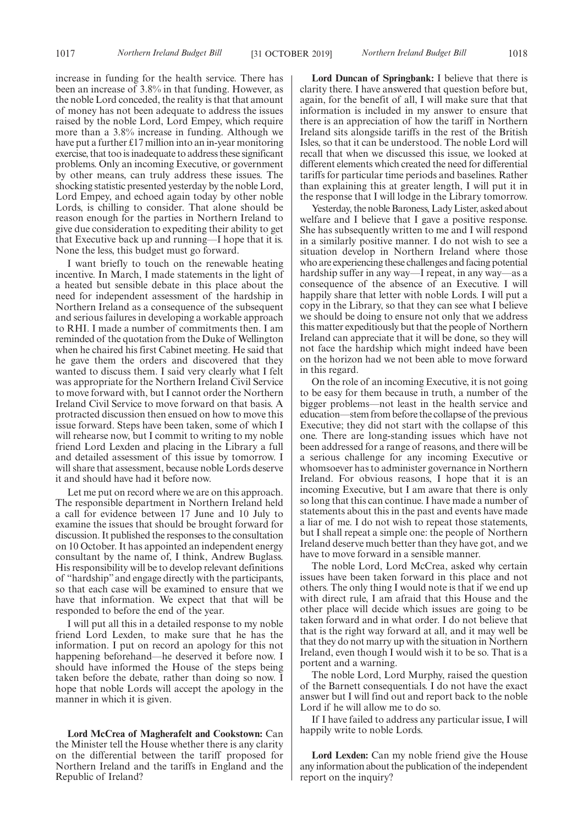increase in funding for the health service. There has been an increase of 3.8% in that funding. However, as the noble Lord conceded, the reality is that that amount of money has not been adequate to address the issues raised by the noble Lord, Lord Empey, which require more than a 3.8% increase in funding. Although we have put a further £17 million into an in-year monitoring exercise, that too is inadequate to address these significant problems. Only an incoming Executive, or government by other means, can truly address these issues. The shocking statistic presented yesterday by the noble Lord, Lord Empey, and echoed again today by other noble Lords, is chilling to consider. That alone should be reason enough for the parties in Northern Ireland to give due consideration to expediting their ability to get that Executive back up and running—I hope that it is. None the less, this budget must go forward.

I want briefly to touch on the renewable heating incentive. In March, I made statements in the light of a heated but sensible debate in this place about the need for independent assessment of the hardship in Northern Ireland as a consequence of the subsequent and serious failures in developing a workable approach to RHI. I made a number of commitments then. I am reminded of the quotation from the Duke of Wellington when he chaired his first Cabinet meeting. He said that he gave them the orders and discovered that they wanted to discuss them. I said very clearly what I felt was appropriate for the Northern Ireland Civil Service to move forward with, but I cannot order the Northern Ireland Civil Service to move forward on that basis. A protracted discussion then ensued on how to move this issue forward. Steps have been taken, some of which I will rehearse now, but I commit to writing to my noble friend Lord Lexden and placing in the Library a full and detailed assessment of this issue by tomorrow. I will share that assessment, because noble Lords deserve it and should have had it before now.

Let me put on record where we are on this approach. The responsible department in Northern Ireland held a call for evidence between 17 June and 10 July to examine the issues that should be brought forward for discussion. It published the responses to the consultation on 10 October. It has appointed an independent energy consultant by the name of, I think, Andrew Buglass. His responsibility will be to develop relevant definitions of "hardship" and engage directly with the participants, so that each case will be examined to ensure that we have that information. We expect that that will be responded to before the end of the year.

I will put all this in a detailed response to my noble friend Lord Lexden, to make sure that he has the information. I put on record an apology for this not happening beforehand—he deserved it before now. I should have informed the House of the steps being taken before the debate, rather than doing so now. I hope that noble Lords will accept the apology in the manner in which it is given.

**Lord McCrea of Magherafelt and Cookstown:** Can the Minister tell the House whether there is any clarity on the differential between the tariff proposed for Northern Ireland and the tariffs in England and the Republic of Ireland?

**Lord Duncan of Springbank:** I believe that there is clarity there. I have answered that question before but, again, for the benefit of all, I will make sure that that information is included in my answer to ensure that there is an appreciation of how the tariff in Northern Ireland sits alongside tariffs in the rest of the British Isles, so that it can be understood. The noble Lord will recall that when we discussed this issue, we looked at different elements which created the need for differential tariffs for particular time periods and baselines. Rather than explaining this at greater length, I will put it in the response that I will lodge in the Library tomorrow.

Yesterday, the noble Baroness, Lady Lister, asked about welfare and I believe that I gave a positive response. She has subsequently written to me and I will respond in a similarly positive manner. I do not wish to see a situation develop in Northern Ireland where those who are experiencing these challenges and facing potential hardship suffer in any way—I repeat, in any way—as a consequence of the absence of an Executive. I will happily share that letter with noble Lords. I will put a copy in the Library, so that they can see what I believe we should be doing to ensure not only that we address this matter expeditiously but that the people of Northern Ireland can appreciate that it will be done, so they will not face the hardship which might indeed have been on the horizon had we not been able to move forward in this regard.

On the role of an incoming Executive, it is not going to be easy for them because in truth, a number of the bigger problems—not least in the health service and education—stem from before the collapse of the previous Executive; they did not start with the collapse of this one. There are long-standing issues which have not been addressed for a range of reasons, and there will be a serious challenge for any incoming Executive or whomsoever has to administer governance in Northern Ireland. For obvious reasons, I hope that it is an incoming Executive, but I am aware that there is only so long that this can continue. I have made a number of statements about this in the past and events have made a liar of me. I do not wish to repeat those statements, but I shall repeat a simple one: the people of Northern Ireland deserve much better than they have got, and we have to move forward in a sensible manner.

The noble Lord, Lord McCrea, asked why certain issues have been taken forward in this place and not others. The only thing I would note is that if we end up with direct rule, I am afraid that this House and the other place will decide which issues are going to be taken forward and in what order. I do not believe that that is the right way forward at all, and it may well be that they do not marry up with the situation in Northern Ireland, even though I would wish it to be so. That is a portent and a warning.

The noble Lord, Lord Murphy, raised the question of the Barnett consequentials. I do not have the exact answer but I will find out and report back to the noble Lord if he will allow me to do so.

If I have failed to address any particular issue, I will happily write to noble Lords.

**Lord Lexden:** Can my noble friend give the House any information about the publication of the independent report on the inquiry?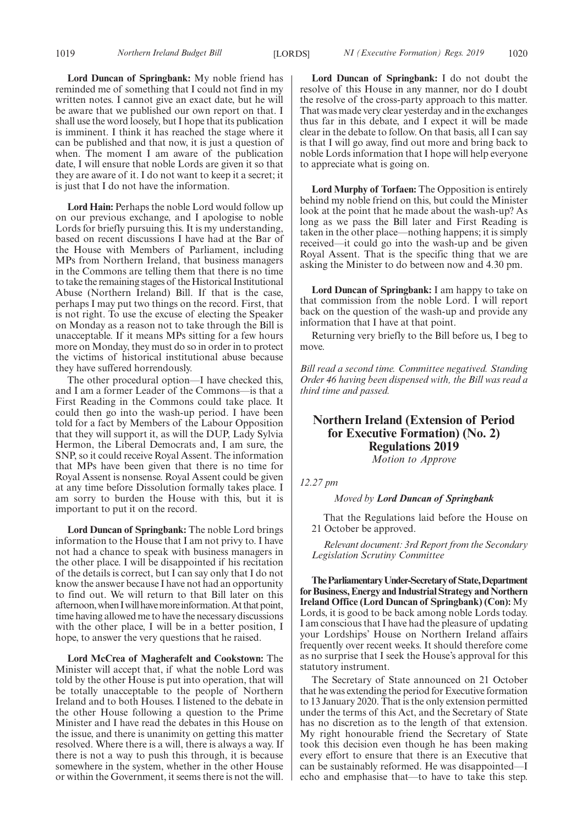**Lord Duncan of Springbank:** My noble friend has reminded me of something that I could not find in my written notes. I cannot give an exact date, but he will be aware that we published our own report on that. I shall use the word loosely, but I hope that its publication is imminent. I think it has reached the stage where it can be published and that now, it is just a question of when. The moment I am aware of the publication date, I will ensure that noble Lords are given it so that they are aware of it. I do not want to keep it a secret; it is just that I do not have the information.

**Lord Hain:** Perhaps the noble Lord would follow up on our previous exchange, and I apologise to noble Lords for briefly pursuing this. It is my understanding, based on recent discussions I have had at the Bar of the House with Members of Parliament, including MPs from Northern Ireland, that business managers in the Commons are telling them that there is no time to take the remaining stages of the Historical Institutional Abuse (Northern Ireland) Bill. If that is the case, perhaps I may put two things on the record. First, that is not right. To use the excuse of electing the Speaker on Monday as a reason not to take through the Bill is unacceptable. If it means MPs sitting for a few hours more on Monday, they must do so in order in to protect the victims of historical institutional abuse because they have suffered horrendously.

The other procedural option—I have checked this, and I am a former Leader of the Commons—is that a First Reading in the Commons could take place. It could then go into the wash-up period. I have been told for a fact by Members of the Labour Opposition that they will support it, as will the DUP, Lady Sylvia Hermon, the Liberal Democrats and, I am sure, the SNP, so it could receive Royal Assent. The information that MPs have been given that there is no time for Royal Assent is nonsense. Royal Assent could be given at any time before Dissolution formally takes place. I am sorry to burden the House with this, but it is important to put it on the record.

**Lord Duncan of Springbank:** The noble Lord brings information to the House that I am not privy to. I have not had a chance to speak with business managers in the other place. I will be disappointed if his recitation of the details is correct, but I can say only that I do not know the answer because I have not had an opportunity to find out. We will return to that Bill later on this afternoon, when I will have more information. At that point, time having allowed me to have the necessary discussions with the other place, I will be in a better position, I hope, to answer the very questions that he raised.

**Lord McCrea of Magherafelt and Cookstown:** The Minister will accept that, if what the noble Lord was told by the other House is put into operation, that will be totally unacceptable to the people of Northern Ireland and to both Houses. I listened to the debate in the other House following a question to the Prime Minister and I have read the debates in this House on the issue, and there is unanimity on getting this matter resolved. Where there is a will, there is always a way. If there is not a way to push this through, it is because somewhere in the system, whether in the other House or within the Government, it seems there is not the will.

**Lord Duncan of Springbank:** I do not doubt the resolve of this House in any manner, nor do I doubt the resolve of the cross-party approach to this matter. That was made very clear yesterday and in the exchanges thus far in this debate, and I expect it will be made clear in the debate to follow. On that basis, all I can say is that I will go away, find out more and bring back to noble Lords information that I hope will help everyone to appreciate what is going on.

**Lord Murphy of Torfaen:** The Opposition is entirely behind my noble friend on this, but could the Minister look at the point that he made about the wash-up? As long as we pass the Bill later and First Reading is taken in the other place—nothing happens; it is simply received—it could go into the wash-up and be given Royal Assent. That is the specific thing that we are asking the Minister to do between now and 4.30 pm.

**Lord Duncan of Springbank:** I am happy to take on that commission from the noble Lord. I will report back on the question of the wash-up and provide any information that I have at that point.

Returning very briefly to the Bill before us, I beg to move.

*Bill read a second time. Committee negatived. Standing Order 46 having been dispensed with, the Bill was read a third time and passed.*

### **Northern Ireland (Extension of Period for Executive Formation) (No. 2) Regulations 2019**

*Motion to Approve*

*12.27 pm*

*Moved by Lord Duncan of Springbank*

That the Regulations laid before the House on 21 October be approved.

*Relevant document: 3rd Report from the Secondary Legislation Scrutiny Committee*

**TheParliamentaryUnder-Secretaryof State,Department for Business, Energy and Industrial Strategy and Northern Ireland Office (Lord Duncan of Springbank) (Con):** My Lords, it is good to be back among noble Lords today. I am conscious that I have had the pleasure of updating your Lordships' House on Northern Ireland affairs frequently over recent weeks. It should therefore come as no surprise that I seek the House's approval for this statutory instrument.

The Secretary of State announced on 21 October that he was extending the period for Executive formation to 13 January 2020. That is the only extension permitted under the terms of this Act, and the Secretary of State has no discretion as to the length of that extension. My right honourable friend the Secretary of State took this decision even though he has been making every effort to ensure that there is an Executive that can be sustainably reformed. He was disappointed—I echo and emphasise that—to have to take this step.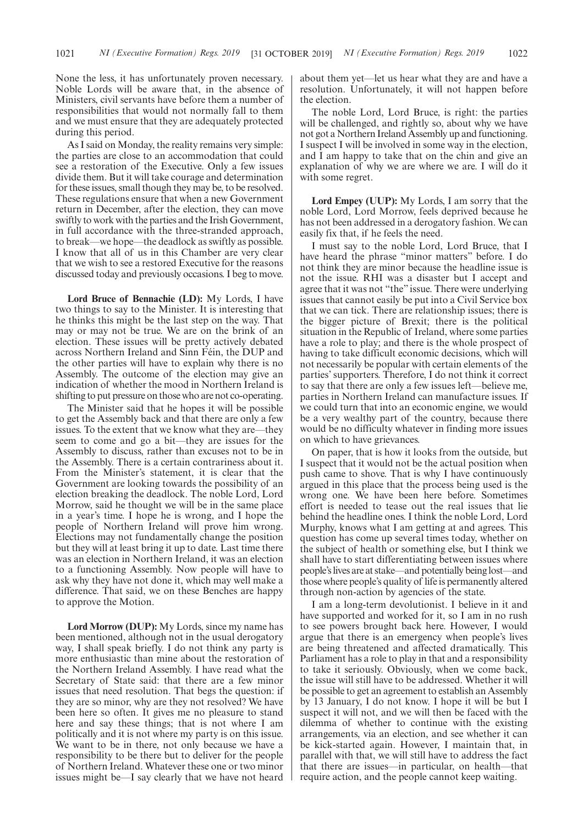None the less, it has unfortunately proven necessary. Noble Lords will be aware that, in the absence of Ministers, civil servants have before them a number of responsibilities that would not normally fall to them and we must ensure that they are adequately protected during this period.

As I said on Monday, the reality remains very simple: the parties are close to an accommodation that could see a restoration of the Executive. Only a few issues divide them. But it will take courage and determination for these issues, small though they may be, to be resolved. These regulations ensure that when a new Government return in December, after the election, they can move swiftly to work with the parties and the Irish Government, in full accordance with the three-stranded approach, to break—we hope—the deadlock as swiftly as possible. I know that all of us in this Chamber are very clear that we wish to see a restored Executive for the reasons discussed today and previously occasions. I beg to move.

**Lord Bruce of Bennachie (LD):** My Lords, I have two things to say to the Minister. It is interesting that he thinks this might be the last step on the way. That may or may not be true. We are on the brink of an election. These issues will be pretty actively debated across Northern Ireland and Sinn Féin, the DUP and the other parties will have to explain why there is no Assembly. The outcome of the election may give an indication of whether the mood in Northern Ireland is shifting to put pressure on those who are not co-operating.

The Minister said that he hopes it will be possible to get the Assembly back and that there are only a few issues. To the extent that we know what they are—they seem to come and go a bit—they are issues for the Assembly to discuss, rather than excuses not to be in the Assembly. There is a certain contrariness about it. From the Minister's statement, it is clear that the Government are looking towards the possibility of an election breaking the deadlock. The noble Lord, Lord Morrow, said he thought we will be in the same place in a year's time. I hope he is wrong, and I hope the people of Northern Ireland will prove him wrong. Elections may not fundamentally change the position but they will at least bring it up to date. Last time there was an election in Northern Ireland, it was an election to a functioning Assembly. Now people will have to ask why they have not done it, which may well make a difference. That said, we on these Benches are happy to approve the Motion.

**Lord Morrow (DUP):** My Lords, since my name has been mentioned, although not in the usual derogatory way, I shall speak briefly. I do not think any party is more enthusiastic than mine about the restoration of the Northern Ireland Assembly. I have read what the Secretary of State said: that there are a few minor issues that need resolution. That begs the question: if they are so minor, why are they not resolved? We have been here so often. It gives me no pleasure to stand here and say these things; that is not where I am politically and it is not where my party is on this issue. We want to be in there, not only because we have a responsibility to be there but to deliver for the people of Northern Ireland. Whatever these one or two minor issues might be—I say clearly that we have not heard about them yet—let us hear what they are and have a resolution. Unfortunately, it will not happen before the election.

The noble Lord, Lord Bruce, is right: the parties will be challenged, and rightly so, about why we have not got a Northern Ireland Assembly up and functioning. I suspect I will be involved in some way in the election, and I am happy to take that on the chin and give an explanation of why we are where we are. I will do it with some regret.

**Lord Empey (UUP):** My Lords, I am sorry that the noble Lord, Lord Morrow, feels deprived because he has not been addressed in a derogatory fashion. We can easily fix that, if he feels the need.

I must say to the noble Lord, Lord Bruce, that I have heard the phrase "minor matters" before. I do not think they are minor because the headline issue is not the issue. RHI was a disaster but I accept and agree that it was not "the" issue. There were underlying issues that cannot easily be put into a Civil Service box that we can tick. There are relationship issues; there is the bigger picture of Brexit; there is the political situation in the Republic of Ireland, where some parties have a role to play; and there is the whole prospect of having to take difficult economic decisions, which will not necessarily be popular with certain elements of the parties' supporters. Therefore, I do not think it correct to say that there are only a few issues left—believe me, parties in Northern Ireland can manufacture issues. If we could turn that into an economic engine, we would be a very wealthy part of the country, because there would be no difficulty whatever in finding more issues on which to have grievances.

On paper, that is how it looks from the outside, but I suspect that it would not be the actual position when push came to shove. That is why I have continuously argued in this place that the process being used is the wrong one. We have been here before. Sometimes effort is needed to tease out the real issues that lie behind the headline ones. I think the noble Lord, Lord Murphy, knows what I am getting at and agrees. This question has come up several times today, whether on the subject of health or something else, but I think we shall have to start differentiating between issues where people's lives are at stake—and potentially being lost—and those where people's quality of life is permanently altered through non-action by agencies of the state.

I am a long-term devolutionist. I believe in it and have supported and worked for it, so I am in no rush to see powers brought back here. However, I would argue that there is an emergency when people's lives are being threatened and affected dramatically. This Parliament has a role to play in that and a responsibility to take it seriously. Obviously, when we come back, the issue will still have to be addressed. Whether it will be possible to get an agreement to establish an Assembly by 13 January, I do not know. I hope it will be but I suspect it will not, and we will then be faced with the dilemma of whether to continue with the existing arrangements, via an election, and see whether it can be kick-started again. However, I maintain that, in parallel with that, we will still have to address the fact that there are issues—in particular, on health—that require action, and the people cannot keep waiting.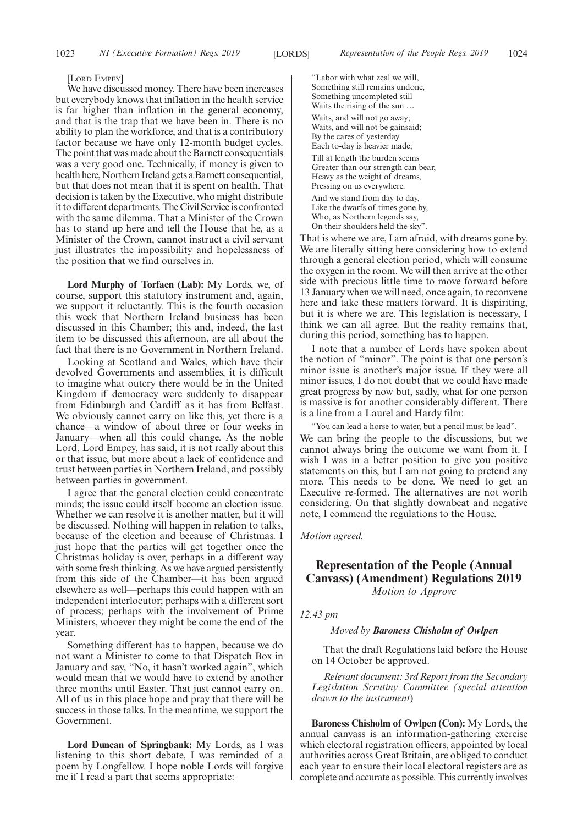#### [LORD EMPEY]

We have discussed money. There have been increases but everybody knows that inflation in the health service is far higher than inflation in the general economy, and that is the trap that we have been in. There is no ability to plan the workforce, and that is a contributory factor because we have only 12-month budget cycles. The point that was made about the Barnett consequentials was a very good one. Technically, if money is given to health here, Northern Ireland gets a Barnett consequential, but that does not mean that it is spent on health. That decision is taken by the Executive, who might distribute it to different departments. The Civil Service is confronted with the same dilemma. That a Minister of the Crown has to stand up here and tell the House that he, as a Minister of the Crown, cannot instruct a civil servant just illustrates the impossibility and hopelessness of the position that we find ourselves in.

**Lord Murphy of Torfaen (Lab):** My Lords, we, of course, support this statutory instrument and, again, we support it reluctantly. This is the fourth occasion this week that Northern Ireland business has been discussed in this Chamber; this and, indeed, the last item to be discussed this afternoon, are all about the fact that there is no Government in Northern Ireland.

Looking at Scotland and Wales, which have their devolved Governments and assemblies, it is difficult to imagine what outcry there would be in the United Kingdom if democracy were suddenly to disappear from Edinburgh and Cardiff as it has from Belfast. We obviously cannot carry on like this, yet there is a chance—a window of about three or four weeks in January—when all this could change. As the noble Lord, Lord Empey, has said, it is not really about this or that issue, but more about a lack of confidence and trust between parties in Northern Ireland, and possibly between parties in government.

I agree that the general election could concentrate minds; the issue could itself become an election issue. Whether we can resolve it is another matter, but it will be discussed. Nothing will happen in relation to talks, because of the election and because of Christmas. I just hope that the parties will get together once the Christmas holiday is over, perhaps in a different way with some fresh thinking. As we have argued persistently from this side of the Chamber—it has been argued elsewhere as well—perhaps this could happen with an independent interlocutor; perhaps with a different sort of process; perhaps with the involvement of Prime Ministers, whoever they might be come the end of the year.

Something different has to happen, because we do not want a Minister to come to that Dispatch Box in January and say, "No, it hasn't worked again", which would mean that we would have to extend by another three months until Easter. That just cannot carry on. All of us in this place hope and pray that there will be success in those talks. In the meantime, we support the Government.

**Lord Duncan of Springbank:** My Lords, as I was listening to this short debate, I was reminded of a poem by Longfellow. I hope noble Lords will forgive me if I read a part that seems appropriate:

"Labor with what zeal we will, Something still remains undone, Something uncompleted still Waits the rising of the sun … Waits, and will not go away; Waits, and will not be gainsaid; By the cares of yesterday Each to-day is heavier made; Till at length the burden seems Greater than our strength can bear, Heavy as the weight of dreams, Pressing on us everywhere. And we stand from day to day, Like the dwarfs of times gone by, Who, as Northern legends say, On their shoulders held the sky".

That is where we are, I am afraid, with dreams gone by. We are literally sitting here considering how to extend through a general election period, which will consume the oxygen in the room. We will then arrive at the other side with precious little time to move forward before 13 January when we will need, once again, to reconvene here and take these matters forward. It is dispiriting, but it is where we are. This legislation is necessary, I think we can all agree. But the reality remains that, during this period, something has to happen.

I note that a number of Lords have spoken about the notion of "minor". The point is that one person's minor issue is another's major issue. If they were all minor issues, I do not doubt that we could have made great progress by now but, sadly, what for one person is massive is for another considerably different. There is a line from a Laurel and Hardy film:

"You can lead a horse to water, but a pencil must be lead". We can bring the people to the discussions, but we cannot always bring the outcome we want from it. I wish I was in a better position to give you positive statements on this, but I am not going to pretend any more. This needs to be done. We need to get an Executive re-formed. The alternatives are not worth considering. On that slightly downbeat and negative note, I commend the regulations to the House.

*Motion agreed.*

### **Representation of the People (Annual Canvass) (Amendment) Regulations 2019** *Motion to Approve*

*12.43 pm*

#### *Moved by Baroness Chisholm of Owlpen*

That the draft Regulations laid before the House on 14 October be approved.

*Relevant document: 3rd Report from the Secondary Legislation Scrutiny Committee (special attention drawn to the instrument*)

**Baroness Chisholm of Owlpen (Con):** My Lords, the annual canvass is an information-gathering exercise which electoral registration officers, appointed by local authorities across Great Britain, are obliged to conduct each year to ensure their local electoral registers are as complete and accurate as possible. This currently involves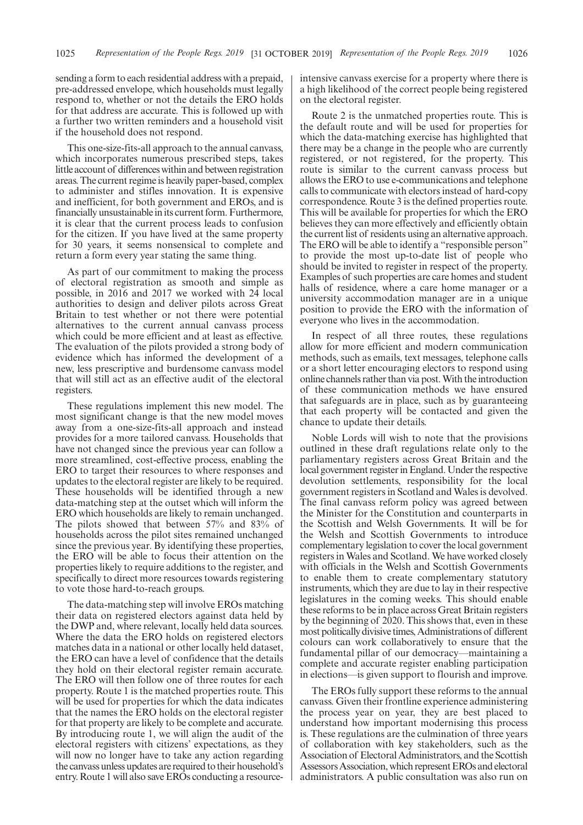sending a form to each residential address with a prepaid, pre-addressed envelope, which households must legally respond to, whether or not the details the ERO holds for that address are accurate. This is followed up with a further two written reminders and a household visit if the household does not respond.

This one-size-fits-all approach to the annual canvass, which incorporates numerous prescribed steps, takes little account of differences within and between registration areas. The current regime is heavily paper-based, complex to administer and stifles innovation. It is expensive and inefficient, for both government and EROs, and is financially unsustainable in its current form. Furthermore, it is clear that the current process leads to confusion for the citizen. If you have lived at the same property for 30 years, it seems nonsensical to complete and return a form every year stating the same thing.

As part of our commitment to making the process of electoral registration as smooth and simple as possible, in 2016 and 2017 we worked with 24 local authorities to design and deliver pilots across Great Britain to test whether or not there were potential alternatives to the current annual canvass process which could be more efficient and at least as effective. The evaluation of the pilots provided a strong body of evidence which has informed the development of a new, less prescriptive and burdensome canvass model that will still act as an effective audit of the electoral registers.

These regulations implement this new model. The most significant change is that the new model moves away from a one-size-fits-all approach and instead provides for a more tailored canvass. Households that have not changed since the previous year can follow a more streamlined, cost-effective process, enabling the ERO to target their resources to where responses and updates to the electoral register are likely to be required. These households will be identified through a new data-matching step at the outset which will inform the ERO which households are likely to remain unchanged. The pilots showed that between 57% and 83% of households across the pilot sites remained unchanged since the previous year. By identifying these properties, the ERO will be able to focus their attention on the properties likely to require additions to the register, and specifically to direct more resources towards registering to vote those hard-to-reach groups.

The data-matching step will involve EROs matching their data on registered electors against data held by the DWP and, where relevant, locally held data sources. Where the data the ERO holds on registered electors matches data in a national or other locally held dataset, the ERO can have a level of confidence that the details they hold on their electoral register remain accurate. The ERO will then follow one of three routes for each property. Route 1 is the matched properties route. This will be used for properties for which the data indicates that the names the ERO holds on the electoral register for that property are likely to be complete and accurate. By introducing route 1, we will align the audit of the electoral registers with citizens' expectations, as they will now no longer have to take any action regarding the canvass unless updates are required to their household's entry. Route 1 will also save EROs conducting a resourceintensive canvass exercise for a property where there is a high likelihood of the correct people being registered on the electoral register.

Route 2 is the unmatched properties route. This is the default route and will be used for properties for which the data-matching exercise has highlighted that there may be a change in the people who are currently registered, or not registered, for the property. This route is similar to the current canvass process but allows the ERO to use e-communications and telephone calls to communicate with electors instead of hard-copy correspondence. Route 3 is the defined properties route. This will be available for properties for which the ERO believes they can more effectively and efficiently obtain the current list of residents using an alternative approach. The ERO will be able to identify a "responsible person" to provide the most up-to-date list of people who should be invited to register in respect of the property. Examples of such properties are care homes and student halls of residence, where a care home manager or a university accommodation manager are in a unique position to provide the ERO with the information of everyone who lives in the accommodation.

In respect of all three routes, these regulations allow for more efficient and modern communication methods, such as emails, text messages, telephone calls or a short letter encouraging electors to respond using online channels rather than via post. With the introduction of these communication methods we have ensured that safeguards are in place, such as by guaranteeing that each property will be contacted and given the chance to update their details.

Noble Lords will wish to note that the provisions outlined in these draft regulations relate only to the parliamentary registers across Great Britain and the local government register in England. Under the respective devolution settlements, responsibility for the local government registers in Scotland and Wales is devolved. The final canvass reform policy was agreed between the Minister for the Constitution and counterparts in the Scottish and Welsh Governments. It will be for the Welsh and Scottish Governments to introduce complementary legislation to cover the local government registers in Wales and Scotland. We have worked closely with officials in the Welsh and Scottish Governments to enable them to create complementary statutory instruments, which they are due to lay in their respective legislatures in the coming weeks. This should enable these reforms to be in place across Great Britain registers by the beginning of 2020. This shows that, even in these most politically divisive times, Administrations of different colours can work collaboratively to ensure that the fundamental pillar of our democracy—maintaining a complete and accurate register enabling participation in elections—is given support to flourish and improve.

The EROs fully support these reforms to the annual canvass. Given their frontline experience administering the process year on year, they are best placed to understand how important modernising this process is. These regulations are the culmination of three years of collaboration with key stakeholders, such as the Association of Electoral Administrators, and the Scottish Assessors Association, which represent EROs and electoral administrators. A public consultation was also run on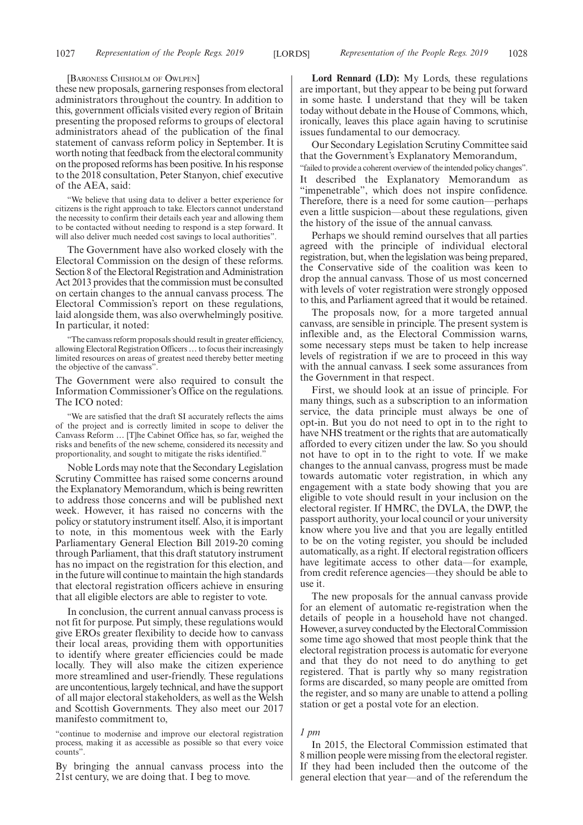#### [BARONESS CHISHOLM OF OWLPEN]

these new proposals, garnering responses from electoral administrators throughout the country. In addition to this, government officials visited every region of Britain presenting the proposed reforms to groups of electoral administrators ahead of the publication of the final statement of canvass reform policy in September. It is worth noting that feedback from the electoral community on the proposed reforms has been positive. In his response to the 2018 consultation, Peter Stanyon, chief executive of the AEA, said:

"We believe that using data to deliver a better experience for citizens is the right approach to take. Electors cannot understand the necessity to confirm their details each year and allowing them to be contacted without needing to respond is a step forward. It will also deliver much needed cost savings to local authorities".

The Government have also worked closely with the Electoral Commission on the design of these reforms. Section 8 of the Electoral Registration and Administration Act 2013 provides that the commission must be consulted on certain changes to the annual canvass process. The Electoral Commission's report on these regulations, laid alongside them, was also overwhelmingly positive. In particular, it noted:

"The canvass reform proposals should result in greater efficiency, allowing Electoral Registration Officers…to focus their increasingly limited resources on areas of greatest need thereby better meeting the objective of the canvass".

The Government were also required to consult the Information Commissioner's Office on the regulations. The ICO noted:

We are satisfied that the draft SI accurately reflects the aims of the project and is correctly limited in scope to deliver the Canvass Reform … [T]he Cabinet Office has, so far, weighed the risks and benefits of the new scheme, considered its necessity and proportionality, and sought to mitigate the risks identified."

Noble Lords may note that the Secondary Legislation Scrutiny Committee has raised some concerns around the Explanatory Memorandum, which is being rewritten to address those concerns and will be published next week. However, it has raised no concerns with the policy or statutory instrument itself. Also, it is important to note, in this momentous week with the Early Parliamentary General Election Bill 2019-20 coming through Parliament, that this draft statutory instrument has no impact on the registration for this election, and in the future will continue to maintain the high standards that electoral registration officers achieve in ensuring that all eligible electors are able to register to vote.

In conclusion, the current annual canvass process is not fit for purpose. Put simply, these regulations would give EROs greater flexibility to decide how to canvass their local areas, providing them with opportunities to identify where greater efficiencies could be made locally. They will also make the citizen experience more streamlined and user-friendly. These regulations are uncontentious, largely technical, and have the support of all major electoral stakeholders, as well as the Welsh and Scottish Governments. They also meet our 2017 manifesto commitment to,

"continue to modernise and improve our electoral registration process, making it as accessible as possible so that every voice counts".

By bringing the annual canvass process into the 21st century, we are doing that. I beg to move.

**Lord Rennard (LD):** My Lords, these regulations are important, but they appear to be being put forward in some haste. I understand that they will be taken today without debate in the House of Commons, which, ironically, leaves this place again having to scrutinise issues fundamental to our democracy.

Our Secondary Legislation Scrutiny Committee said that the Government's Explanatory Memorandum,

"failed to provide a coherent overview of the intended policy changes". It described the Explanatory Memorandum as "impenetrable", which does not inspire confidence. Therefore, there is a need for some caution—perhaps even a little suspicion—about these regulations, given the history of the issue of the annual canvass.

Perhaps we should remind ourselves that all parties agreed with the principle of individual electoral registration, but, when the legislation was being prepared, the Conservative side of the coalition was keen to drop the annual canvass. Those of us most concerned with levels of voter registration were strongly opposed to this, and Parliament agreed that it would be retained.

The proposals now, for a more targeted annual canvass, are sensible in principle. The present system is inflexible and, as the Electoral Commission warns, some necessary steps must be taken to help increase levels of registration if we are to proceed in this way with the annual canvass. I seek some assurances from the Government in that respect.

First, we should look at an issue of principle. For many things, such as a subscription to an information service, the data principle must always be one of opt-in. But you do not need to opt in to the right to have NHS treatment or the rights that are automatically afforded to every citizen under the law. So you should not have to opt in to the right to vote. If we make changes to the annual canvass, progress must be made towards automatic voter registration, in which any engagement with a state body showing that you are eligible to vote should result in your inclusion on the electoral register. If HMRC, the DVLA, the DWP, the passport authority, your local council or your university know where you live and that you are legally entitled to be on the voting register, you should be included automatically, as a right. If electoral registration officers have legitimate access to other data—for example, from credit reference agencies—they should be able to use it.

The new proposals for the annual canvass provide for an element of automatic re-registration when the details of people in a household have not changed. However, a survey conducted by the Electoral Commission some time ago showed that most people think that the electoral registration process is automatic for everyone and that they do not need to do anything to get registered. That is partly why so many registration forms are discarded, so many people are omitted from the register, and so many are unable to attend a polling station or get a postal vote for an election.

#### *1 pm*

In 2015, the Electoral Commission estimated that 8 million people were missing from the electoral register. If they had been included then the outcome of the general election that year—and of the referendum the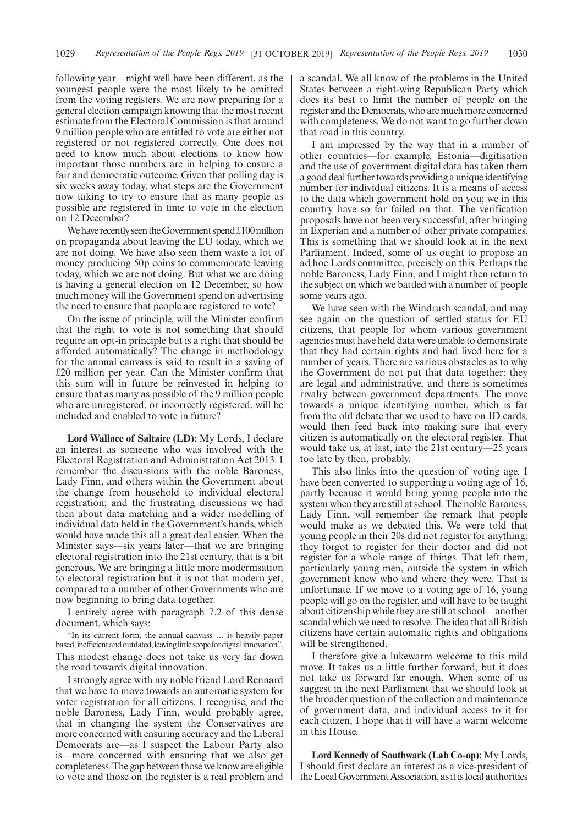following year—might well have been different, as the youngest people were the most likely to be omitted from the voting registers. We are now preparing for a general election campaign knowing that the most recent estimate from the Electoral Commission is that around 9 million people who are entitled to vote are either not registered or not registered correctly. One does not need to know much about elections to know how important those numbers are in helping to ensure a fair and democratic outcome. Given that polling day is six weeks away today, what steps are the Government now taking to try to ensure that as many people as possible are registered in time to vote in the election on 12 December?

We have recently seen the Government spend  $£100$  million on propaganda about leaving the EU today, which we are not doing. We have also seen them waste a lot of money producing 50p coins to commemorate leaving today, which we are not doing. But what we are doing is having a general election on 12 December, so how much money will the Government spend on advertising the need to ensure that people are registered to vote?

On the issue of principle, will the Minister confirm that the right to vote is not something that should require an opt-in principle but is a right that should be afforded automatically? The change in methodology for the annual canvass is said to result in a saving of £20 million per year. Can the Minister confirm that this sum will in future be reinvested in helping to ensure that as many as possible of the 9 million people who are unregistered, or incorrectly registered, will be included and enabled to vote in future?

**Lord Wallace of Saltaire (LD):** My Lords, I declare an interest as someone who was involved with the Electoral Registration and Administration Act 2013. I remember the discussions with the noble Baroness, Lady Finn, and others within the Government about the change from household to individual electoral registration; and the frustrating discussions we had then about data matching and a wider modelling of individual data held in the Government's hands, which would have made this all a great deal easier. When the Minister says—six years later—that we are bringing electoral registration into the 21st century, that is a bit generous. We are bringing a little more modernisation to electoral registration but it is not that modern yet, compared to a number of other Governments who are now beginning to bring data together.

I entirely agree with paragraph 7.2 of this dense document, which says:

"In its current form, the annual canvass … is heavily paper based, inefficient and outdated, leaving little scope for digital innovation". This modest change does not take us very far down the road towards digital innovation.

I strongly agree with my noble friend Lord Rennard that we have to move towards an automatic system for voter registration for all citizens. I recognise, and the noble Baroness, Lady Finn, would probably agree, that in changing the system the Conservatives are more concerned with ensuring accuracy and the Liberal Democrats are—as I suspect the Labour Party also is—more concerned with ensuring that we also get completeness. The gap between those we know are eligible to vote and those on the register is a real problem and a scandal. We all know of the problems in the United States between a right-wing Republican Party which does its best to limit the number of people on the register and the Democrats, who are much more concerned with completeness. We do not want to go further down that road in this country.

I am impressed by the way that in a number of other countries—for example, Estonia—digitisation and the use of government digital data has taken them a good deal further towards providing a unique identifying number for individual citizens. It is a means of access to the data which government hold on you; we in this country have so far failed on that. The verification proposals have not been very successful, after bringing in Experian and a number of other private companies. This is something that we should look at in the next Parliament. Indeed, some of us ought to propose an ad hoc Lords committee, precisely on this. Perhaps the noble Baroness, Lady Finn, and I might then return to the subject on which we battled with a number of people some years ago.

We have seen with the Windrush scandal, and may see again on the question of settled status for EU citizens, that people for whom various government agencies must have held data were unable to demonstrate that they had certain rights and had lived here for a number of years. There are various obstacles as to why the Government do not put that data together: they are legal and administrative, and there is sometimes rivalry between government departments. The move towards a unique identifying number, which is far from the old debate that we used to have on ID cards, would then feed back into making sure that every citizen is automatically on the electoral register. That would take us, at last, into the 21st century—25 years too late by then, probably.

This also links into the question of voting age. I have been converted to supporting a voting age of 16, partly because it would bring young people into the system when they are still at school. The noble Baroness, Lady Finn, will remember the remark that people would make as we debated this. We were told that young people in their 20s did not register for anything: they forgot to register for their doctor and did not register for a whole range of things. That left them, particularly young men, outside the system in which government knew who and where they were. That is unfortunate. If we move to a voting age of 16, young people will go on the register, and will have to be taught about citizenship while they are still at school—another scandal which we need to resolve. The idea that all British citizens have certain automatic rights and obligations will be strengthened.

I therefore give a lukewarm welcome to this mild move. It takes us a little further forward, but it does not take us forward far enough. When some of us suggest in the next Parliament that we should look at the broader question of the collection and maintenance of government data, and individual access to it for each citizen, I hope that it will have a warm welcome in this House.

**Lord Kennedy of Southwark (Lab Co-op):** My Lords, I should first declare an interest as a vice-president of the Local Government Association, as it is local authorities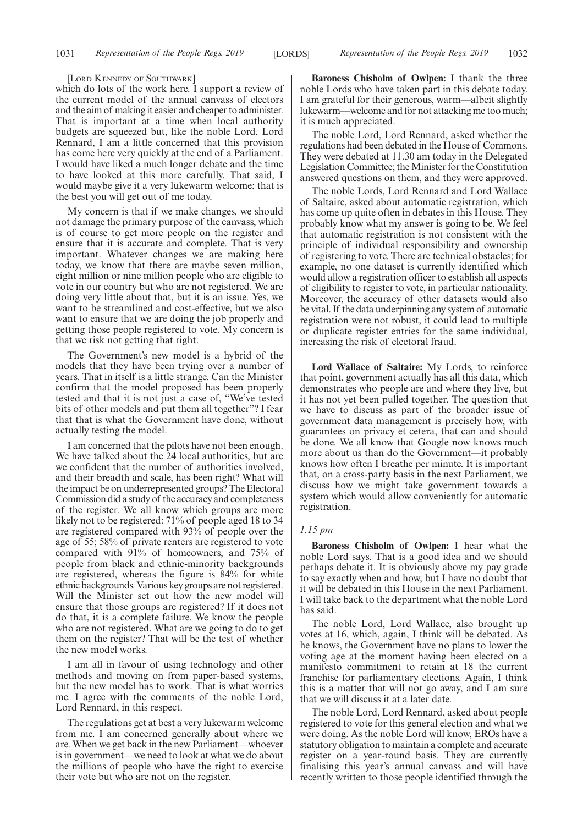[LORD KENNEDY OF SOUTHWARK]

which do lots of the work here. I support a review of the current model of the annual canvass of electors and the aim of making it easier and cheaper to administer. That is important at a time when local authority budgets are squeezed but, like the noble Lord, Lord Rennard, I am a little concerned that this provision has come here very quickly at the end of a Parliament. I would have liked a much longer debate and the time to have looked at this more carefully. That said, I would maybe give it a very lukewarm welcome; that is the best you will get out of me today.

My concern is that if we make changes, we should not damage the primary purpose of the canvass, which is of course to get more people on the register and ensure that it is accurate and complete. That is very important. Whatever changes we are making here today, we know that there are maybe seven million, eight million or nine million people who are eligible to vote in our country but who are not registered. We are doing very little about that, but it is an issue. Yes, we want to be streamlined and cost-effective, but we also want to ensure that we are doing the job properly and getting those people registered to vote. My concern is that we risk not getting that right.

The Government's new model is a hybrid of the models that they have been trying over a number of years. That in itself is a little strange. Can the Minister confirm that the model proposed has been properly tested and that it is not just a case of, "We've tested bits of other models and put them all together"? I fear that that is what the Government have done, without actually testing the model.

I am concerned that the pilots have not been enough. We have talked about the 24 local authorities, but are we confident that the number of authorities involved, and their breadth and scale, has been right? What will the impact be on underrepresented groups? The Electoral Commission did a study of the accuracy and completeness of the register. We all know which groups are more likely not to be registered: 71% of people aged 18 to 34 are registered compared with 93% of people over the age of 55; 58% of private renters are registered to vote compared with 91% of homeowners, and 75% of people from black and ethnic-minority backgrounds are registered, whereas the figure is 84% for white ethnic backgrounds. Various key groups are not registered. Will the Minister set out how the new model will ensure that those groups are registered? If it does not do that, it is a complete failure. We know the people who are not registered. What are we going to do to get them on the register? That will be the test of whether the new model works.

I am all in favour of using technology and other methods and moving on from paper-based systems, but the new model has to work. That is what worries me. I agree with the comments of the noble Lord, Lord Rennard, in this respect.

The regulations get at best a very lukewarm welcome from me. I am concerned generally about where we are. When we get back in the new Parliament—whoever is in government—we need to look at what we do about the millions of people who have the right to exercise their vote but who are not on the register.

**Baroness Chisholm of Owlpen:** I thank the three noble Lords who have taken part in this debate today. I am grateful for their generous, warm—albeit slightly lukewarm—welcome and for not attacking me too much; it is much appreciated.

The noble Lord, Lord Rennard, asked whether the regulations had been debated in the House of Commons. They were debated at 11.30 am today in the Delegated Legislation Committee; the Minister for the Constitution answered questions on them, and they were approved.

The noble Lords, Lord Rennard and Lord Wallace of Saltaire, asked about automatic registration, which has come up quite often in debates in this House. They probably know what my answer is going to be. We feel that automatic registration is not consistent with the principle of individual responsibility and ownership of registering to vote. There are technical obstacles; for example, no one dataset is currently identified which would allow a registration officer to establish all aspects of eligibility to register to vote, in particular nationality. Moreover, the accuracy of other datasets would also be vital. If the data underpinning any system of automatic registration were not robust, it could lead to multiple or duplicate register entries for the same individual, increasing the risk of electoral fraud.

**Lord Wallace of Saltaire:** My Lords, to reinforce that point, government actually has all this data, which demonstrates who people are and where they live, but it has not yet been pulled together. The question that we have to discuss as part of the broader issue of government data management is precisely how, with guarantees on privacy et cetera, that can and should be done. We all know that Google now knows much more about us than do the Government—it probably knows how often I breathe per minute. It is important that, on a cross-party basis in the next Parliament, we discuss how we might take government towards a system which would allow conveniently for automatic registration.

#### *1.15 pm*

**Baroness Chisholm of Owlpen:** I hear what the noble Lord says. That is a good idea and we should perhaps debate it. It is obviously above my pay grade to say exactly when and how, but I have no doubt that it will be debated in this House in the next Parliament. I will take back to the department what the noble Lord has said.

The noble Lord, Lord Wallace, also brought up votes at 16, which, again, I think will be debated. As he knows, the Government have no plans to lower the voting age at the moment having been elected on a manifesto commitment to retain at 18 the current franchise for parliamentary elections. Again, I think this is a matter that will not go away, and I am sure that we will discuss it at a later date.

The noble Lord, Lord Rennard, asked about people registered to vote for this general election and what we were doing. As the noble Lord will know, EROs have a statutory obligation to maintain a complete and accurate register on a year-round basis. They are currently finalising this year's annual canvass and will have recently written to those people identified through the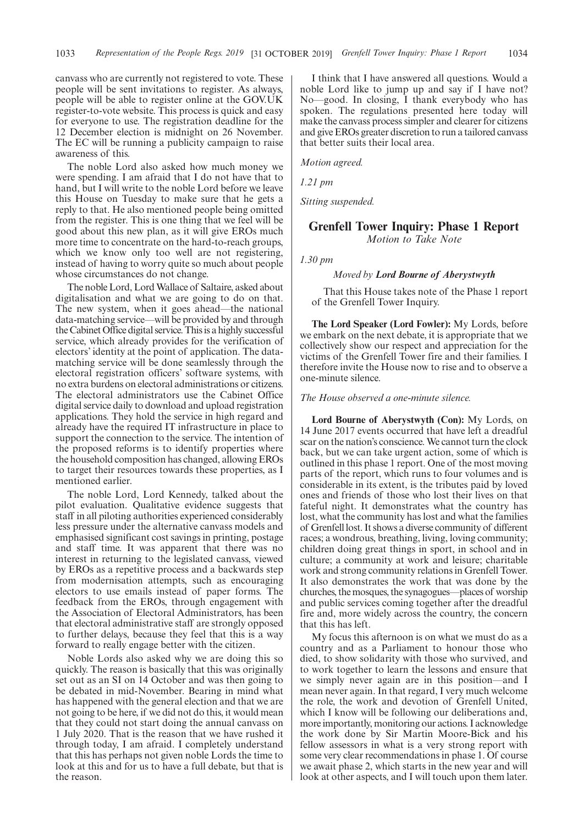canvass who are currently not registered to vote. These people will be sent invitations to register. As always, people will be able to register online at the GOV.UK register-to-vote website. This process is quick and easy for everyone to use. The registration deadline for the 12 December election is midnight on 26 November. The EC will be running a publicity campaign to raise awareness of this.

The noble Lord also asked how much money we were spending. I am afraid that I do not have that to hand, but I will write to the noble Lord before we leave this House on Tuesday to make sure that he gets a reply to that. He also mentioned people being omitted from the register. This is one thing that we feel will be good about this new plan, as it will give EROs much more time to concentrate on the hard-to-reach groups, which we know only too well are not registering, instead of having to worry quite so much about people whose circumstances do not change.

The noble Lord, Lord Wallace of Saltaire, asked about digitalisation and what we are going to do on that. The new system, when it goes ahead—the national data-matching service—will be provided by and through the Cabinet Office digital service. This is a highly successful service, which already provides for the verification of electors' identity at the point of application. The datamatching service will be done seamlessly through the electoral registration officers' software systems, with no extra burdens on electoral administrations or citizens. The electoral administrators use the Cabinet Office digital service daily to download and upload registration applications. They hold the service in high regard and already have the required IT infrastructure in place to support the connection to the service. The intention of the proposed reforms is to identify properties where the household composition has changed, allowing EROs to target their resources towards these properties, as I mentioned earlier.

The noble Lord, Lord Kennedy, talked about the pilot evaluation. Qualitative evidence suggests that staff in all piloting authorities experienced considerably less pressure under the alternative canvass models and emphasised significant cost savings in printing, postage and staff time. It was apparent that there was no interest in returning to the legislated canvass, viewed by EROs as a repetitive process and a backwards step from modernisation attempts, such as encouraging electors to use emails instead of paper forms. The feedback from the EROs, through engagement with the Association of Electoral Administrators, has been that electoral administrative staff are strongly opposed to further delays, because they feel that this is a way forward to really engage better with the citizen.

Noble Lords also asked why we are doing this so quickly. The reason is basically that this was originally set out as an SI on 14 October and was then going to be debated in mid-November. Bearing in mind what has happened with the general election and that we are not going to be here, if we did not do this, it would mean that they could not start doing the annual canvass on 1 July 2020. That is the reason that we have rushed it through today, I am afraid. I completely understand that this has perhaps not given noble Lords the time to look at this and for us to have a full debate, but that is the reason.

I think that I have answered all questions. Would a noble Lord like to jump up and say if I have not? No—good. In closing, I thank everybody who has spoken. The regulations presented here today will make the canvass process simpler and clearer for citizens and give EROs greater discretion to run a tailored canvass that better suits their local area.

*Motion agreed.*

*1.21 pm*

*Sitting suspended.*

### **Grenfell Tower Inquiry: Phase 1 Report** *Motion to Take Note*

*1.30 pm*

#### *Moved by Lord Bourne of Aberystwyth*

That this House takes note of the Phase 1 report of the Grenfell Tower Inquiry.

**The Lord Speaker (Lord Fowler):** My Lords, before we embark on the next debate, it is appropriate that we collectively show our respect and appreciation for the victims of the Grenfell Tower fire and their families. I therefore invite the House now to rise and to observe a one-minute silence.

#### *The House observed a one-minute silence.*

**Lord Bourne of Aberystwyth (Con):** My Lords, on 14 June 2017 events occurred that have left a dreadful scar on the nation's conscience. We cannot turn the clock back, but we can take urgent action, some of which is outlined in this phase 1 report. One of the most moving parts of the report, which runs to four volumes and is considerable in its extent, is the tributes paid by loved ones and friends of those who lost their lives on that fateful night. It demonstrates what the country has lost, what the community has lost and what the families of Grenfell lost. It shows a diverse community of different races; a wondrous, breathing, living, loving community; children doing great things in sport, in school and in culture; a community at work and leisure; charitable work and strong community relations in Grenfell Tower. It also demonstrates the work that was done by the churches, the mosques, the synagogues—places of worship and public services coming together after the dreadful fire and, more widely across the country, the concern that this has left.

My focus this afternoon is on what we must do as a country and as a Parliament to honour those who died, to show solidarity with those who survived, and to work together to learn the lessons and ensure that we simply never again are in this position—and I mean never again. In that regard, I very much welcome the role, the work and devotion of Grenfell United, which I know will be following our deliberations and, more importantly, monitoring our actions. I acknowledge the work done by Sir Martin Moore-Bick and his fellow assessors in what is a very strong report with some very clear recommendations in phase 1. Of course we await phase 2, which starts in the new year and will look at other aspects, and I will touch upon them later.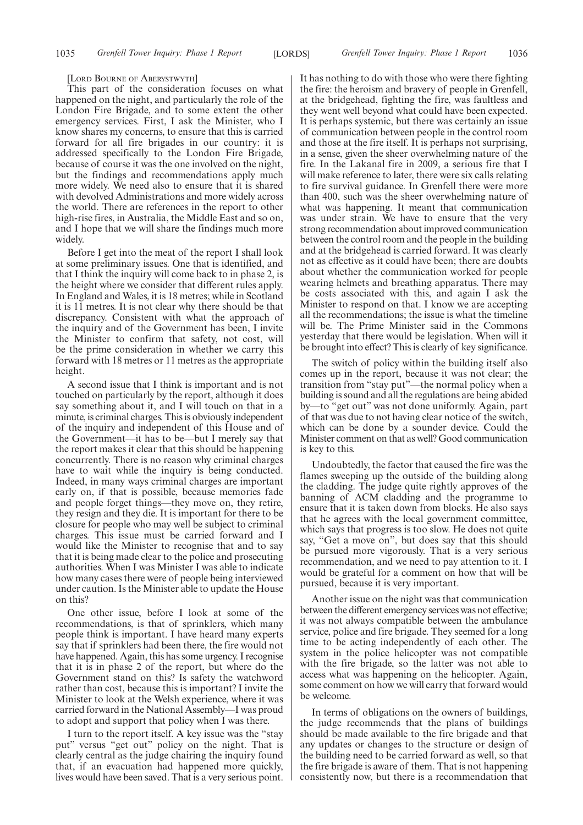#### [LORD BOURNE OF ABERYSTWYTH]

This part of the consideration focuses on what happened on the night, and particularly the role of the London Fire Brigade, and to some extent the other emergency services. First, I ask the Minister, who I know shares my concerns, to ensure that this is carried forward for all fire brigades in our country: it is addressed specifically to the London Fire Brigade, because of course it was the one involved on the night, but the findings and recommendations apply much more widely. We need also to ensure that it is shared with devolved Administrations and more widely across the world. There are references in the report to other high-rise fires, in Australia, the Middle East and so on, and I hope that we will share the findings much more widely.

Before I get into the meat of the report I shall look at some preliminary issues. One that is identified, and that I think the inquiry will come back to in phase 2, is the height where we consider that different rules apply. In England and Wales, it is 18 metres; while in Scotland it is 11 metres. It is not clear why there should be that discrepancy. Consistent with what the approach of the inquiry and of the Government has been, I invite the Minister to confirm that safety, not cost, will be the prime consideration in whether we carry this forward with 18 metres or 11 metres as the appropriate height.

A second issue that I think is important and is not touched on particularly by the report, although it does say something about it, and I will touch on that in a minute, is criminal charges. This is obviously independent of the inquiry and independent of this House and of the Government—it has to be—but I merely say that the report makes it clear that this should be happening concurrently. There is no reason why criminal charges have to wait while the inquiry is being conducted. Indeed, in many ways criminal charges are important early on, if that is possible, because memories fade and people forget things—they move on, they retire, they resign and they die. It is important for there to be closure for people who may well be subject to criminal charges. This issue must be carried forward and I would like the Minister to recognise that and to say that it is being made clear to the police and prosecuting authorities. When I was Minister I was able to indicate how many cases there were of people being interviewed under caution. Is the Minister able to update the House on this?

One other issue, before I look at some of the recommendations, is that of sprinklers, which many people think is important. I have heard many experts say that if sprinklers had been there, the fire would not have happened. Again, this has some urgency. I recognise that it is in phase 2 of the report, but where do the Government stand on this? Is safety the watchword rather than cost, because this is important? I invite the Minister to look at the Welsh experience, where it was carried forward in the National Assembly—I was proud to adopt and support that policy when I was there.

I turn to the report itself. A key issue was the "stay put" versus "get out" policy on the night. That is clearly central as the judge chairing the inquiry found that, if an evacuation had happened more quickly, lives would have been saved. That is a very serious point. It has nothing to do with those who were there fighting the fire: the heroism and bravery of people in Grenfell, at the bridgehead, fighting the fire, was faultless and they went well beyond what could have been expected. It is perhaps systemic, but there was certainly an issue of communication between people in the control room and those at the fire itself. It is perhaps not surprising, in a sense, given the sheer overwhelming nature of the fire. In the Lakanal fire in 2009, a serious fire that I will make reference to later, there were six calls relating to fire survival guidance. In Grenfell there were more than 400, such was the sheer overwhelming nature of what was happening. It meant that communication was under strain. We have to ensure that the very strong recommendation about improved communication between the control room and the people in the building and at the bridgehead is carried forward. It was clearly not as effective as it could have been; there are doubts about whether the communication worked for people wearing helmets and breathing apparatus. There may be costs associated with this, and again I ask the Minister to respond on that. I know we are accepting all the recommendations; the issue is what the timeline will be. The Prime Minister said in the Commons yesterday that there would be legislation. When will it be brought into effect? This is clearly of key significance.

The switch of policy within the building itself also comes up in the report, because it was not clear; the transition from "stay put"—the normal policy when a building is sound and all the regulations are being abided by—to "get out" was not done uniformly. Again, part of that was due to not having clear notice of the switch, which can be done by a sounder device. Could the Minister comment on that as well? Good communication is key to this.

Undoubtedly, the factor that caused the fire was the flames sweeping up the outside of the building along the cladding. The judge quite rightly approves of the banning of ACM cladding and the programme to ensure that it is taken down from blocks. He also says that he agrees with the local government committee, which says that progress is too slow. He does not quite say, "Get a move on", but does say that this should be pursued more vigorously. That is a very serious recommendation, and we need to pay attention to it. I would be grateful for a comment on how that will be pursued, because it is very important.

Another issue on the night was that communication between the different emergency services was not effective; it was not always compatible between the ambulance service, police and fire brigade. They seemed for a long time to be acting independently of each other. The system in the police helicopter was not compatible with the fire brigade, so the latter was not able to access what was happening on the helicopter. Again, some comment on how we will carry that forward would be welcome.

In terms of obligations on the owners of buildings, the judge recommends that the plans of buildings should be made available to the fire brigade and that any updates or changes to the structure or design of the building need to be carried forward as well, so that the fire brigade is aware of them. That is not happening consistently now, but there is a recommendation that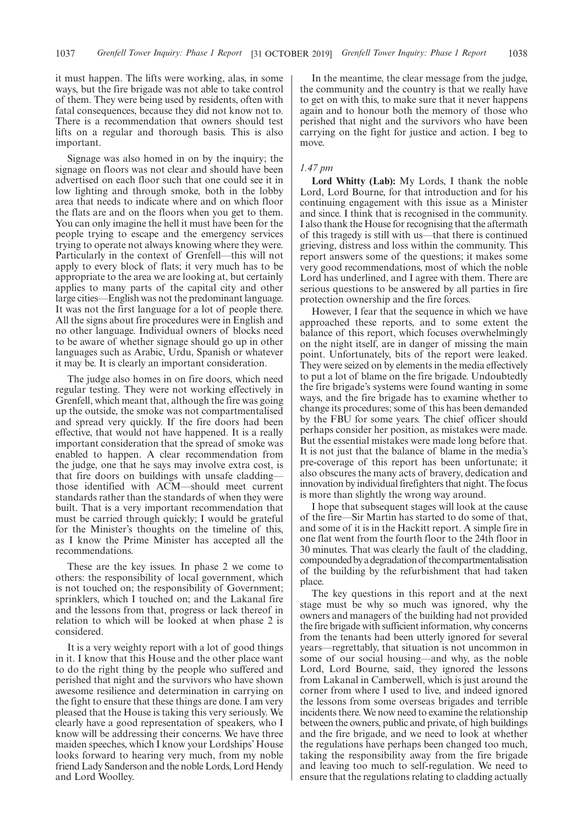it must happen. The lifts were working, alas, in some ways, but the fire brigade was not able to take control of them. They were being used by residents, often with fatal consequences, because they did not know not to. There is a recommendation that owners should test lifts on a regular and thorough basis. This is also important.

Signage was also homed in on by the inquiry; the signage on floors was not clear and should have been advertised on each floor such that one could see it in low lighting and through smoke, both in the lobby area that needs to indicate where and on which floor the flats are and on the floors when you get to them. You can only imagine the hell it must have been for the people trying to escape and the emergency services trying to operate not always knowing where they were. Particularly in the context of Grenfell—this will not apply to every block of flats; it very much has to be appropriate to the area we are looking at, but certainly applies to many parts of the capital city and other large cities—English was not the predominant language. It was not the first language for a lot of people there. All the signs about fire procedures were in English and no other language. Individual owners of blocks need to be aware of whether signage should go up in other languages such as Arabic, Urdu, Spanish or whatever it may be. It is clearly an important consideration.

The judge also homes in on fire doors, which need regular testing. They were not working effectively in Grenfell, which meant that, although the fire was going up the outside, the smoke was not compartmentalised and spread very quickly. If the fire doors had been effective, that would not have happened. It is a really important consideration that the spread of smoke was enabled to happen. A clear recommendation from the judge, one that he says may involve extra cost, is that fire doors on buildings with unsafe cladding those identified with ACM—should meet current standards rather than the standards of when they were built. That is a very important recommendation that must be carried through quickly; I would be grateful for the Minister's thoughts on the timeline of this, as I know the Prime Minister has accepted all the recommendations.

These are the key issues. In phase 2 we come to others: the responsibility of local government, which is not touched on; the responsibility of Government; sprinklers, which I touched on; and the Lakanal fire and the lessons from that, progress or lack thereof in relation to which will be looked at when phase 2 is considered.

It is a very weighty report with a lot of good things in it. I know that this House and the other place want to do the right thing by the people who suffered and perished that night and the survivors who have shown awesome resilience and determination in carrying on the fight to ensure that these things are done. I am very pleased that the House is taking this very seriously. We clearly have a good representation of speakers, who I know will be addressing their concerns. We have three maiden speeches, which I know your Lordships' House looks forward to hearing very much, from my noble friend Lady Sanderson and the noble Lords, Lord Hendy and Lord Woolley.

In the meantime, the clear message from the judge, the community and the country is that we really have to get on with this, to make sure that it never happens again and to honour both the memory of those who perished that night and the survivors who have been carrying on the fight for justice and action. I beg to move.

#### *1.47 pm*

**Lord Whitty (Lab):** My Lords, I thank the noble Lord, Lord Bourne, for that introduction and for his continuing engagement with this issue as a Minister and since. I think that is recognised in the community. I also thank the House for recognising that the aftermath of this tragedy is still with us—that there is continued grieving, distress and loss within the community. This report answers some of the questions; it makes some very good recommendations, most of which the noble Lord has underlined, and I agree with them. There are serious questions to be answered by all parties in fire protection ownership and the fire forces.

However, I fear that the sequence in which we have approached these reports, and to some extent the balance of this report, which focuses overwhelmingly on the night itself, are in danger of missing the main point. Unfortunately, bits of the report were leaked. They were seized on by elements in the media effectively to put a lot of blame on the fire brigade. Undoubtedly the fire brigade's systems were found wanting in some ways, and the fire brigade has to examine whether to change its procedures; some of this has been demanded by the FBU for some years. The chief officer should perhaps consider her position, as mistakes were made. But the essential mistakes were made long before that. It is not just that the balance of blame in the media's pre-coverage of this report has been unfortunate; it also obscures the many acts of bravery, dedication and innovation by individual firefighters that night. The focus is more than slightly the wrong way around.

I hope that subsequent stages will look at the cause of the fire—Sir Martin has started to do some of that, and some of it is in the Hackitt report. A simple fire in one flat went from the fourth floor to the 24th floor in 30 minutes. That was clearly the fault of the cladding, compounded by a degradation of the compartmentalisation of the building by the refurbishment that had taken place.

The key questions in this report and at the next stage must be why so much was ignored, why the owners and managers of the building had not provided the fire brigade with sufficient information, why concerns from the tenants had been utterly ignored for several years—regrettably, that situation is not uncommon in some of our social housing—and why, as the noble Lord, Lord Bourne, said, they ignored the lessons from Lakanal in Camberwell, which is just around the corner from where I used to live, and indeed ignored the lessons from some overseas brigades and terrible incidents there. We now need to examine the relationship between the owners, public and private, of high buildings and the fire brigade, and we need to look at whether the regulations have perhaps been changed too much, taking the responsibility away from the fire brigade and leaving too much to self-regulation. We need to ensure that the regulations relating to cladding actually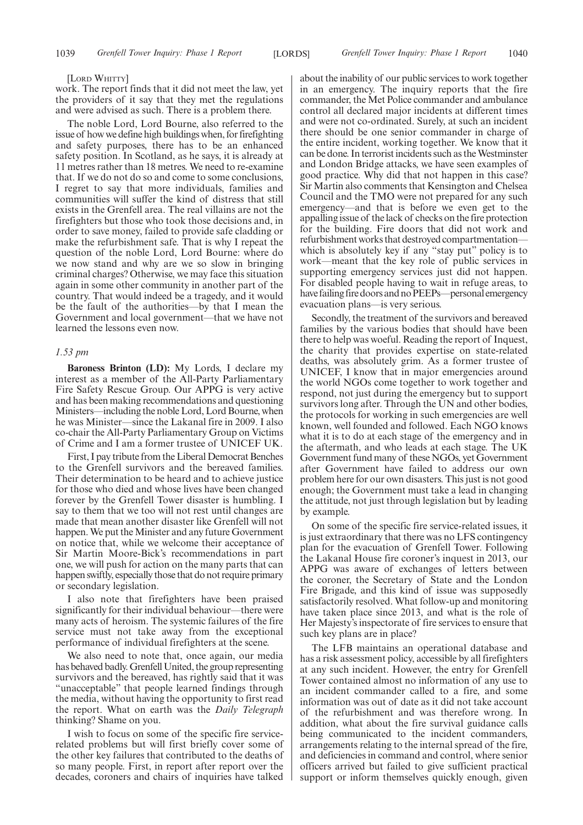#### [LORD WHITTY]

work. The report finds that it did not meet the law, yet the providers of it say that they met the regulations and were advised as such. There is a problem there.

The noble Lord, Lord Bourne, also referred to the issue of how we define high buildings when, for firefighting and safety purposes, there has to be an enhanced safety position. In Scotland, as he says, it is already at 11 metres rather than 18 metres. We need to re-examine that. If we do not do so and come to some conclusions, I regret to say that more individuals, families and communities will suffer the kind of distress that still exists in the Grenfell area. The real villains are not the firefighters but those who took those decisions and, in order to save money, failed to provide safe cladding or make the refurbishment safe. That is why I repeat the question of the noble Lord, Lord Bourne: where do we now stand and why are we so slow in bringing criminal charges? Otherwise, we may face this situation again in some other community in another part of the country. That would indeed be a tragedy, and it would be the fault of the authorities—by that I mean the Government and local government—that we have not learned the lessons even now.

#### *1.53 pm*

**Baroness Brinton (LD):** My Lords, I declare my interest as a member of the All-Party Parliamentary Fire Safety Rescue Group. Our APPG is very active and has been making recommendations and questioning Ministers—including the noble Lord, Lord Bourne, when he was Minister—since the Lakanal fire in 2009. I also co-chair the All-Party Parliamentary Group on Victims of Crime and I am a former trustee of UNICEF UK.

First, I pay tribute from the Liberal Democrat Benches to the Grenfell survivors and the bereaved families. Their determination to be heard and to achieve justice for those who died and whose lives have been changed forever by the Grenfell Tower disaster is humbling. I say to them that we too will not rest until changes are made that mean another disaster like Grenfell will not happen. We put the Minister and any future Government on notice that, while we welcome their acceptance of Sir Martin Moore-Bick's recommendations in part one, we will push for action on the many parts that can happen swiftly, especially those that do not require primary or secondary legislation.

I also note that firefighters have been praised significantly for their individual behaviour—there were many acts of heroism. The systemic failures of the fire service must not take away from the exceptional performance of individual firefighters at the scene.

We also need to note that, once again, our media has behaved badly. Grenfell United, the group representing survivors and the bereaved, has rightly said that it was "unacceptable" that people learned findings through the media, without having the opportunity to first read the report. What on earth was the *Daily Telegraph* thinking? Shame on you.

I wish to focus on some of the specific fire servicerelated problems but will first briefly cover some of the other key failures that contributed to the deaths of so many people. First, in report after report over the decades, coroners and chairs of inquiries have talked about the inability of our public services to work together in an emergency. The inquiry reports that the fire commander, the Met Police commander and ambulance control all declared major incidents at different times and were not co-ordinated. Surely, at such an incident there should be one senior commander in charge of the entire incident, working together. We know that it can be done. In terrorist incidents such as the Westminster and London Bridge attacks, we have seen examples of good practice. Why did that not happen in this case? Sir Martin also comments that Kensington and Chelsea Council and the TMO were not prepared for any such emergency—and that is before we even get to the appalling issue of the lack of checks on the fire protection for the building. Fire doors that did not work and refurbishment works that destroyed compartmentation which is absolutely key if any "stay put" policy is to work—meant that the key role of public services in supporting emergency services just did not happen. For disabled people having to wait in refuge areas, to have failing fire doors and no PEEPs—personal emergency evacuation plans—is very serious.

Secondly, the treatment of the survivors and bereaved families by the various bodies that should have been there to help was woeful. Reading the report of Inquest, the charity that provides expertise on state-related deaths, was absolutely grim. As a former trustee of UNICEF, I know that in major emergencies around the world NGOs come together to work together and respond, not just during the emergency but to support survivors long after. Through the UN and other bodies, the protocols for working in such emergencies are well known, well founded and followed. Each NGO knows what it is to do at each stage of the emergency and in the aftermath, and who leads at each stage. The UK Government fund many of these NGOs, yet Government after Government have failed to address our own problem here for our own disasters. This just is not good enough; the Government must take a lead in changing the attitude, not just through legislation but by leading by example.

On some of the specific fire service-related issues, it is just extraordinary that there was no LFS contingency plan for the evacuation of Grenfell Tower. Following the Lakanal House fire coroner's inquest in 2013, our APPG was aware of exchanges of letters between the coroner, the Secretary of State and the London Fire Brigade, and this kind of issue was supposedly satisfactorily resolved. What follow-up and monitoring have taken place since 2013, and what is the role of Her Majesty's inspectorate of fire services to ensure that such key plans are in place?

The LFB maintains an operational database and has a risk assessment policy, accessible by all firefighters at any such incident. However, the entry for Grenfell Tower contained almost no information of any use to an incident commander called to a fire, and some information was out of date as it did not take account of the refurbishment and was therefore wrong. In addition, what about the fire survival guidance calls being communicated to the incident commanders, arrangements relating to the internal spread of the fire, and deficiencies in command and control, where senior officers arrived but failed to give sufficient practical support or inform themselves quickly enough, given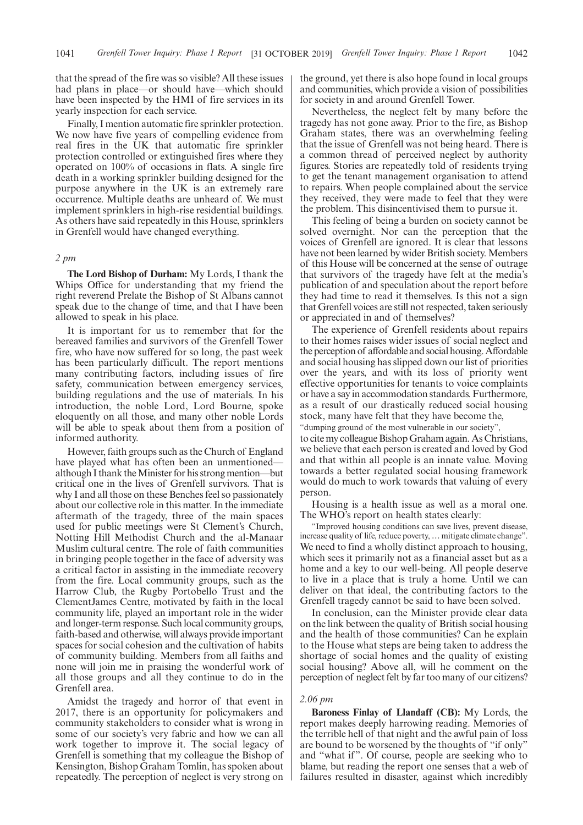that the spread of the fire was so visible? All these issues had plans in place—or should have—which should have been inspected by the HMI of fire services in its yearly inspection for each service.

Finally, I mention automatic fire sprinkler protection. We now have five years of compelling evidence from real fires in the UK that automatic fire sprinkler protection controlled or extinguished fires where they operated on 100% of occasions in flats. A single fire death in a working sprinkler building designed for the purpose anywhere in the UK is an extremely rare occurrence. Multiple deaths are unheard of. We must implement sprinklers in high-rise residential buildings. As others have said repeatedly in this House, sprinklers in Grenfell would have changed everything.

#### *2 pm*

**The Lord Bishop of Durham:** My Lords, I thank the Whips Office for understanding that my friend the right reverend Prelate the Bishop of St Albans cannot speak due to the change of time, and that I have been allowed to speak in his place.

It is important for us to remember that for the bereaved families and survivors of the Grenfell Tower fire, who have now suffered for so long, the past week has been particularly difficult. The report mentions many contributing factors, including issues of fire safety, communication between emergency services, building regulations and the use of materials. In his introduction, the noble Lord, Lord Bourne, spoke eloquently on all those, and many other noble Lords will be able to speak about them from a position of informed authority.

However, faith groups such as the Church of England have played what has often been an unmentioned although I thank the Minister for his strong mention—but critical one in the lives of Grenfell survivors. That is why I and all those on these Benches feel so passionately about our collective role in this matter. In the immediate aftermath of the tragedy, three of the main spaces used for public meetings were St Clement's Church, Notting Hill Methodist Church and the al-Manaar Muslim cultural centre. The role of faith communities in bringing people together in the face of adversity was a critical factor in assisting in the immediate recovery from the fire. Local community groups, such as the Harrow Club, the Rugby Portobello Trust and the ClementJames Centre, motivated by faith in the local community life, played an important role in the wider and longer-term response. Such local community groups, faith-based and otherwise, will always provide important spaces for social cohesion and the cultivation of habits of community building. Members from all faiths and none will join me in praising the wonderful work of all those groups and all they continue to do in the Grenfell area.

Amidst the tragedy and horror of that event in 2017, there is an opportunity for policymakers and community stakeholders to consider what is wrong in some of our society's very fabric and how we can all work together to improve it. The social legacy of Grenfell is something that my colleague the Bishop of Kensington, Bishop Graham Tomlin, has spoken about repeatedly. The perception of neglect is very strong on the ground, yet there is also hope found in local groups and communities, which provide a vision of possibilities for society in and around Grenfell Tower.

Nevertheless, the neglect felt by many before the tragedy has not gone away. Prior to the fire, as Bishop Graham states, there was an overwhelming feeling that the issue of Grenfell was not being heard. There is a common thread of perceived neglect by authority figures. Stories are repeatedly told of residents trying to get the tenant management organisation to attend to repairs. When people complained about the service they received, they were made to feel that they were the problem. This disincentivised them to pursue it.

This feeling of being a burden on society cannot be solved overnight. Nor can the perception that the voices of Grenfell are ignored. It is clear that lessons have not been learned by wider British society. Members of this House will be concerned at the sense of outrage that survivors of the tragedy have felt at the media's publication of and speculation about the report before they had time to read it themselves. Is this not a sign that Grenfell voices are still not respected, taken seriously or appreciated in and of themselves?

The experience of Grenfell residents about repairs to their homes raises wider issues of social neglect and the perception of affordable and social housing. Affordable and social housing has slipped down our list of priorities over the years, and with its loss of priority went effective opportunities for tenants to voice complaints or have a say in accommodation standards. Furthermore, as a result of our drastically reduced social housing stock, many have felt that they have become the, "dumping ground of the most vulnerable in our society", to cite my colleague Bishop Graham again. As Christians, we believe that each person is created and loved by God and that within all people is an innate value. Moving towards a better regulated social housing framework would do much to work towards that valuing of every

Housing is a health issue as well as a moral one. The WHO's report on health states clearly:

"Improved housing conditions can save lives, prevent disease, increase quality of life, reduce poverty, … mitigate climate change". We need to find a wholly distinct approach to housing, which sees it primarily not as a financial asset but as a home and a key to our well-being. All people deserve to live in a place that is truly a home. Until we can deliver on that ideal, the contributing factors to the Grenfell tragedy cannot be said to have been solved.

In conclusion, can the Minister provide clear data on the link between the quality of British social housing and the health of those communities? Can he explain to the House what steps are being taken to address the shortage of social homes and the quality of existing social housing? Above all, will he comment on the perception of neglect felt by far too many of our citizens?

#### *2.06 pm*

person.

**Baroness Finlay of Llandaff (CB):** My Lords, the report makes deeply harrowing reading. Memories of the terrible hell of that night and the awful pain of loss are bound to be worsened by the thoughts of "if only" and "what if". Of course, people are seeking who to blame, but reading the report one senses that a web of failures resulted in disaster, against which incredibly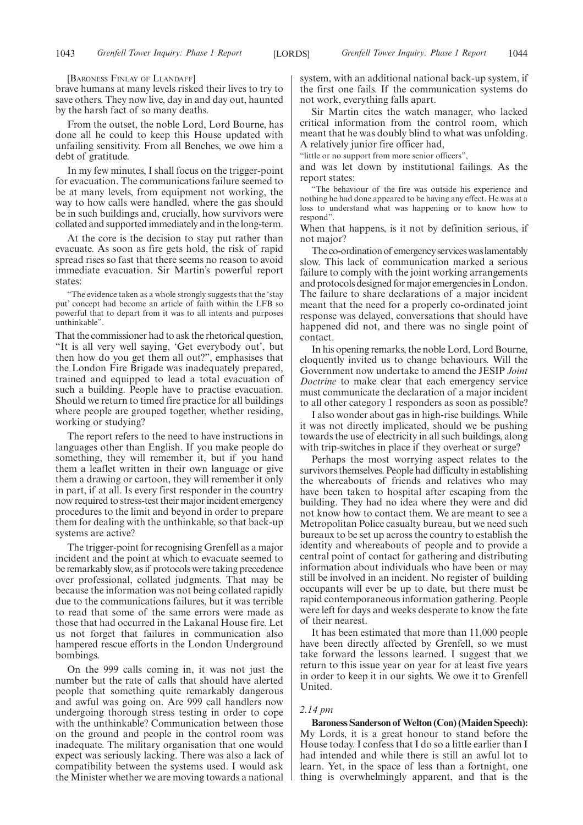[BARONESS FINLAY OF LLANDAFF]

brave humans at many levels risked their lives to try to save others. They now live, day in and day out, haunted by the harsh fact of so many deaths.

From the outset, the noble Lord, Lord Bourne, has done all he could to keep this House updated with unfailing sensitivity. From all Benches, we owe him a debt of gratitude.

In my few minutes, I shall focus on the trigger-point for evacuation. The communications failure seemed to be at many levels, from equipment not working, the way to how calls were handled, where the gas should be in such buildings and, crucially, how survivors were collated and supported immediately and in the long-term.

At the core is the decision to stay put rather than evacuate. As soon as fire gets hold, the risk of rapid spread rises so fast that there seems no reason to avoid immediate evacuation. Sir Martin's powerful report states:

"The evidence taken as a whole strongly suggests that the 'stay put' concept had become an article of faith within the LFB so powerful that to depart from it was to all intents and purposes unthinkable".

That the commissioner had to ask the rhetorical question, "It is all very well saying, 'Get everybody out', but then how do you get them all out?", emphasises that the London Fire Brigade was inadequately prepared, trained and equipped to lead a total evacuation of such a building. People have to practise evacuation. Should we return to timed fire practice for all buildings where people are grouped together, whether residing, working or studying?

The report refers to the need to have instructions in languages other than English. If you make people do something, they will remember it, but if you hand them a leaflet written in their own language or give them a drawing or cartoon, they will remember it only in part, if at all. Is every first responder in the country now required to stress-test their major incident emergency procedures to the limit and beyond in order to prepare them for dealing with the unthinkable, so that back-up systems are active?

The trigger-point for recognising Grenfell as a major incident and the point at which to evacuate seemed to be remarkably slow, as if protocols were taking precedence over professional, collated judgments. That may be because the information was not being collated rapidly due to the communications failures, but it was terrible to read that some of the same errors were made as those that had occurred in the Lakanal House fire. Let us not forget that failures in communication also hampered rescue efforts in the London Underground bombings.

On the 999 calls coming in, it was not just the number but the rate of calls that should have alerted people that something quite remarkably dangerous and awful was going on. Are 999 call handlers now undergoing thorough stress testing in order to cope with the unthinkable? Communication between those on the ground and people in the control room was inadequate. The military organisation that one would expect was seriously lacking. There was also a lack of compatibility between the systems used. I would ask the Minister whether we are moving towards a national system, with an additional national back-up system, if the first one fails. If the communication systems do not work, everything falls apart.

Sir Martin cites the watch manager, who lacked critical information from the control room, which meant that he was doubly blind to what was unfolding. A relatively junior fire officer had,

"little or no support from more senior officers",

and was let down by institutional failings. As the report states:

"The behaviour of the fire was outside his experience and nothing he had done appeared to be having any effect. He was at a loss to understand what was happening or to know how to respond"

When that happens, is it not by definition serious, if not major?

The co-ordination of emergency services was lamentably slow. This lack of communication marked a serious failure to comply with the joint working arrangements and protocols designed for major emergencies in London. The failure to share declarations of a major incident meant that the need for a properly co-ordinated joint response was delayed, conversations that should have happened did not, and there was no single point of contact.

In his opening remarks, the noble Lord, Lord Bourne, eloquently invited us to change behaviours. Will the Government now undertake to amend the JESIP *Joint Doctrine* to make clear that each emergency service must communicate the declaration of a major incident to all other category 1 responders as soon as possible?

I also wonder about gas in high-rise buildings. While it was not directly implicated, should we be pushing towards the use of electricity in all such buildings, along with trip-switches in place if they overheat or surge?

Perhaps the most worrying aspect relates to the survivors themselves. People had difficulty in establishing the whereabouts of friends and relatives who may have been taken to hospital after escaping from the building. They had no idea where they were and did not know how to contact them. We are meant to see a Metropolitan Police casualty bureau, but we need such bureaux to be set up across the country to establish the identity and whereabouts of people and to provide a central point of contact for gathering and distributing information about individuals who have been or may still be involved in an incident. No register of building occupants will ever be up to date, but there must be rapid contemporaneous information gathering. People were left for days and weeks desperate to know the fate of their nearest.

It has been estimated that more than 11,000 people have been directly affected by Grenfell, so we must take forward the lessons learned. I suggest that we return to this issue year on year for at least five years in order to keep it in our sights. We owe it to Grenfell United.

#### *2.14 pm*

**Baroness Sanderson of Welton (Con) (Maiden Speech):** My Lords, it is a great honour to stand before the House today. I confess that I do so a little earlier than I had intended and while there is still an awful lot to learn. Yet, in the space of less than a fortnight, one thing is overwhelmingly apparent, and that is the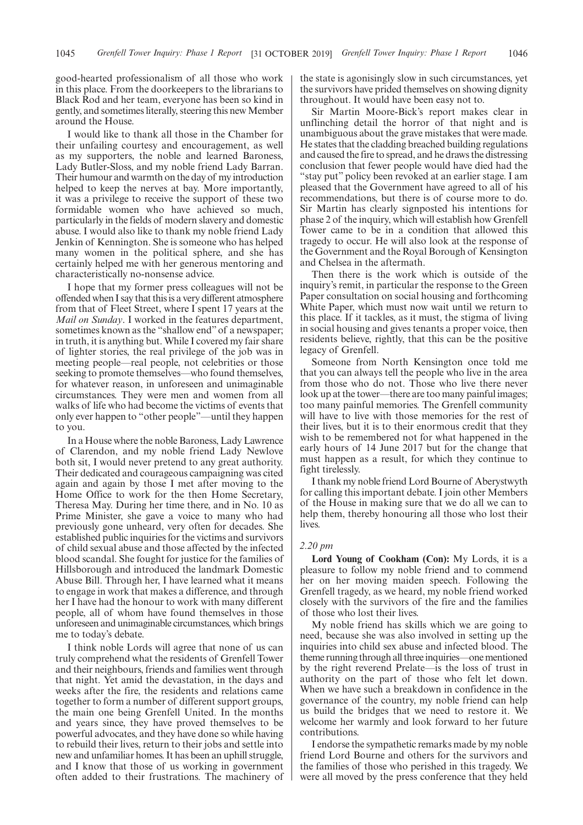good-hearted professionalism of all those who work in this place. From the doorkeepers to the librarians to Black Rod and her team, everyone has been so kind in gently, and sometimes literally, steering this new Member around the House.

I would like to thank all those in the Chamber for their unfailing courtesy and encouragement, as well as my supporters, the noble and learned Baroness, Lady Butler-Sloss, and my noble friend Lady Barran. Their humour and warmth on the day of my introduction helped to keep the nerves at bay. More importantly, it was a privilege to receive the support of these two formidable women who have achieved so much, particularly in the fields of modern slavery and domestic abuse. I would also like to thank my noble friend Lady Jenkin of Kennington. She is someone who has helped many women in the political sphere, and she has certainly helped me with her generous mentoring and characteristically no-nonsense advice.

I hope that my former press colleagues will not be offended when I say that this is a very different atmosphere from that of Fleet Street, where I spent 17 years at the *Mail on Sunday*. I worked in the features department, sometimes known as the "shallow end" of a newspaper; in truth, it is anything but. While I covered my fair share of lighter stories, the real privilege of the job was in meeting people—real people, not celebrities or those seeking to promote themselves—who found themselves, for whatever reason, in unforeseen and unimaginable circumstances. They were men and women from all walks of life who had become the victims of events that only ever happen to "other people"—until they happen to you.

In a House where the noble Baroness, Lady Lawrence of Clarendon, and my noble friend Lady Newlove both sit, I would never pretend to any great authority. Their dedicated and courageous campaigning was cited again and again by those I met after moving to the Home Office to work for the then Home Secretary, Theresa May. During her time there, and in No. 10 as Prime Minister, she gave a voice to many who had previously gone unheard, very often for decades. She established public inquiries for the victims and survivors of child sexual abuse and those affected by the infected blood scandal. She fought for justice for the families of Hillsborough and introduced the landmark Domestic Abuse Bill. Through her, I have learned what it means to engage in work that makes a difference, and through her I have had the honour to work with many different people, all of whom have found themselves in those unforeseen and unimaginable circumstances, which brings me to today's debate.

I think noble Lords will agree that none of us can truly comprehend what the residents of Grenfell Tower and their neighbours, friends and families went through that night. Yet amid the devastation, in the days and weeks after the fire, the residents and relations came together to form a number of different support groups, the main one being Grenfell United. In the months and years since, they have proved themselves to be powerful advocates, and they have done so while having to rebuild their lives, return to their jobs and settle into new and unfamiliar homes. It has been an uphill struggle, and I know that those of us working in government often added to their frustrations. The machinery of the state is agonisingly slow in such circumstances, yet the survivors have prided themselves on showing dignity throughout. It would have been easy not to.

Sir Martin Moore-Bick's report makes clear in unflinching detail the horror of that night and is unambiguous about the grave mistakes that were made. He states that the cladding breached building regulations and caused the fire to spread, and he draws the distressing conclusion that fewer people would have died had the "stay put" policy been revoked at an earlier stage. I am pleased that the Government have agreed to all of his recommendations, but there is of course more to do. Sir Martin has clearly signposted his intentions for phase 2 of the inquiry, which will establish how Grenfell Tower came to be in a condition that allowed this tragedy to occur. He will also look at the response of the Government and the Royal Borough of Kensington and Chelsea in the aftermath.

Then there is the work which is outside of the inquiry's remit, in particular the response to the Green Paper consultation on social housing and forthcoming White Paper, which must now wait until we return to this place. If it tackles, as it must, the stigma of living in social housing and gives tenants a proper voice, then residents believe, rightly, that this can be the positive legacy of Grenfell.

Someone from North Kensington once told me that you can always tell the people who live in the area from those who do not. Those who live there never look up at the tower—there are too many painful images; too many painful memories. The Grenfell community will have to live with those memories for the rest of their lives, but it is to their enormous credit that they wish to be remembered not for what happened in the early hours of 14 June 2017 but for the change that must happen as a result, for which they continue to fight tirelessly.

I thank my noble friend Lord Bourne of Aberystwyth for calling this important debate. I join other Members of the House in making sure that we do all we can to help them, thereby honouring all those who lost their lives.

#### *2.20 pm*

**Lord Young of Cookham (Con):** My Lords, it is a pleasure to follow my noble friend and to commend her on her moving maiden speech. Following the Grenfell tragedy, as we heard, my noble friend worked closely with the survivors of the fire and the families of those who lost their lives.

My noble friend has skills which we are going to need, because she was also involved in setting up the inquiries into child sex abuse and infected blood. The theme running through all three inquiries—one mentioned by the right reverend Prelate—is the loss of trust in authority on the part of those who felt let down. When we have such a breakdown in confidence in the governance of the country, my noble friend can help us build the bridges that we need to restore it. We welcome her warmly and look forward to her future contributions.

I endorse the sympathetic remarks made by my noble friend Lord Bourne and others for the survivors and the families of those who perished in this tragedy. We were all moved by the press conference that they held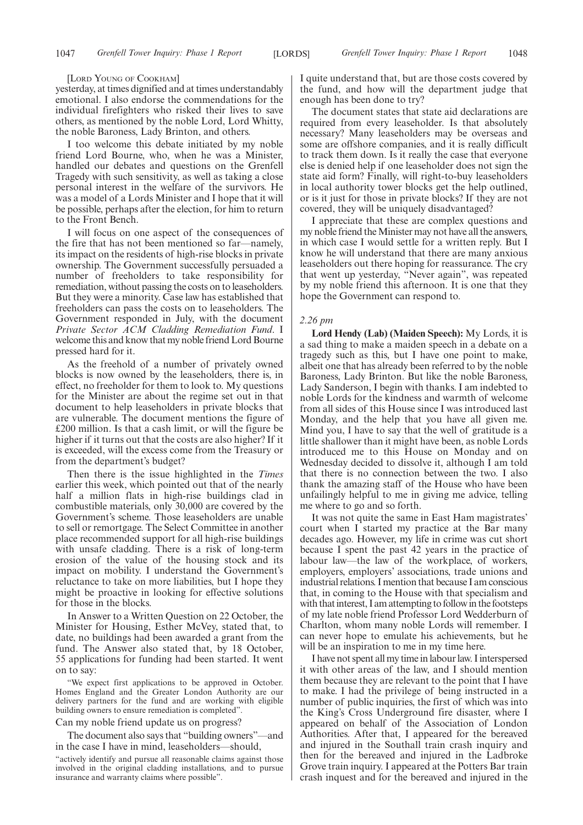#### [LORD YOUNG OF COOKHAM]

yesterday, at times dignified and at times understandably emotional. I also endorse the commendations for the individual firefighters who risked their lives to save others, as mentioned by the noble Lord, Lord Whitty, the noble Baroness, Lady Brinton, and others.

I too welcome this debate initiated by my noble friend Lord Bourne, who, when he was a Minister, handled our debates and questions on the Grenfell Tragedy with such sensitivity, as well as taking a close personal interest in the welfare of the survivors. He was a model of a Lords Minister and I hope that it will be possible, perhaps after the election, for him to return to the Front Bench.

I will focus on one aspect of the consequences of the fire that has not been mentioned so far—namely, its impact on the residents of high-rise blocks in private ownership. The Government successfully persuaded a number of freeholders to take responsibility for remediation, without passing the costs on to leaseholders. But they were a minority. Case law has established that freeholders can pass the costs on to leaseholders. The Government responded in July, with the document *Private Sector ACM Cladding Remediation Fund*. I welcome this and know that my noble friend Lord Bourne pressed hard for it.

As the freehold of a number of privately owned blocks is now owned by the leaseholders, there is, in effect, no freeholder for them to look to. My questions for the Minister are about the regime set out in that document to help leaseholders in private blocks that are vulnerable. The document mentions the figure of £200 million. Is that a cash limit, or will the figure be higher if it turns out that the costs are also higher? If it is exceeded, will the excess come from the Treasury or from the department's budget?

Then there is the issue highlighted in the *Times* earlier this week, which pointed out that of the nearly half a million flats in high-rise buildings clad in combustible materials, only 30,000 are covered by the Government's scheme. Those leaseholders are unable to sell or remortgage. The Select Committee in another place recommended support for all high-rise buildings with unsafe cladding. There is a risk of long-term erosion of the value of the housing stock and its impact on mobility. I understand the Government's reluctance to take on more liabilities, but I hope they might be proactive in looking for effective solutions for those in the blocks.

In Answer to a Written Question on 22 October, the Minister for Housing, Esther McVey, stated that, to date, no buildings had been awarded a grant from the fund. The Answer also stated that, by 18 October, 55 applications for funding had been started. It went on to say:

"We expect first applications to be approved in October. Homes England and the Greater London Authority are our delivery partners for the fund and are working with eligible building owners to ensure remediation is completed".

Can my noble friend update us on progress?

The document also says that "building owners"—and in the case I have in mind, leaseholders—should,

"actively identify and pursue all reasonable claims against those involved in the original cladding installations, and to pursue insurance and warranty claims where possible".

I quite understand that, but are those costs covered by the fund, and how will the department judge that enough has been done to try?

The document states that state aid declarations are required from every leaseholder. Is that absolutely necessary? Many leaseholders may be overseas and some are offshore companies, and it is really difficult to track them down. Is it really the case that everyone else is denied help if one leaseholder does not sign the state aid form? Finally, will right-to-buy leaseholders in local authority tower blocks get the help outlined, or is it just for those in private blocks? If they are not covered, they will be uniquely disadvantaged?

I appreciate that these are complex questions and my noble friend the Minister may not have all the answers, in which case I would settle for a written reply. But I know he will understand that there are many anxious leaseholders out there hoping for reassurance. The cry that went up yesterday, "Never again", was repeated by my noble friend this afternoon. It is one that they hope the Government can respond to.

#### *2.26 pm*

**Lord Hendy (Lab) (Maiden Speech):** My Lords, it is a sad thing to make a maiden speech in a debate on a tragedy such as this, but I have one point to make, albeit one that has already been referred to by the noble Baroness, Lady Brinton. But like the noble Baroness, Lady Sanderson, I begin with thanks. I am indebted to noble Lords for the kindness and warmth of welcome from all sides of this House since I was introduced last Monday, and the help that you have all given me. Mind you, I have to say that the well of gratitude is a little shallower than it might have been, as noble Lords introduced me to this House on Monday and on Wednesday decided to dissolve it, although I am told that there is no connection between the two. I also thank the amazing staff of the House who have been unfailingly helpful to me in giving me advice, telling me where to go and so forth.

It was not quite the same in East Ham magistrates' court when I started my practice at the Bar many decades ago. However, my life in crime was cut short because I spent the past 42 years in the practice of labour law—the law of the workplace, of workers, employers, employers' associations, trade unions and industrial relations. I mention that because I am conscious that, in coming to the House with that specialism and with that interest, I am attempting to follow in the footsteps of my late noble friend Professor Lord Wedderburn of Charlton, whom many noble Lords will remember. I can never hope to emulate his achievements, but he will be an inspiration to me in my time here.

I have not spent all my time in labour law. I interspersed it with other areas of the law, and I should mention them because they are relevant to the point that I have to make. I had the privilege of being instructed in a number of public inquiries, the first of which was into the King's Cross Underground fire disaster, where I appeared on behalf of the Association of London Authorities. After that, I appeared for the bereaved and injured in the Southall train crash inquiry and then for the bereaved and injured in the Ladbroke Grove train inquiry. I appeared at the Potters Bar train crash inquest and for the bereaved and injured in the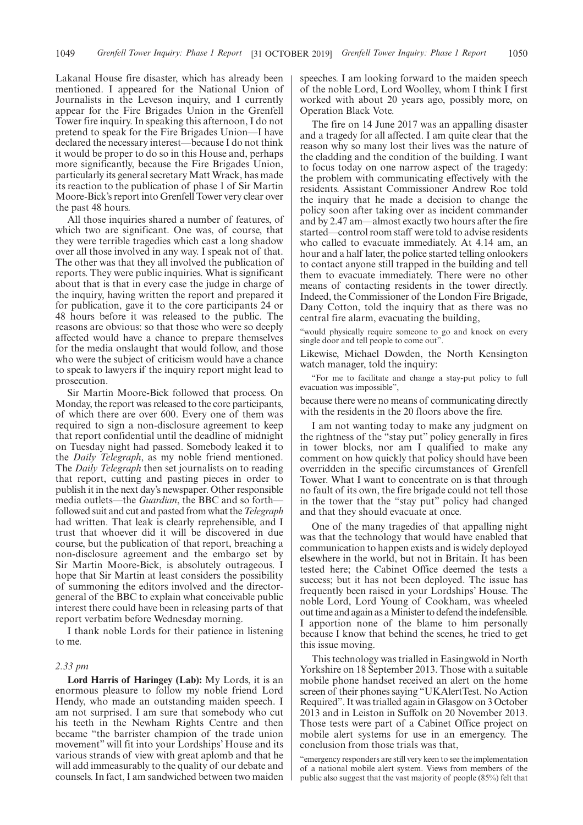Lakanal House fire disaster, which has already been mentioned. I appeared for the National Union of Journalists in the Leveson inquiry, and I currently appear for the Fire Brigades Union in the Grenfell Tower fire inquiry. In speaking this afternoon, I do not pretend to speak for the Fire Brigades Union—I have declared the necessary interest—because I do not think it would be proper to do so in this House and, perhaps more significantly, because the Fire Brigades Union, particularly its general secretary Matt Wrack, has made its reaction to the publication of phase 1 of Sir Martin Moore-Bick's report into Grenfell Tower very clear over the past 48 hours.

All those inquiries shared a number of features, of which two are significant. One was, of course, that they were terrible tragedies which cast a long shadow over all those involved in any way. I speak not of that. The other was that they all involved the publication of reports. They were public inquiries. What is significant about that is that in every case the judge in charge of the inquiry, having written the report and prepared it for publication, gave it to the core participants 24 or 48 hours before it was released to the public. The reasons are obvious: so that those who were so deeply affected would have a chance to prepare themselves for the media onslaught that would follow, and those who were the subject of criticism would have a chance to speak to lawyers if the inquiry report might lead to prosecution.

Sir Martin Moore-Bick followed that process. On Monday, the report was released to the core participants, of which there are over 600. Every one of them was required to sign a non-disclosure agreement to keep that report confidential until the deadline of midnight on Tuesday night had passed. Somebody leaked it to the *Daily Telegraph*, as my noble friend mentioned. The *Daily Telegraph* then set journalists on to reading that report, cutting and pasting pieces in order to publish it in the next day's newspaper. Other responsible media outlets—the *Guardian*, the BBC and so forth followed suit and cut and pasted from what the*Telegraph* had written. That leak is clearly reprehensible, and I trust that whoever did it will be discovered in due course, but the publication of that report, breaching a non-disclosure agreement and the embargo set by Sir Martin Moore-Bick, is absolutely outrageous. I hope that Sir Martin at least considers the possibility of summoning the editors involved and the directorgeneral of the BBC to explain what conceivable public interest there could have been in releasing parts of that report verbatim before Wednesday morning.

I thank noble Lords for their patience in listening to me.

#### *2.33 pm*

**Lord Harris of Haringey (Lab):** My Lords, it is an enormous pleasure to follow my noble friend Lord Hendy, who made an outstanding maiden speech. I am not surprised. I am sure that somebody who cut his teeth in the Newham Rights Centre and then became "the barrister champion of the trade union movement" will fit into your Lordships' House and its various strands of view with great aplomb and that he will add immeasurably to the quality of our debate and counsels. In fact, I am sandwiched between two maiden speeches. I am looking forward to the maiden speech of the noble Lord, Lord Woolley, whom I think I first worked with about 20 years ago, possibly more, on Operation Black Vote.

The fire on 14 June 2017 was an appalling disaster and a tragedy for all affected. I am quite clear that the reason why so many lost their lives was the nature of the cladding and the condition of the building. I want to focus today on one narrow aspect of the tragedy: the problem with communicating effectively with the residents. Assistant Commissioner Andrew Roe told the inquiry that he made a decision to change the policy soon after taking over as incident commander and by 2.47 am—almost exactly two hours after the fire started—control room staff were told to advise residents who called to evacuate immediately. At 4.14 am, an hour and a half later, the police started telling onlookers to contact anyone still trapped in the building and tell them to evacuate immediately. There were no other means of contacting residents in the tower directly. Indeed, the Commissioner of the London Fire Brigade, Dany Cotton, told the inquiry that as there was no central fire alarm, evacuating the building,

"would physically require someone to go and knock on every single door and tell people to come out".

Likewise, Michael Dowden, the North Kensington watch manager, told the inquiry:

"For me to facilitate and change a stay-put policy to full evacuation was impossible",

because there were no means of communicating directly with the residents in the 20 floors above the fire.

I am not wanting today to make any judgment on the rightness of the "stay put" policy generally in fires in tower blocks, nor am I qualified to make any comment on how quickly that policy should have been overridden in the specific circumstances of Grenfell Tower. What I want to concentrate on is that through no fault of its own, the fire brigade could not tell those in the tower that the "stay put" policy had changed and that they should evacuate at once.

One of the many tragedies of that appalling night was that the technology that would have enabled that communication to happen exists and is widely deployed elsewhere in the world, but not in Britain. It has been tested here; the Cabinet Office deemed the tests a success; but it has not been deployed. The issue has frequently been raised in your Lordships' House. The noble Lord, Lord Young of Cookham, was wheeled out time and again as a Minister to defend the indefensible. I apportion none of the blame to him personally because I know that behind the scenes, he tried to get this issue moving.

This technology was trialled in Easingwold in North Yorkshire on 18 September 2013. Those with a suitable mobile phone handset received an alert on the home screen of their phones saying "UKAlertTest. No Action Required". It was trialled again in Glasgow on 3 October 2013 and in Leiston in Suffolk on 20 November 2013. Those tests were part of a Cabinet Office project on mobile alert systems for use in an emergency. The conclusion from those trials was that,

"emergency responders are still very keen to see the implementation of a national mobile alert system. Views from members of the public also suggest that the vast majority of people (85%) felt that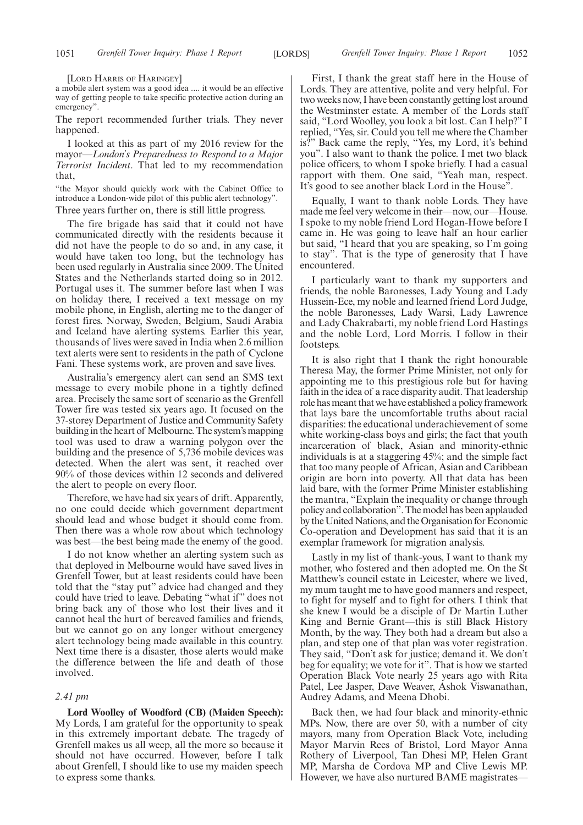[LORD HARRIS OF HARINGEY]

a mobile alert system was a good idea .... it would be an effective way of getting people to take specific protective action during an emergency".

The report recommended further trials. They never happened.

I looked at this as part of my 2016 review for the mayor—*London's Preparedness to Respond to a Major Terrorist Incident*. That led to my recommendation that,

"the Mayor should quickly work with the Cabinet Office to introduce a London-wide pilot of this public alert technology".

Three years further on, there is still little progress.

The fire brigade has said that it could not have communicated directly with the residents because it did not have the people to do so and, in any case, it would have taken too long, but the technology has been used regularly in Australia since 2009. The United States and the Netherlands started doing so in 2012. Portugal uses it. The summer before last when I was on holiday there, I received a text message on my mobile phone, in English, alerting me to the danger of forest fires. Norway, Sweden, Belgium, Saudi Arabia and Iceland have alerting systems. Earlier this year, thousands of lives were saved in India when 2.6 million text alerts were sent to residents in the path of Cyclone Fani. These systems work, are proven and save lives.

Australia's emergency alert can send an SMS text message to every mobile phone in a tightly defined area. Precisely the same sort of scenario as the Grenfell Tower fire was tested six years ago. It focused on the 37-storey Department of Justice and Community Safety building in the heart of Melbourne. The system's mapping tool was used to draw a warning polygon over the building and the presence of 5,736 mobile devices was detected. When the alert was sent, it reached over 90% of those devices within 12 seconds and delivered the alert to people on every floor.

Therefore, we have had six years of drift. Apparently, no one could decide which government department should lead and whose budget it should come from. Then there was a whole row about which technology was best—the best being made the enemy of the good.

I do not know whether an alerting system such as that deployed in Melbourne would have saved lives in Grenfell Tower, but at least residents could have been told that the "stay put" advice had changed and they could have tried to leave. Debating "what if" does not bring back any of those who lost their lives and it cannot heal the hurt of bereaved families and friends, but we cannot go on any longer without emergency alert technology being made available in this country. Next time there is a disaster, those alerts would make the difference between the life and death of those involved.

#### *2.41 pm*

**Lord Woolley of Woodford (CB) (Maiden Speech):** My Lords, I am grateful for the opportunity to speak in this extremely important debate. The tragedy of Grenfell makes us all weep, all the more so because it should not have occurred. However, before I talk about Grenfell, I should like to use my maiden speech to express some thanks.

First, I thank the great staff here in the House of Lords. They are attentive, polite and very helpful. For two weeks now, I have been constantly getting lost around the Westminster estate. A member of the Lords staff said, "Lord Woolley, you look a bit lost. Can I help?" I replied, "Yes, sir. Could you tell me where the Chamber is?" Back came the reply, "Yes, my Lord, it's behind you". I also want to thank the police. I met two black police officers, to whom I spoke briefly. I had a casual rapport with them. One said, "Yeah man, respect. It's good to see another black Lord in the House".

Equally, I want to thank noble Lords. They have made me feel very welcome in their—now, our—House. I spoke to my noble friend Lord Hogan-Howe before I came in. He was going to leave half an hour earlier but said, "I heard that you are speaking, so I'm going to stay". That is the type of generosity that I have encountered.

I particularly want to thank my supporters and friends, the noble Baronesses, Lady Young and Lady Hussein-Ece, my noble and learned friend Lord Judge, the noble Baronesses, Lady Warsi, Lady Lawrence and Lady Chakrabarti, my noble friend Lord Hastings and the noble Lord, Lord Morris. I follow in their footsteps.

It is also right that I thank the right honourable Theresa May, the former Prime Minister, not only for appointing me to this prestigious role but for having faith in the idea of a race disparity audit. That leadership role has meant that we have established a policy framework that lays bare the uncomfortable truths about racial disparities: the educational underachievement of some white working-class boys and girls; the fact that youth incarceration of black, Asian and minority-ethnic individuals is at a staggering 45%; and the simple fact that too many people of African, Asian and Caribbean origin are born into poverty. All that data has been laid bare, with the former Prime Minister establishing the mantra, "Explain the inequality or change through policy and collaboration". The model has been applauded by the United Nations, and the Organisation for Economic Co-operation and Development has said that it is an exemplar framework for migration analysis.

Lastly in my list of thank-yous, I want to thank my mother, who fostered and then adopted me. On the St Matthew's council estate in Leicester, where we lived, my mum taught me to have good manners and respect, to fight for myself and to fight for others. I think that she knew I would be a disciple of Dr Martin Luther King and Bernie Grant—this is still Black History Month, by the way. They both had a dream but also a plan, and step one of that plan was voter registration. They said, "Don't ask for justice; demand it. We don't beg for equality; we vote for it". That is how we started Operation Black Vote nearly 25 years ago with Rita Patel, Lee Jasper, Dave Weaver, Ashok Viswanathan, Audrey Adams, and Meena Dhobi.

Back then, we had four black and minority-ethnic MPs. Now, there are over 50, with a number of city mayors, many from Operation Black Vote, including Mayor Marvin Rees of Bristol, Lord Mayor Anna Rothery of Liverpool, Tan Dhesi MP, Helen Grant MP, Marsha de Cordova MP and Clive Lewis MP. However, we have also nurtured BAME magistrates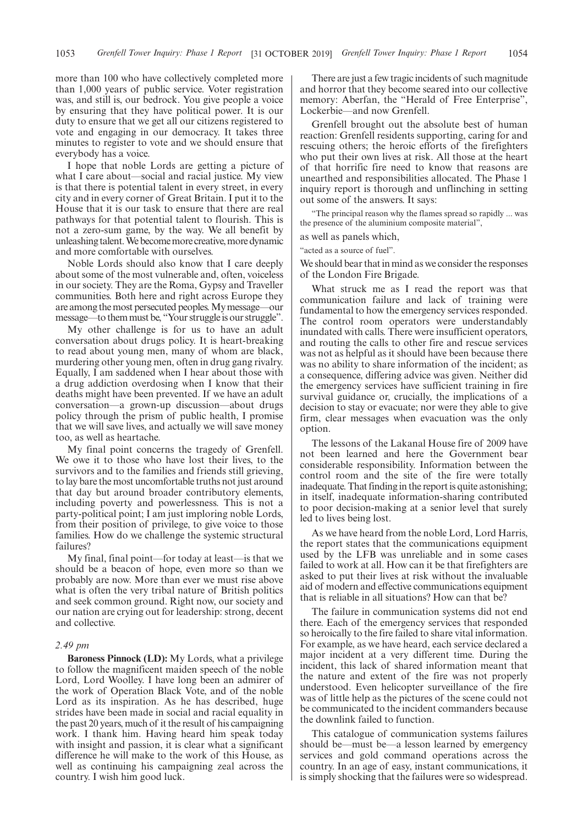more than 100 who have collectively completed more than 1,000 years of public service. Voter registration was, and still is, our bedrock. You give people a voice by ensuring that they have political power. It is our duty to ensure that we get all our citizens registered to vote and engaging in our democracy. It takes three minutes to register to vote and we should ensure that everybody has a voice.

I hope that noble Lords are getting a picture of what I care about—social and racial justice. My view is that there is potential talent in every street, in every city and in every corner of Great Britain. I put it to the House that it is our task to ensure that there are real pathways for that potential talent to flourish. This is not a zero-sum game, by the way. We all benefit by unleashing talent. We become more creative, more dynamic and more comfortable with ourselves.

Noble Lords should also know that I care deeply about some of the most vulnerable and, often, voiceless in our society. They are the Roma, Gypsy and Traveller communities. Both here and right across Europe they are among the most persecuted peoples. My message—our message—to them must be, "Your struggle is our struggle".

My other challenge is for us to have an adult conversation about drugs policy. It is heart-breaking to read about young men, many of whom are black, murdering other young men, often in drug gang rivalry. Equally, I am saddened when I hear about those with a drug addiction overdosing when I know that their deaths might have been prevented. If we have an adult conversation—a grown-up discussion—about drugs policy through the prism of public health, I promise that we will save lives, and actually we will save money too, as well as heartache.

My final point concerns the tragedy of Grenfell. We owe it to those who have lost their lives, to the survivors and to the families and friends still grieving, to lay bare the most uncomfortable truths not just around that day but around broader contributory elements, including poverty and powerlessness. This is not a party-political point; I am just imploring noble Lords, from their position of privilege, to give voice to those families. How do we challenge the systemic structural failures?

My final, final point—for today at least—is that we should be a beacon of hope, even more so than we probably are now. More than ever we must rise above what is often the very tribal nature of British politics and seek common ground. Right now, our society and our nation are crying out for leadership: strong, decent and collective.

#### *2.49 pm*

**Baroness Pinnock (LD):** My Lords, what a privilege to follow the magnificent maiden speech of the noble Lord, Lord Woolley. I have long been an admirer of the work of Operation Black Vote, and of the noble Lord as its inspiration. As he has described, huge strides have been made in social and racial equality in the past 20 years, much of it the result of his campaigning work. I thank him. Having heard him speak today with insight and passion, it is clear what a significant difference he will make to the work of this House, as well as continuing his campaigning zeal across the country. I wish him good luck.

There are just a few tragic incidents of such magnitude and horror that they become seared into our collective memory: Aberfan, the "Herald of Free Enterprise", Lockerbie—and now Grenfell.

Grenfell brought out the absolute best of human reaction: Grenfell residents supporting, caring for and rescuing others; the heroic efforts of the firefighters who put their own lives at risk. All those at the heart of that horrific fire need to know that reasons are unearthed and responsibilities allocated. The Phase 1 inquiry report is thorough and unflinching in setting out some of the answers. It says:

"The principal reason why the flames spread so rapidly ... was the presence of the aluminium composite material",

as well as panels which,

"acted as a source of fuel".

We should bear that in mind as we consider the responses of the London Fire Brigade.

What struck me as I read the report was that communication failure and lack of training were fundamental to how the emergency services responded. The control room operators were understandably inundated with calls. There were insufficient operators, and routing the calls to other fire and rescue services was not as helpful as it should have been because there was no ability to share information of the incident; as a consequence, differing advice was given. Neither did the emergency services have sufficient training in fire survival guidance or, crucially, the implications of a decision to stay or evacuate; nor were they able to give firm, clear messages when evacuation was the only option.

The lessons of the Lakanal House fire of 2009 have not been learned and here the Government bear considerable responsibility. Information between the control room and the site of the fire were totally inadequate. That finding in the report is quite astonishing; in itself, inadequate information-sharing contributed to poor decision-making at a senior level that surely led to lives being lost.

As we have heard from the noble Lord, Lord Harris, the report states that the communications equipment used by the LFB was unreliable and in some cases failed to work at all. How can it be that firefighters are asked to put their lives at risk without the invaluable aid of modern and effective communications equipment that is reliable in all situations? How can that be?

The failure in communication systems did not end there. Each of the emergency services that responded so heroically to the fire failed to share vital information. For example, as we have heard, each service declared a major incident at a very different time. During the incident, this lack of shared information meant that the nature and extent of the fire was not properly understood. Even helicopter surveillance of the fire was of little help as the pictures of the scene could not be communicated to the incident commanders because the downlink failed to function.

This catalogue of communication systems failures should be—must be—a lesson learned by emergency services and gold command operations across the country. In an age of easy, instant communications, it is simply shocking that the failures were so widespread.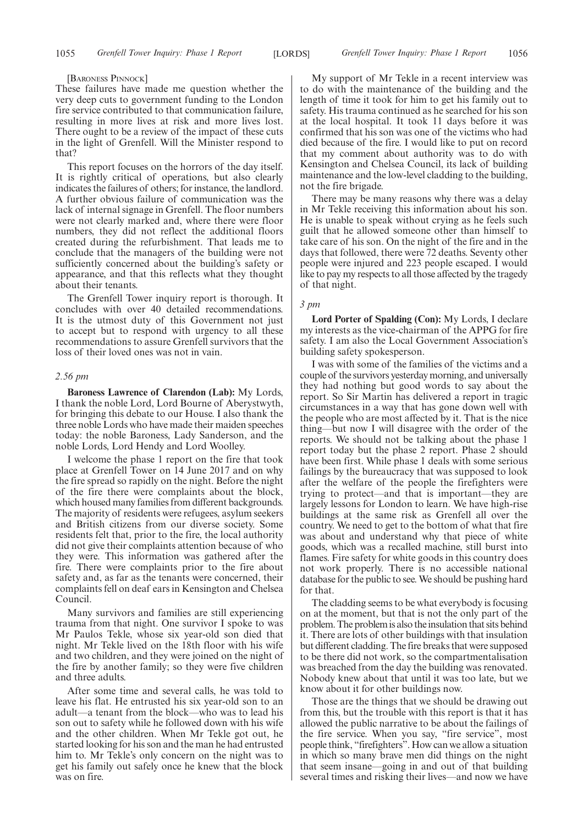#### [BARONESS PINNOCK]

These failures have made me question whether the very deep cuts to government funding to the London fire service contributed to that communication failure, resulting in more lives at risk and more lives lost. There ought to be a review of the impact of these cuts in the light of Grenfell. Will the Minister respond to that?

This report focuses on the horrors of the day itself. It is rightly critical of operations, but also clearly indicates the failures of others; for instance, the landlord. A further obvious failure of communication was the lack of internal signage in Grenfell. The floor numbers were not clearly marked and, where there were floor numbers, they did not reflect the additional floors created during the refurbishment. That leads me to conclude that the managers of the building were not sufficiently concerned about the building's safety or appearance, and that this reflects what they thought about their tenants.

The Grenfell Tower inquiry report is thorough. It concludes with over 40 detailed recommendations. It is the utmost duty of this Government not just to accept but to respond with urgency to all these recommendations to assure Grenfell survivors that the loss of their loved ones was not in vain.

#### *2.56 pm*

**Baroness Lawrence of Clarendon (Lab):** My Lords, I thank the noble Lord, Lord Bourne of Aberystwyth, for bringing this debate to our House. I also thank the three noble Lords who have made their maiden speeches today: the noble Baroness, Lady Sanderson, and the noble Lords, Lord Hendy and Lord Woolley.

I welcome the phase 1 report on the fire that took place at Grenfell Tower on 14 June 2017 and on why the fire spread so rapidly on the night. Before the night of the fire there were complaints about the block, which housed many families from different backgrounds. The majority of residents were refugees, asylum seekers and British citizens from our diverse society. Some residents felt that, prior to the fire, the local authority did not give their complaints attention because of who they were. This information was gathered after the fire. There were complaints prior to the fire about safety and, as far as the tenants were concerned, their complaints fell on deaf ears in Kensington and Chelsea Council.

Many survivors and families are still experiencing trauma from that night. One survivor I spoke to was Mr Paulos Tekle, whose six year-old son died that night. Mr Tekle lived on the 18th floor with his wife and two children, and they were joined on the night of the fire by another family; so they were five children and three adults.

After some time and several calls, he was told to leave his flat. He entrusted his six year-old son to an adult—a tenant from the block—who was to lead his son out to safety while he followed down with his wife and the other children. When Mr Tekle got out, he started looking for his son and the man he had entrusted him to. Mr Tekle's only concern on the night was to get his family out safely once he knew that the block was on fire.

My support of Mr Tekle in a recent interview was to do with the maintenance of the building and the length of time it took for him to get his family out to safety. His trauma continued as he searched for his son at the local hospital. It took 11 days before it was confirmed that his son was one of the victims who had died because of the fire. I would like to put on record that my comment about authority was to do with Kensington and Chelsea Council, its lack of building maintenance and the low-level cladding to the building, not the fire brigade.

There may be many reasons why there was a delay in Mr Tekle receiving this information about his son. He is unable to speak without crying as he feels such guilt that he allowed someone other than himself to take care of his son. On the night of the fire and in the days that followed, there were 72 deaths. Seventy other people were injured and 223 people escaped. I would like to pay my respects to all those affected by the tragedy of that night.

#### *3 pm*

**Lord Porter of Spalding (Con):** My Lords, I declare my interests as the vice-chairman of the APPG for fire safety. I am also the Local Government Association's building safety spokesperson.

I was with some of the families of the victims and a couple of the survivors yesterday morning, and universally they had nothing but good words to say about the report. So Sir Martin has delivered a report in tragic circumstances in a way that has gone down well with the people who are most affected by it. That is the nice thing—but now I will disagree with the order of the reports. We should not be talking about the phase 1 report today but the phase 2 report. Phase 2 should have been first. While phase 1 deals with some serious failings by the bureaucracy that was supposed to look after the welfare of the people the firefighters were trying to protect—and that is important—they are largely lessons for London to learn. We have high-rise buildings at the same risk as Grenfell all over the country. We need to get to the bottom of what that fire was about and understand why that piece of white goods, which was a recalled machine, still burst into flames. Fire safety for white goods in this country does not work properly. There is no accessible national database for the public to see. We should be pushing hard for that.

The cladding seems to be what everybody is focusing on at the moment, but that is not the only part of the problem. The problem is also the insulation that sits behind it. There are lots of other buildings with that insulation but different cladding. The fire breaks that were supposed to be there did not work, so the compartmentalisation was breached from the day the building was renovated. Nobody knew about that until it was too late, but we know about it for other buildings now.

Those are the things that we should be drawing out from this, but the trouble with this report is that it has allowed the public narrative to be about the failings of the fire service. When you say, "fire service", most people think, "firefighters". How can we allow a situation in which so many brave men did things on the night that seem insane—going in and out of that building several times and risking their lives—and now we have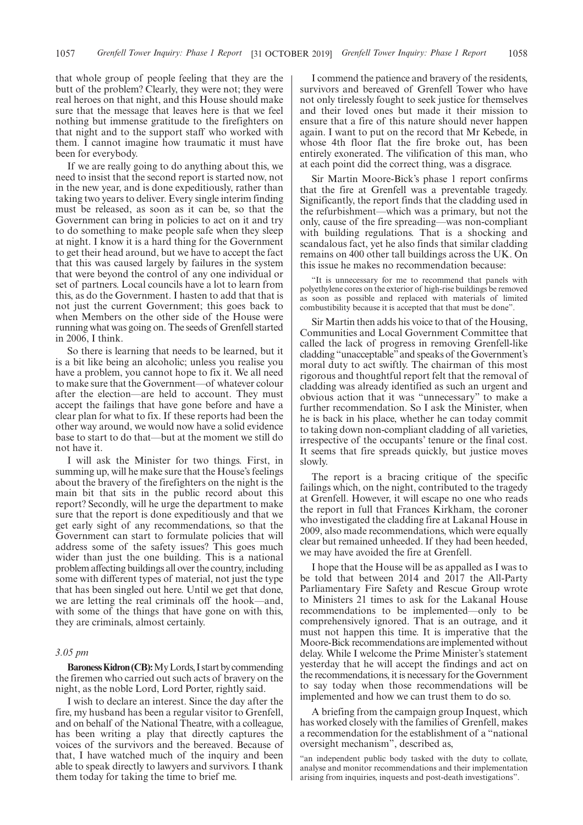that whole group of people feeling that they are the butt of the problem? Clearly, they were not; they were real heroes on that night, and this House should make sure that the message that leaves here is that we feel nothing but immense gratitude to the firefighters on that night and to the support staff who worked with them. I cannot imagine how traumatic it must have been for everybody.

If we are really going to do anything about this, we need to insist that the second report is started now, not in the new year, and is done expeditiously, rather than taking two years to deliver. Every single interim finding must be released, as soon as it can be, so that the Government can bring in policies to act on it and try to do something to make people safe when they sleep at night. I know it is a hard thing for the Government to get their head around, but we have to accept the fact that this was caused largely by failures in the system that were beyond the control of any one individual or set of partners. Local councils have a lot to learn from this, as do the Government. I hasten to add that that is not just the current Government; this goes back to when Members on the other side of the House were running what was going on. The seeds of Grenfell started in 2006, I think.

So there is learning that needs to be learned, but it is a bit like being an alcoholic; unless you realise you have a problem, you cannot hope to fix it. We all need to make sure that the Government—of whatever colour after the election—are held to account. They must accept the failings that have gone before and have a clear plan for what to fix. If these reports had been the other way around, we would now have a solid evidence base to start to do that—but at the moment we still do not have it.

I will ask the Minister for two things. First, in summing up, will he make sure that the House's feelings about the bravery of the firefighters on the night is the main bit that sits in the public record about this report? Secondly, will he urge the department to make sure that the report is done expeditiously and that we get early sight of any recommendations, so that the Government can start to formulate policies that will address some of the safety issues? This goes much wider than just the one building. This is a national problem affecting buildings all over the country, including some with different types of material, not just the type that has been singled out here. Until we get that done, we are letting the real criminals off the hook—and, with some of the things that have gone on with this, they are criminals, almost certainly.

#### *3.05 pm*

**Baroness Kidron (CB):** My Lords, I start by commending the firemen who carried out such acts of bravery on the night, as the noble Lord, Lord Porter, rightly said.

I wish to declare an interest. Since the day after the fire, my husband has been a regular visitor to Grenfell, and on behalf of the National Theatre, with a colleague, has been writing a play that directly captures the voices of the survivors and the bereaved. Because of that, I have watched much of the inquiry and been able to speak directly to lawyers and survivors. I thank them today for taking the time to brief me.

I commend the patience and bravery of the residents, survivors and bereaved of Grenfell Tower who have not only tirelessly fought to seek justice for themselves and their loved ones but made it their mission to ensure that a fire of this nature should never happen again. I want to put on the record that Mr Kebede, in whose 4th floor flat the fire broke out, has been entirely exonerated. The vilification of this man, who at each point did the correct thing, was a disgrace.

Sir Martin Moore-Bick's phase 1 report confirms that the fire at Grenfell was a preventable tragedy. Significantly, the report finds that the cladding used in the refurbishment—which was a primary, but not the only, cause of the fire spreading—was non-compliant with building regulations. That is a shocking and scandalous fact, yet he also finds that similar cladding remains on 400 other tall buildings across the UK. On this issue he makes no recommendation because:

"It is unnecessary for me to recommend that panels with polyethylene cores on the exterior of high-rise buildings be removed as soon as possible and replaced with materials of limited combustibility because it is accepted that that must be done".

Sir Martin then adds his voice to that of the Housing, Communities and Local Government Committee that called the lack of progress in removing Grenfell-like cladding "unacceptable"and speaks of the Government's moral duty to act swiftly. The chairman of this most rigorous and thoughtful report felt that the removal of cladding was already identified as such an urgent and obvious action that it was "unnecessary" to make a further recommendation. So I ask the Minister, when he is back in his place, whether he can today commit to taking down non-compliant cladding of all varieties, irrespective of the occupants' tenure or the final cost. It seems that fire spreads quickly, but justice moves slowly.

The report is a bracing critique of the specific failings which, on the night, contributed to the tragedy at Grenfell. However, it will escape no one who reads the report in full that Frances Kirkham, the coroner who investigated the cladding fire at Lakanal House in 2009, also made recommendations, which were equally clear but remained unheeded. If they had been heeded, we may have avoided the fire at Grenfell.

I hope that the House will be as appalled as I was to be told that between 2014 and 2017 the All-Party Parliamentary Fire Safety and Rescue Group wrote to Ministers 21 times to ask for the Lakanal House recommendations to be implemented—only to be comprehensively ignored. That is an outrage, and it must not happen this time. It is imperative that the Moore-Bick recommendations are implemented without delay. While I welcome the Prime Minister's statement yesterday that he will accept the findings and act on the recommendations, it is necessary for the Government to say today when those recommendations will be implemented and how we can trust them to do so.

A briefing from the campaign group Inquest, which has worked closely with the families of Grenfell, makes a recommendation for the establishment of a "national oversight mechanism", described as,

"an independent public body tasked with the duty to collate, analyse and monitor recommendations and their implementation arising from inquiries, inquests and post-death investigations".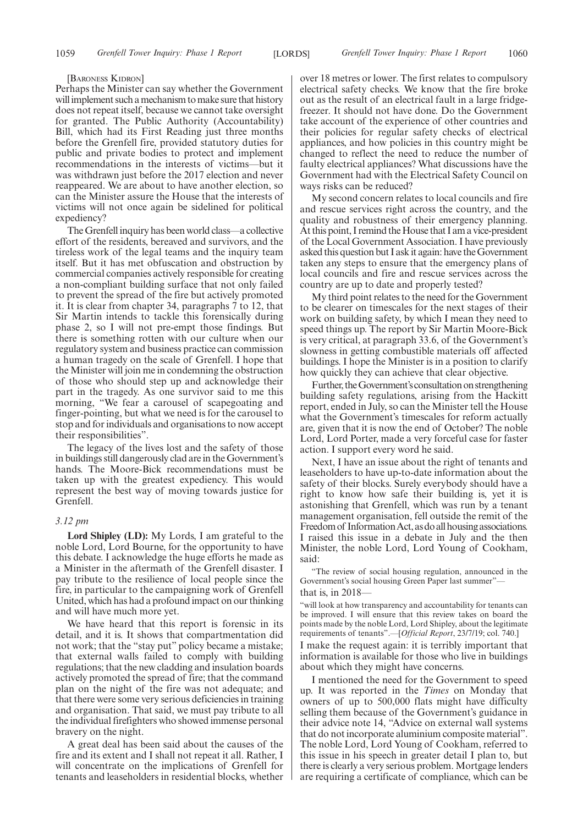#### [BARONESS KIDRON]

Perhaps the Minister can say whether the Government will implement such a mechanism to make sure that history does not repeat itself, because we cannot take oversight for granted. The Public Authority (Accountability) Bill, which had its First Reading just three months before the Grenfell fire, provided statutory duties for public and private bodies to protect and implement recommendations in the interests of victims—but it was withdrawn just before the 2017 election and never reappeared. We are about to have another election, so can the Minister assure the House that the interests of victims will not once again be sidelined for political expediency?

The Grenfell inquiry has been world class—a collective effort of the residents, bereaved and survivors, and the tireless work of the legal teams and the inquiry team itself. But it has met obfuscation and obstruction by commercial companies actively responsible for creating a non-compliant building surface that not only failed to prevent the spread of the fire but actively promoted it. It is clear from chapter 34, paragraphs 7 to 12, that Sir Martin intends to tackle this forensically during phase 2, so I will not pre-empt those findings. But there is something rotten with our culture when our regulatory system and business practice can commission a human tragedy on the scale of Grenfell. I hope that the Minister will join me in condemning the obstruction of those who should step up and acknowledge their part in the tragedy. As one survivor said to me this morning, "We fear a carousel of scapegoating and finger-pointing, but what we need is for the carousel to stop and for individuals and organisations to now accept their responsibilities".

The legacy of the lives lost and the safety of those in buildings still dangerously clad are in the Government's hands. The Moore-Bick recommendations must be taken up with the greatest expediency. This would represent the best way of moving towards justice for Grenfell.

#### *3.12 pm*

**Lord Shipley (LD):** My Lords, I am grateful to the noble Lord, Lord Bourne, for the opportunity to have this debate. I acknowledge the huge efforts he made as a Minister in the aftermath of the Grenfell disaster. I pay tribute to the resilience of local people since the fire, in particular to the campaigning work of Grenfell United, which has had a profound impact on our thinking and will have much more yet.

We have heard that this report is forensic in its detail, and it is. It shows that compartmentation did not work; that the "stay put" policy became a mistake; that external walls failed to comply with building regulations; that the new cladding and insulation boards actively promoted the spread of fire; that the command plan on the night of the fire was not adequate; and that there were some very serious deficiencies in training and organisation. That said, we must pay tribute to all the individual firefighters who showed immense personal bravery on the night.

A great deal has been said about the causes of the fire and its extent and I shall not repeat it all. Rather, I will concentrate on the implications of Grenfell for tenants and leaseholders in residential blocks, whether over 18 metres or lower. The first relates to compulsory electrical safety checks. We know that the fire broke out as the result of an electrical fault in a large fridgefreezer. It should not have done. Do the Government take account of the experience of other countries and their policies for regular safety checks of electrical appliances, and how policies in this country might be changed to reflect the need to reduce the number of faulty electrical appliances? What discussions have the Government had with the Electrical Safety Council on ways risks can be reduced?

My second concern relates to local councils and fire and rescue services right across the country, and the quality and robustness of their emergency planning. At this point, I remind the House that I am a vice-president of the Local Government Association. I have previously asked this question but I ask it again: have the Government taken any steps to ensure that the emergency plans of local councils and fire and rescue services across the country are up to date and properly tested?

My third point relates to the need for the Government to be clearer on timescales for the next stages of their work on building safety, by which I mean they need to speed things up. The report by Sir Martin Moore-Bick is very critical, at paragraph 33.6, of the Government's slowness in getting combustible materials off affected buildings. I hope the Minister is in a position to clarify how quickly they can achieve that clear objective.

Further, the Government's consultation on strengthening building safety regulations, arising from the Hackitt report, ended in July, so can the Minister tell the House what the Government's timescales for reform actually are, given that it is now the end of October? The noble Lord, Lord Porter, made a very forceful case for faster action. I support every word he said.

Next, I have an issue about the right of tenants and leaseholders to have up-to-date information about the safety of their blocks. Surely everybody should have a right to know how safe their building is, yet it is astonishing that Grenfell, which was run by a tenant management organisation, fell outside the remit of the Freedom of Information Act, as do all housing associations. I raised this issue in a debate in July and the then Minister, the noble Lord, Lord Young of Cookham, said:

"The review of social housing regulation, announced in the Government's social housing Green Paper last summer"

#### that is, in 2018—

"will look at how transparency and accountability for tenants can be improved. I will ensure that this review takes on board the points made by the noble Lord, Lord Shipley, about the legitimate requirements of tenants".—[*Official Report*, 23/7/19; col. 740.]

I make the request again: it is terribly important that information is available for those who live in buildings about which they might have concerns.

I mentioned the need for the Government to speed up. It was reported in the *Times* on Monday that owners of up to 500,000 flats might have difficulty selling them because of the Government's guidance in their advice note 14, "Advice on external wall systems that do not incorporate aluminium composite material". The noble Lord, Lord Young of Cookham, referred to this issue in his speech in greater detail I plan to, but there is clearly a very serious problem. Mortgage lenders are requiring a certificate of compliance, which can be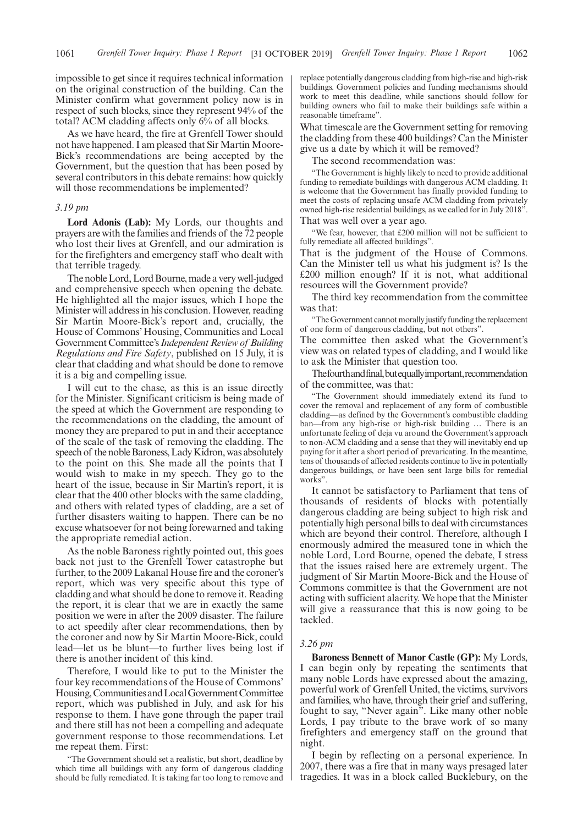impossible to get since it requires technical information on the original construction of the building. Can the Minister confirm what government policy now is in respect of such blocks, since they represent 94% of the total? ACM cladding affects only 6% of all blocks.

As we have heard, the fire at Grenfell Tower should not have happened. I am pleased that Sir Martin Moore-Bick's recommendations are being accepted by the Government, but the question that has been posed by several contributors in this debate remains: how quickly will those recommendations be implemented?

#### *3.19 pm*

**Lord Adonis (Lab):** My Lords, our thoughts and prayers are with the families and friends of the 72 people who lost their lives at Grenfell, and our admiration is for the firefighters and emergency staff who dealt with that terrible tragedy.

The noble Lord, Lord Bourne, made a very well-judged and comprehensive speech when opening the debate. He highlighted all the major issues, which I hope the Minister will address in his conclusion. However, reading Sir Martin Moore-Bick's report and, crucially, the House of Commons' Housing, Communities and Local Government Committee's*Independent Review of Building Regulations and Fire Safety*, published on 15 July, it is clear that cladding and what should be done to remove it is a big and compelling issue.

I will cut to the chase, as this is an issue directly for the Minister. Significant criticism is being made of the speed at which the Government are responding to the recommendations on the cladding, the amount of money they are prepared to put in and their acceptance of the scale of the task of removing the cladding. The speech of the noble Baroness, Lady Kidron, was absolutely to the point on this. She made all the points that I would wish to make in my speech. They go to the heart of the issue, because in Sir Martin's report, it is clear that the 400 other blocks with the same cladding, and others with related types of cladding, are a set of further disasters waiting to happen. There can be no excuse whatsoever for not being forewarned and taking the appropriate remedial action.

As the noble Baroness rightly pointed out, this goes back not just to the Grenfell Tower catastrophe but further, to the 2009 Lakanal House fire and the coroner's report, which was very specific about this type of cladding and what should be done to remove it. Reading the report, it is clear that we are in exactly the same position we were in after the 2009 disaster. The failure to act speedily after clear recommendations, then by the coroner and now by Sir Martin Moore-Bick, could lead—let us be blunt—to further lives being lost if there is another incident of this kind.

Therefore, I would like to put to the Minister the four key recommendations of the House of Commons' Housing,CommunitiesandLocalGovernmentCommittee report, which was published in July, and ask for his response to them. I have gone through the paper trail and there still has not been a compelling and adequate government response to those recommendations. Let me repeat them. First:

"The Government should set a realistic, but short, deadline by which time all buildings with any form of dangerous cladding should be fully remediated. It is taking far too long to remove and replace potentially dangerous cladding from high-rise and high-risk buildings. Government policies and funding mechanisms should work to meet this deadline, while sanctions should follow for building owners who fail to make their buildings safe within a reasonable timeframe".

What timescale are the Government setting for removing the cladding from these 400 buildings? Can the Minister give us a date by which it will be removed?

The second recommendation was:

"The Government is highly likely to need to provide additional funding to remediate buildings with dangerous ACM cladding. It is welcome that the Government has finally provided funding to meet the costs of replacing unsafe ACM cladding from privately owned high-rise residential buildings, as we called for in July 2018". That was well over a year ago.

"We fear, however, that £200 million will not be sufficient to fully remediate all affected buildings".

That is the judgment of the House of Commons. Can the Minister tell us what his judgment is? Is the £200 million enough? If it is not, what additional resources will the Government provide?

The third key recommendation from the committee was that:

"The Government cannot morally justify funding the replacement of one form of dangerous cladding, but not others".

The committee then asked what the Government's view was on related types of cladding, and I would like to ask the Minister that question too.

Thefourthandfinal,butequallyimportant,recommendation of the committee, was that:

"The Government should immediately extend its fund to cover the removal and replacement of any form of combustible cladding—as defined by the Government's combustible cladding ban—from any high-rise or high-risk building … There is an unfortunate feeling of deja vu around the Government's approach to non-ACM cladding and a sense that they will inevitably end up paying for it after a short period of prevaricating. In the meantime, tens of thousands of affected residents continue to live in potentially dangerous buildings, or have been sent large bills for remedial works".

It cannot be satisfactory to Parliament that tens of thousands of residents of blocks with potentially dangerous cladding are being subject to high risk and potentially high personal bills to deal with circumstances which are beyond their control. Therefore, although I enormously admired the measured tone in which the noble Lord, Lord Bourne, opened the debate, I stress that the issues raised here are extremely urgent. The judgment of Sir Martin Moore-Bick and the House of Commons committee is that the Government are not acting with sufficient alacrity. We hope that the Minister will give a reassurance that this is now going to be tackled.

#### *3.26 pm*

**Baroness Bennett of Manor Castle (GP):** My Lords, I can begin only by repeating the sentiments that many noble Lords have expressed about the amazing, powerful work of Grenfell United, the victims, survivors and families, who have, through their grief and suffering, fought to say, "Never again". Like many other noble Lords, I pay tribute to the brave work of so many firefighters and emergency staff on the ground that night.

I begin by reflecting on a personal experience. In 2007, there was a fire that in many ways presaged later tragedies. It was in a block called Bucklebury, on the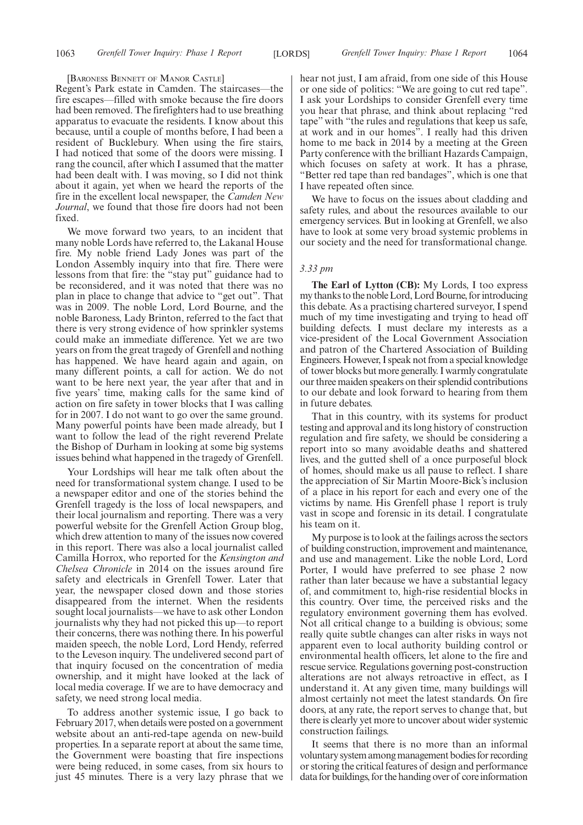#### [BARONESS BENNETT OF MANOR CASTLE]

Regent's Park estate in Camden. The staircases—the fire escapes—filled with smoke because the fire doors had been removed. The firefighters had to use breathing apparatus to evacuate the residents. I know about this because, until a couple of months before, I had been a resident of Bucklebury. When using the fire stairs, I had noticed that some of the doors were missing. I rang the council, after which I assumed that the matter had been dealt with. I was moving, so I did not think about it again, yet when we heard the reports of the fire in the excellent local newspaper, the *Camden New Journal*, we found that those fire doors had not been fixed.

We move forward two years, to an incident that many noble Lords have referred to, the Lakanal House fire. My noble friend Lady Jones was part of the London Assembly inquiry into that fire. There were lessons from that fire: the "stay put" guidance had to be reconsidered, and it was noted that there was no plan in place to change that advice to "get out". That was in 2009. The noble Lord, Lord Bourne, and the noble Baroness, Lady Brinton, referred to the fact that there is very strong evidence of how sprinkler systems could make an immediate difference. Yet we are two years on from the great tragedy of Grenfell and nothing has happened. We have heard again and again, on many different points, a call for action. We do not want to be here next year, the year after that and in five years' time, making calls for the same kind of action on fire safety in tower blocks that I was calling for in 2007. I do not want to go over the same ground. Many powerful points have been made already, but I want to follow the lead of the right reverend Prelate the Bishop of Durham in looking at some big systems issues behind what happened in the tragedy of Grenfell.

Your Lordships will hear me talk often about the need for transformational system change. I used to be a newspaper editor and one of the stories behind the Grenfell tragedy is the loss of local newspapers, and their local journalism and reporting. There was a very powerful website for the Grenfell Action Group blog, which drew attention to many of the issues now covered in this report. There was also a local journalist called Camilla Horrox, who reported for the *Kensington and Chelsea Chronicle* in 2014 on the issues around fire safety and electricals in Grenfell Tower. Later that year, the newspaper closed down and those stories disappeared from the internet. When the residents sought local journalists—we have to ask other London journalists why they had not picked this up—to report their concerns, there was nothing there. In his powerful maiden speech, the noble Lord, Lord Hendy, referred to the Leveson inquiry. The undelivered second part of that inquiry focused on the concentration of media ownership, and it might have looked at the lack of local media coverage. If we are to have democracy and safety, we need strong local media.

To address another systemic issue, I go back to February 2017, when details were posted on a government website about an anti-red-tape agenda on new-build properties. In a separate report at about the same time, the Government were boasting that fire inspections were being reduced, in some cases, from six hours to just 45 minutes. There is a very lazy phrase that we

hear not just, I am afraid, from one side of this House or one side of politics: "We are going to cut red tape". I ask your Lordships to consider Grenfell every time you hear that phrase, and think about replacing "red tape" with "the rules and regulations that keep us safe, at work and in our homes". I really had this driven home to me back in 2014 by a meeting at the Green Party conference with the brilliant Hazards Campaign, which focuses on safety at work. It has a phrase, "Better red tape than red bandages", which is one that I have repeated often since.

We have to focus on the issues about cladding and safety rules, and about the resources available to our emergency services. But in looking at Grenfell, we also have to look at some very broad systemic problems in our society and the need for transformational change.

#### *3.33 pm*

**The Earl of Lytton (CB):** My Lords, I too express my thanks to the noble Lord, Lord Bourne, for introducing this debate. As a practising chartered surveyor, I spend much of my time investigating and trying to head off building defects. I must declare my interests as a vice-president of the Local Government Association and patron of the Chartered Association of Building Engineers. However, I speak not from a special knowledge of tower blocks but more generally. I warmly congratulate our three maiden speakers on their splendid contributions to our debate and look forward to hearing from them in future debates.

That in this country, with its systems for product testing and approval and its long history of construction regulation and fire safety, we should be considering a report into so many avoidable deaths and shattered lives, and the gutted shell of a once purposeful block of homes, should make us all pause to reflect. I share the appreciation of Sir Martin Moore-Bick's inclusion of a place in his report for each and every one of the victims by name. His Grenfell phase 1 report is truly vast in scope and forensic in its detail. I congratulate his team on it.

My purpose is to look at the failings across the sectors of building construction, improvement and maintenance, and use and management. Like the noble Lord, Lord Porter, I would have preferred to see phase 2 now rather than later because we have a substantial legacy of, and commitment to, high-rise residential blocks in this country. Over time, the perceived risks and the regulatory environment governing them has evolved. Not all critical change to a building is obvious; some really quite subtle changes can alter risks in ways not apparent even to local authority building control or environmental health officers, let alone to the fire and rescue service. Regulations governing post-construction alterations are not always retroactive in effect, as I understand it. At any given time, many buildings will almost certainly not meet the latest standards. On fire doors, at any rate, the report serves to change that, but there is clearly yet more to uncover about wider systemic construction failings.

It seems that there is no more than an informal voluntary system among management bodies for recording or storing the critical features of design and performance data for buildings, for the handing over of core information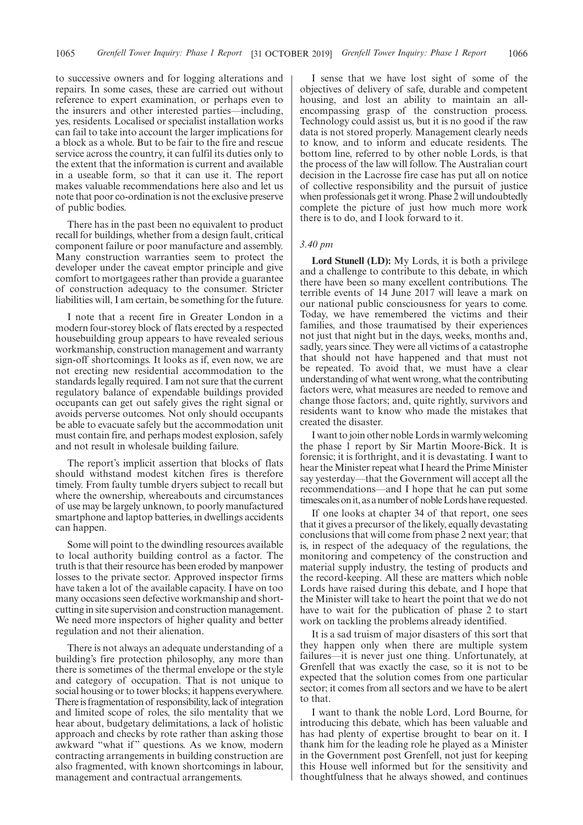to successive owners and for logging alterations and repairs. In some cases, these are carried out without reference to expert examination, or perhaps even to the insurers and other interested parties—including, yes, residents. Localised or specialist installation works can fail to take into account the larger implications for a block as a whole. But to be fair to the fire and rescue service across the country, it can fulfil its duties only to the extent that the information is current and available in a useable form, so that it can use it. The report makes valuable recommendations here also and let us note that poor co-ordination is not the exclusive preserve of public bodies.

There has in the past been no equivalent to product recall for buildings, whether from a design fault, critical component failure or poor manufacture and assembly. Many construction warranties seem to protect the developer under the caveat emptor principle and give comfort to mortgagees rather than provide a guarantee of construction adequacy to the consumer. Stricter liabilities will, I am certain, be something for the future.

I note that a recent fire in Greater London in a modern four-storey block of flats erected by a respected housebuilding group appears to have revealed serious workmanship, construction management and warranty sign-off shortcomings. It looks as if, even now, we are not erecting new residential accommodation to the standards legally required. I am not sure that the current regulatory balance of expendable buildings provided occupants can get out safely gives the right signal or avoids perverse outcomes. Not only should occupants be able to evacuate safely but the accommodation unit must contain fire, and perhaps modest explosion, safely and not result in wholesale building failure.

The report's implicit assertion that blocks of flats should withstand modest kitchen fires is therefore timely. From faulty tumble dryers subject to recall but where the ownership, whereabouts and circumstances of use may be largely unknown, to poorly manufactured smartphone and laptop batteries, in dwellings accidents can happen.

Some will point to the dwindling resources available to local authority building control as a factor. The truth is that their resource has been eroded by manpower losses to the private sector. Approved inspector firms have taken a lot of the available capacity. I have on too many occasions seen defective workmanship and shortcutting in site supervision and construction management. We need more inspectors of higher quality and better regulation and not their alienation.

There is not always an adequate understanding of a building's fire protection philosophy, any more than there is sometimes of the thermal envelope or the style and category of occupation. That is not unique to social housing or to tower blocks; it happens everywhere. There is fragmentation of responsibility, lack of integration and limited scope of roles, the silo mentality that we hear about, budgetary delimitations, a lack of holistic approach and checks by rote rather than asking those awkward "what if" questions. As we know, modern contracting arrangements in building construction are also fragmented, with known shortcomings in labour, management and contractual arrangements.

I sense that we have lost sight of some of the objectives of delivery of safe, durable and competent housing, and lost an ability to maintain an allencompassing grasp of the construction process. Technology could assist us, but it is no good if the raw data is not stored properly. Management clearly needs to know, and to inform and educate residents. The bottom line, referred to by other noble Lords, is that the process of the law will follow. The Australian court decision in the Lacrosse fire case has put all on notice of collective responsibility and the pursuit of justice when professionals get it wrong. Phase 2 will undoubtedly complete the picture of just how much more work there is to do, and I look forward to it.

#### *3.40 pm*

**Lord Stunell (LD):** My Lords, it is both a privilege and a challenge to contribute to this debate, in which there have been so many excellent contributions. The terrible events of 14 June 2017 will leave a mark on our national public consciousness for years to come. Today, we have remembered the victims and their families, and those traumatised by their experiences not just that night but in the days, weeks, months and, sadly, years since. They were all victims of a catastrophe that should not have happened and that must not be repeated. To avoid that, we must have a clear understanding of what went wrong, what the contributing factors were, what measures are needed to remove and change those factors; and, quite rightly, survivors and residents want to know who made the mistakes that created the disaster.

I want to join other noble Lords in warmly welcoming the phase 1 report by Sir Martin Moore-Bick. It is forensic; it is forthright, and it is devastating. I want to hear the Minister repeat what I heard the Prime Minister say yesterday—that the Government will accept all the recommendations—and I hope that he can put some timescales on it, as a number of noble Lords have requested.

If one looks at chapter 34 of that report, one sees that it gives a precursor of the likely, equally devastating conclusions that will come from phase 2 next year; that is, in respect of the adequacy of the regulations, the monitoring and competency of the construction and material supply industry, the testing of products and the record-keeping. All these are matters which noble Lords have raised during this debate, and I hope that the Minister will take to heart the point that we do not have to wait for the publication of phase 2 to start work on tackling the problems already identified.

It is a sad truism of major disasters of this sort that they happen only when there are multiple system failures—it is never just one thing. Unfortunately, at Grenfell that was exactly the case, so it is not to be expected that the solution comes from one particular sector; it comes from all sectors and we have to be alert to that.

I want to thank the noble Lord, Lord Bourne, for introducing this debate, which has been valuable and has had plenty of expertise brought to bear on it. I thank him for the leading role he played as a Minister in the Government post Grenfell, not just for keeping this House well informed but for the sensitivity and thoughtfulness that he always showed, and continues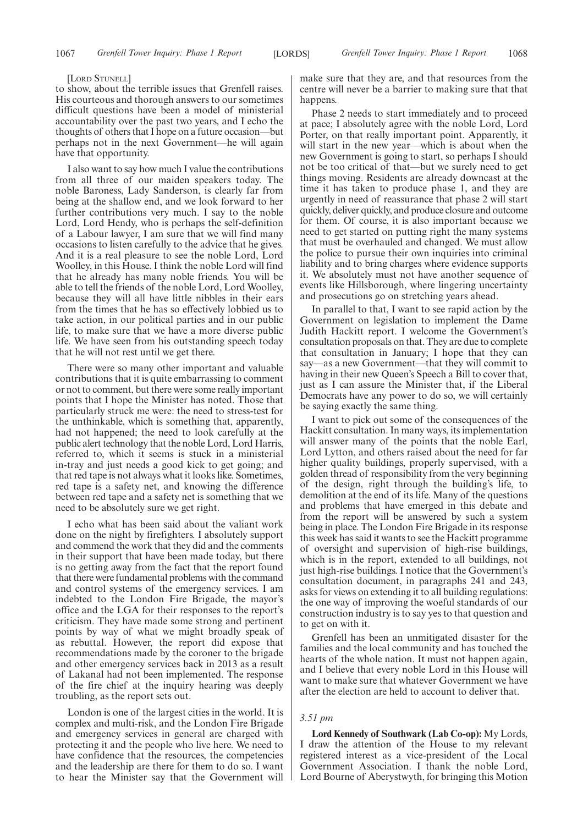#### [LORD STUNELL]

to show, about the terrible issues that Grenfell raises. His courteous and thorough answers to our sometimes difficult questions have been a model of ministerial accountability over the past two years, and I echo the thoughts of others that I hope on a future occasion—but perhaps not in the next Government—he will again have that opportunity.

I also want to say how much I value the contributions from all three of our maiden speakers today. The noble Baroness, Lady Sanderson, is clearly far from being at the shallow end, and we look forward to her further contributions very much. I say to the noble Lord, Lord Hendy, who is perhaps the self-definition of a Labour lawyer, I am sure that we will find many occasions to listen carefully to the advice that he gives. And it is a real pleasure to see the noble Lord, Lord Woolley, in this House. I think the noble Lord will find that he already has many noble friends. You will be able to tell the friends of the noble Lord, Lord Woolley, because they will all have little nibbles in their ears from the times that he has so effectively lobbied us to take action, in our political parties and in our public life, to make sure that we have a more diverse public life. We have seen from his outstanding speech today that he will not rest until we get there.

There were so many other important and valuable contributions that it is quite embarrassing to comment or not to comment, but there were some really important points that I hope the Minister has noted. Those that particularly struck me were: the need to stress-test for the unthinkable, which is something that, apparently, had not happened; the need to look carefully at the public alert technology that the noble Lord, Lord Harris, referred to, which it seems is stuck in a ministerial in-tray and just needs a good kick to get going; and that red tape is not always what it looks like. Sometimes, red tape is a safety net, and knowing the difference between red tape and a safety net is something that we need to be absolutely sure we get right.

I echo what has been said about the valiant work done on the night by firefighters. I absolutely support and commend the work that they did and the comments in their support that have been made today, but there is no getting away from the fact that the report found that there were fundamental problems with the command and control systems of the emergency services. I am indebted to the London Fire Brigade, the mayor's office and the LGA for their responses to the report's criticism. They have made some strong and pertinent points by way of what we might broadly speak of as rebuttal. However, the report did expose that recommendations made by the coroner to the brigade and other emergency services back in 2013 as a result of Lakanal had not been implemented. The response of the fire chief at the inquiry hearing was deeply troubling, as the report sets out.

London is one of the largest cities in the world. It is complex and multi-risk, and the London Fire Brigade and emergency services in general are charged with protecting it and the people who live here. We need to have confidence that the resources, the competencies and the leadership are there for them to do so. I want to hear the Minister say that the Government will make sure that they are, and that resources from the centre will never be a barrier to making sure that that happens.

Phase 2 needs to start immediately and to proceed at pace; I absolutely agree with the noble Lord, Lord Porter, on that really important point. Apparently, it will start in the new year—which is about when the new Government is going to start, so perhaps I should not be too critical of that—but we surely need to get things moving. Residents are already downcast at the time it has taken to produce phase 1, and they are urgently in need of reassurance that phase 2 will start quickly, deliver quickly, and produce closure and outcome for them. Of course, it is also important because we need to get started on putting right the many systems that must be overhauled and changed. We must allow the police to pursue their own inquiries into criminal liability and to bring charges where evidence supports it. We absolutely must not have another sequence of events like Hillsborough, where lingering uncertainty and prosecutions go on stretching years ahead.

In parallel to that, I want to see rapid action by the Government on legislation to implement the Dame Judith Hackitt report. I welcome the Government's consultation proposals on that. They are due to complete that consultation in January; I hope that they can say—as a new Government—that they will commit to having in their new Queen's Speech a Bill to cover that, just as I can assure the Minister that, if the Liberal Democrats have any power to do so, we will certainly be saying exactly the same thing.

I want to pick out some of the consequences of the Hackitt consultation. In many ways, its implementation will answer many of the points that the noble Earl, Lord Lytton, and others raised about the need for far higher quality buildings, properly supervised, with a golden thread of responsibility from the very beginning of the design, right through the building's life, to demolition at the end of its life. Many of the questions and problems that have emerged in this debate and from the report will be answered by such a system being in place. The London Fire Brigade in its response this week has said it wants to see the Hackitt programme of oversight and supervision of high-rise buildings, which is in the report, extended to all buildings, not just high-rise buildings. I notice that the Government's consultation document, in paragraphs 241 and 243, asks for views on extending it to all building regulations: the one way of improving the woeful standards of our construction industry is to say yes to that question and to get on with it.

Grenfell has been an unmitigated disaster for the families and the local community and has touched the hearts of the whole nation. It must not happen again, and I believe that every noble Lord in this House will want to make sure that whatever Government we have after the election are held to account to deliver that.

#### *3.51 pm*

**Lord Kennedy of Southwark (Lab Co-op):** My Lords, I draw the attention of the House to my relevant registered interest as a vice-president of the Local Government Association. I thank the noble Lord, Lord Bourne of Aberystwyth, for bringing this Motion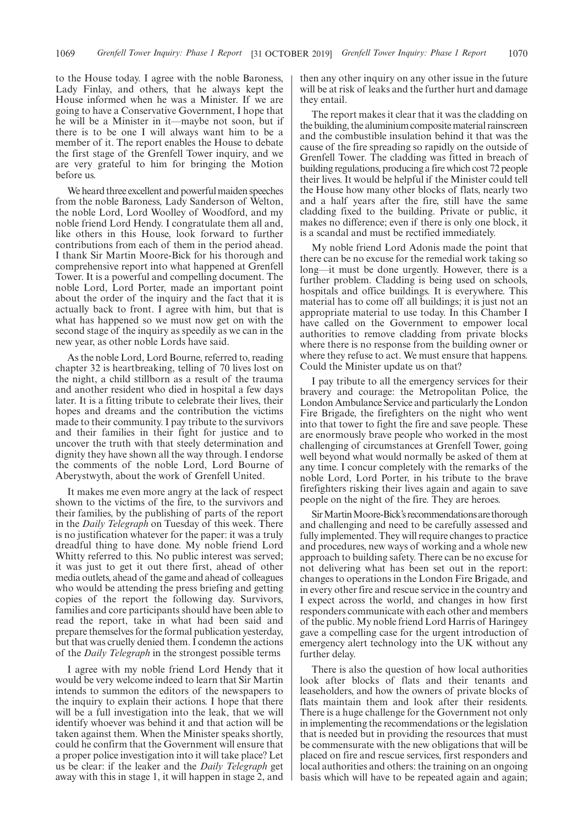to the House today. I agree with the noble Baroness, Lady Finlay, and others, that he always kept the House informed when he was a Minister. If we are going to have a Conservative Government, I hope that he will be a Minister in it—maybe not soon, but if there is to be one I will always want him to be a member of it. The report enables the House to debate the first stage of the Grenfell Tower inquiry, and we are very grateful to him for bringing the Motion before us.

We heard three excellent and powerful maiden speeches from the noble Baroness, Lady Sanderson of Welton, the noble Lord, Lord Woolley of Woodford, and my noble friend Lord Hendy. I congratulate them all and, like others in this House, look forward to further contributions from each of them in the period ahead. I thank Sir Martin Moore-Bick for his thorough and comprehensive report into what happened at Grenfell Tower. It is a powerful and compelling document. The noble Lord, Lord Porter, made an important point about the order of the inquiry and the fact that it is actually back to front. I agree with him, but that is what has happened so we must now get on with the second stage of the inquiry as speedily as we can in the new year, as other noble Lords have said.

As the noble Lord, Lord Bourne, referred to, reading chapter 32 is heartbreaking, telling of 70 lives lost on the night, a child stillborn as a result of the trauma and another resident who died in hospital a few days later. It is a fitting tribute to celebrate their lives, their hopes and dreams and the contribution the victims made to their community. I pay tribute to the survivors and their families in their fight for justice and to uncover the truth with that steely determination and dignity they have shown all the way through. I endorse the comments of the noble Lord, Lord Bourne of Aberystwyth, about the work of Grenfell United.

It makes me even more angry at the lack of respect shown to the victims of the fire, to the survivors and their families, by the publishing of parts of the report in the *Daily Telegraph* on Tuesday of this week. There is no justification whatever for the paper: it was a truly dreadful thing to have done. My noble friend Lord Whitty referred to this. No public interest was served; it was just to get it out there first, ahead of other media outlets, ahead of the game and ahead of colleagues who would be attending the press briefing and getting copies of the report the following day. Survivors, families and core participants should have been able to read the report, take in what had been said and prepare themselves for the formal publication yesterday, but that was cruelly denied them. I condemn the actions of the *Daily Telegraph* in the strongest possible terms

I agree with my noble friend Lord Hendy that it would be very welcome indeed to learn that Sir Martin intends to summon the editors of the newspapers to the inquiry to explain their actions. I hope that there will be a full investigation into the leak, that we will identify whoever was behind it and that action will be taken against them. When the Minister speaks shortly, could he confirm that the Government will ensure that a proper police investigation into it will take place? Let us be clear: if the leaker and the *Daily Telegraph* get away with this in stage 1, it will happen in stage 2, and then any other inquiry on any other issue in the future will be at risk of leaks and the further hurt and damage they entail.

The report makes it clear that it was the cladding on the building, the aluminium composite material rainscreen and the combustible insulation behind it that was the cause of the fire spreading so rapidly on the outside of Grenfell Tower. The cladding was fitted in breach of building regulations, producing a fire which cost 72 people their lives. It would be helpful if the Minister could tell the House how many other blocks of flats, nearly two and a half years after the fire, still have the same cladding fixed to the building. Private or public, it makes no difference; even if there is only one block, it is a scandal and must be rectified immediately.

My noble friend Lord Adonis made the point that there can be no excuse for the remedial work taking so long—it must be done urgently. However, there is a further problem. Cladding is being used on schools, hospitals and office buildings. It is everywhere. This material has to come off all buildings; it is just not an appropriate material to use today. In this Chamber I have called on the Government to empower local authorities to remove cladding from private blocks where there is no response from the building owner or where they refuse to act. We must ensure that happens. Could the Minister update us on that?

I pay tribute to all the emergency services for their bravery and courage: the Metropolitan Police, the London Ambulance Service and particularly the London Fire Brigade, the firefighters on the night who went into that tower to fight the fire and save people. These are enormously brave people who worked in the most challenging of circumstances at Grenfell Tower, going well beyond what would normally be asked of them at any time. I concur completely with the remarks of the noble Lord, Lord Porter, in his tribute to the brave firefighters risking their lives again and again to save people on the night of the fire. They are heroes.

Sir Martin Moore-Bick's recommendations are thorough and challenging and need to be carefully assessed and fully implemented. They will require changes to practice and procedures, new ways of working and a whole new approach to building safety. There can be no excuse for not delivering what has been set out in the report: changes to operations in the London Fire Brigade, and in every other fire and rescue service in the country and I expect across the world, and changes in how first responders communicate with each other and members of the public. My noble friend Lord Harris of Haringey gave a compelling case for the urgent introduction of emergency alert technology into the UK without any further delay.

There is also the question of how local authorities look after blocks of flats and their tenants and leaseholders, and how the owners of private blocks of flats maintain them and look after their residents. There is a huge challenge for the Government not only in implementing the recommendations or the legislation that is needed but in providing the resources that must be commensurate with the new obligations that will be placed on fire and rescue services, first responders and local authorities and others: the training on an ongoing basis which will have to be repeated again and again;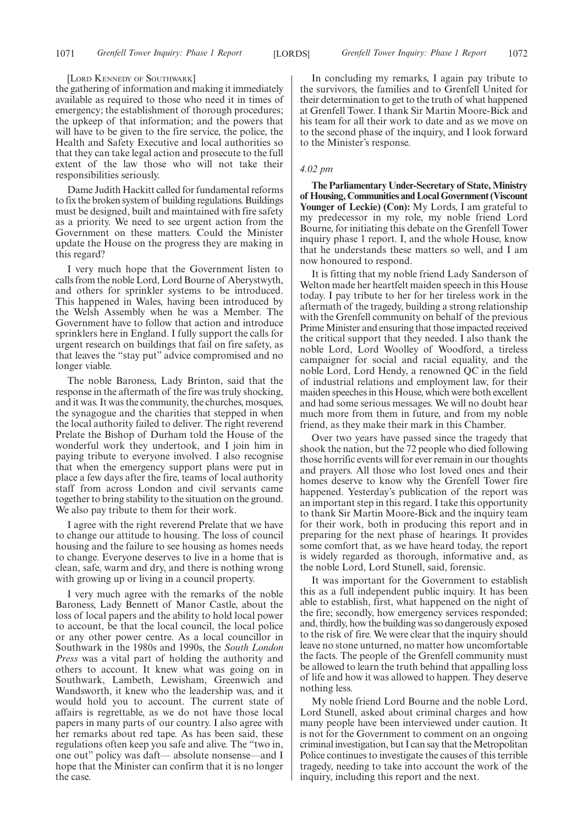#### [LORD KENNEDY OF SOUTHWARK]

the gathering of information and making it immediately available as required to those who need it in times of emergency; the establishment of thorough procedures; the upkeep of that information; and the powers that will have to be given to the fire service, the police, the Health and Safety Executive and local authorities so that they can take legal action and prosecute to the full extent of the law those who will not take their responsibilities seriously.

Dame Judith Hackitt called for fundamental reforms to fix the broken system of building regulations. Buildings must be designed, built and maintained with fire safety as a priority. We need to see urgent action from the Government on these matters. Could the Minister update the House on the progress they are making in this regard?

I very much hope that the Government listen to calls from the noble Lord, Lord Bourne of Aberystwyth, and others for sprinkler systems to be introduced. This happened in Wales, having been introduced by the Welsh Assembly when he was a Member. The Government have to follow that action and introduce sprinklers here in England. I fully support the calls for urgent research on buildings that fail on fire safety, as that leaves the "stay put" advice compromised and no longer viable.

The noble Baroness, Lady Brinton, said that the response in the aftermath of the fire was truly shocking, and it was. It was the community, the churches, mosques, the synagogue and the charities that stepped in when the local authority failed to deliver. The right reverend Prelate the Bishop of Durham told the House of the wonderful work they undertook, and I join him in paying tribute to everyone involved. I also recognise that when the emergency support plans were put in place a few days after the fire, teams of local authority staff from across London and civil servants came together to bring stability to the situation on the ground. We also pay tribute to them for their work.

I agree with the right reverend Prelate that we have to change our attitude to housing. The loss of council housing and the failure to see housing as homes needs to change. Everyone deserves to live in a home that is clean, safe, warm and dry, and there is nothing wrong with growing up or living in a council property.

I very much agree with the remarks of the noble Baroness, Lady Bennett of Manor Castle, about the loss of local papers and the ability to hold local power to account, be that the local council, the local police or any other power centre. As a local councillor in Southwark in the 1980s and 1990s, the *South London Press* was a vital part of holding the authority and others to account. It knew what was going on in Southwark, Lambeth, Lewisham, Greenwich and Wandsworth, it knew who the leadership was, and it would hold you to account. The current state of affairs is regrettable, as we do not have those local papers in many parts of our country. I also agree with her remarks about red tape. As has been said, these regulations often keep you safe and alive. The "two in, one out" policy was daft— absolute nonsense—and I hope that the Minister can confirm that it is no longer the case.

In concluding my remarks, I again pay tribute to the survivors, the families and to Grenfell United for their determination to get to the truth of what happened at Grenfell Tower. I thank Sir Martin Moore-Bick and his team for all their work to date and as we move on to the second phase of the inquiry, and I look forward to the Minister's response.

#### *4.02 pm*

**The Parliamentary Under-Secretary of State, Ministry of Housing, Communities and Local Government (Viscount Younger of Leckie) (Con):** My Lords, I am grateful to my predecessor in my role, my noble friend Lord Bourne, for initiating this debate on the Grenfell Tower inquiry phase 1 report. I, and the whole House, know that he understands these matters so well, and I am now honoured to respond.

It is fitting that my noble friend Lady Sanderson of Welton made her heartfelt maiden speech in this House today. I pay tribute to her for her tireless work in the aftermath of the tragedy, building a strong relationship with the Grenfell community on behalf of the previous Prime Minister and ensuring that those impacted received the critical support that they needed. I also thank the noble Lord, Lord Woolley of Woodford, a tireless campaigner for social and racial equality, and the noble Lord, Lord Hendy, a renowned QC in the field of industrial relations and employment law, for their maiden speeches in this House, which were both excellent and had some serious messages. We will no doubt hear much more from them in future, and from my noble friend, as they make their mark in this Chamber.

Over two years have passed since the tragedy that shook the nation, but the 72 people who died following those horrific events will for ever remain in our thoughts and prayers. All those who lost loved ones and their homes deserve to know why the Grenfell Tower fire happened. Yesterday's publication of the report was an important step in this regard. I take this opportunity to thank Sir Martin Moore-Bick and the inquiry team for their work, both in producing this report and in preparing for the next phase of hearings. It provides some comfort that, as we have heard today, the report is widely regarded as thorough, informative and, as the noble Lord, Lord Stunell, said, forensic.

It was important for the Government to establish this as a full independent public inquiry. It has been able to establish, first, what happened on the night of the fire; secondly, how emergency services responded; and, thirdly, how the building was so dangerously exposed to the risk of fire. We were clear that the inquiry should leave no stone unturned, no matter how uncomfortable the facts. The people of the Grenfell community must be allowed to learn the truth behind that appalling loss of life and how it was allowed to happen. They deserve nothing less.

My noble friend Lord Bourne and the noble Lord, Lord Stunell, asked about criminal charges and how many people have been interviewed under caution. It is not for the Government to comment on an ongoing criminal investigation, but I can say that the Metropolitan Police continues to investigate the causes of this terrible tragedy, needing to take into account the work of the inquiry, including this report and the next.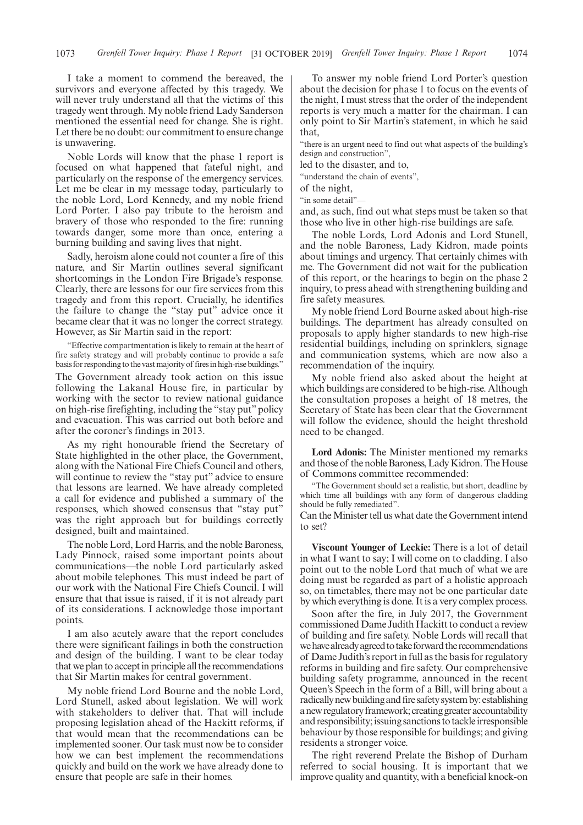I take a moment to commend the bereaved, the survivors and everyone affected by this tragedy. We will never truly understand all that the victims of this tragedy went through. My noble friend Lady Sanderson mentioned the essential need for change. She is right. Let there be no doubt: our commitment to ensure change is unwavering.

Noble Lords will know that the phase 1 report is focused on what happened that fateful night, and particularly on the response of the emergency services. Let me be clear in my message today, particularly to the noble Lord, Lord Kennedy, and my noble friend Lord Porter. I also pay tribute to the heroism and bravery of those who responded to the fire: running towards danger, some more than once, entering a burning building and saving lives that night.

Sadly, heroism alone could not counter a fire of this nature, and Sir Martin outlines several significant shortcomings in the London Fire Brigade's response. Clearly, there are lessons for our fire services from this tragedy and from this report. Crucially, he identifies the failure to change the "stay put" advice once it became clear that it was no longer the correct strategy. However, as Sir Martin said in the report:

"Effective compartmentation is likely to remain at the heart of fire safety strategy and will probably continue to provide a safe basis for responding to the vast majority of fires in high-rise buildings."

The Government already took action on this issue following the Lakanal House fire, in particular by working with the sector to review national guidance on high-rise firefighting, including the "stay put" policy and evacuation. This was carried out both before and after the coroner's findings in 2013.

As my right honourable friend the Secretary of State highlighted in the other place, the Government, along with the National Fire Chiefs Council and others, will continue to review the "stay put" advice to ensure that lessons are learned. We have already completed a call for evidence and published a summary of the responses, which showed consensus that "stay put" was the right approach but for buildings correctly designed, built and maintained.

The noble Lord, Lord Harris, and the noble Baroness, Lady Pinnock, raised some important points about communications—the noble Lord particularly asked about mobile telephones. This must indeed be part of our work with the National Fire Chiefs Council. I will ensure that that issue is raised, if it is not already part of its considerations. I acknowledge those important points.

I am also acutely aware that the report concludes there were significant failings in both the construction and design of the building. I want to be clear today that we plan to accept in principle all the recommendations that Sir Martin makes for central government.

My noble friend Lord Bourne and the noble Lord, Lord Stunell, asked about legislation. We will work with stakeholders to deliver that. That will include proposing legislation ahead of the Hackitt reforms, if that would mean that the recommendations can be implemented sooner. Our task must now be to consider how we can best implement the recommendations quickly and build on the work we have already done to ensure that people are safe in their homes.

To answer my noble friend Lord Porter's question about the decision for phase 1 to focus on the events of the night, I must stress that the order of the independent reports is very much a matter for the chairman. I can only point to Sir Martin's statement, in which he said that,

"there is an urgent need to find out what aspects of the building's design and construction",

led to the disaster, and to,

'understand the chain of events".

of the night,

"in some detail"—

and, as such, find out what steps must be taken so that those who live in other high-rise buildings are safe.

The noble Lords, Lord Adonis and Lord Stunell, and the noble Baroness, Lady Kidron, made points about timings and urgency. That certainly chimes with me. The Government did not wait for the publication of this report, or the hearings to begin on the phase 2 inquiry, to press ahead with strengthening building and fire safety measures.

My noble friend Lord Bourne asked about high-rise buildings. The department has already consulted on proposals to apply higher standards to new high-rise residential buildings, including on sprinklers, signage and communication systems, which are now also a recommendation of the inquiry.

My noble friend also asked about the height at which buildings are considered to be high-rise. Although the consultation proposes a height of 18 metres, the Secretary of State has been clear that the Government will follow the evidence, should the height threshold need to be changed.

**Lord Adonis:** The Minister mentioned my remarks and those of the noble Baroness, Lady Kidron. The House of Commons committee recommended:

"The Government should set a realistic, but short, deadline by which time all buildings with any form of dangerous cladding should be fully remediated".

Can the Minister tell us what date the Government intend to set?

**Viscount Younger of Leckie:** There is a lot of detail in what I want to say; I will come on to cladding. I also point out to the noble Lord that much of what we are doing must be regarded as part of a holistic approach so, on timetables, there may not be one particular date by which everything is done. It is a very complex process.

Soon after the fire, in July 2017, the Government commissioned Dame Judith Hackitt to conduct a review of building and fire safety. Noble Lords will recall that we have already agreed to take forward the recommendations of Dame Judith's report in full as the basis for regulatory reforms in building and fire safety. Our comprehensive building safety programme, announced in the recent Queen's Speech in the form of a Bill, will bring about a radically new building and fire safety system by: establishing a new regulatory framework; creating greater accountability and responsibility; issuing sanctions to tackle irresponsible behaviour by those responsible for buildings; and giving residents a stronger voice.

The right reverend Prelate the Bishop of Durham referred to social housing. It is important that we improve quality and quantity, with a beneficial knock-on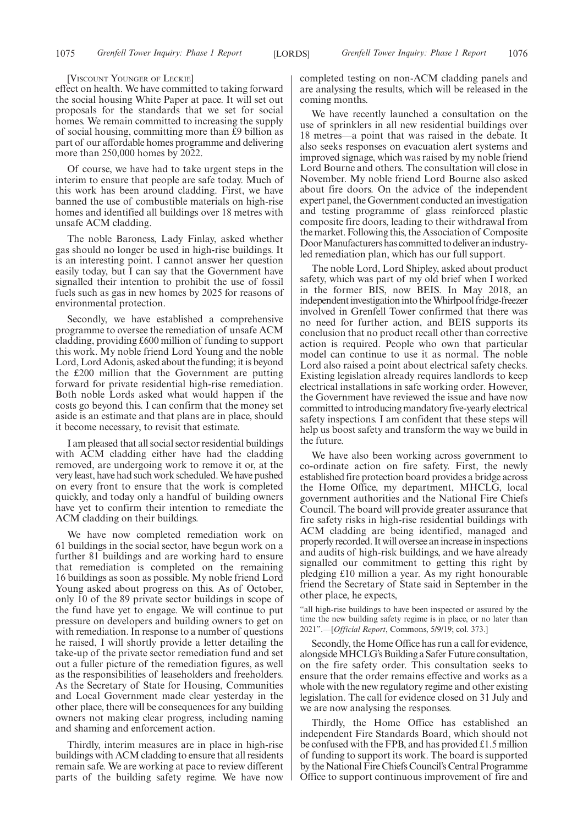#### [VISCOUNT YOUNGER OF LECKIE]

effect on health. We have committed to taking forward the social housing White Paper at pace. It will set out proposals for the standards that we set for social homes. We remain committed to increasing the supply of social housing, committing more than £9 billion as part of our affordable homes programme and delivering more than 250,000 homes by 2022.

Of course, we have had to take urgent steps in the interim to ensure that people are safe today. Much of this work has been around cladding. First, we have banned the use of combustible materials on high-rise homes and identified all buildings over 18 metres with unsafe ACM cladding.

The noble Baroness, Lady Finlay, asked whether gas should no longer be used in high-rise buildings. It is an interesting point. I cannot answer her question easily today, but I can say that the Government have signalled their intention to prohibit the use of fossil fuels such as gas in new homes by 2025 for reasons of environmental protection.

Secondly, we have established a comprehensive programme to oversee the remediation of unsafe ACM cladding, providing £600 million of funding to support this work. My noble friend Lord Young and the noble Lord, Lord Adonis, asked about the funding; it is beyond the £200 million that the Government are putting forward for private residential high-rise remediation. Both noble Lords asked what would happen if the costs go beyond this. I can confirm that the money set aside is an estimate and that plans are in place, should it become necessary, to revisit that estimate.

I am pleased that all social sector residential buildings with ACM cladding either have had the cladding removed, are undergoing work to remove it or, at the very least, have had such work scheduled. We have pushed on every front to ensure that the work is completed quickly, and today only a handful of building owners have yet to confirm their intention to remediate the ACM cladding on their buildings.

We have now completed remediation work on 61 buildings in the social sector, have begun work on a further 81 buildings and are working hard to ensure that remediation is completed on the remaining 16 buildings as soon as possible. My noble friend Lord Young asked about progress on this. As of October, only 10 of the 89 private sector buildings in scope of the fund have yet to engage. We will continue to put pressure on developers and building owners to get on with remediation. In response to a number of questions he raised, I will shortly provide a letter detailing the take-up of the private sector remediation fund and set out a fuller picture of the remediation figures, as well as the responsibilities of leaseholders and freeholders. As the Secretary of State for Housing, Communities and Local Government made clear yesterday in the other place, there will be consequences for any building owners not making clear progress, including naming and shaming and enforcement action.

Thirdly, interim measures are in place in high-rise buildings with ACM cladding to ensure that all residents remain safe. We are working at pace to review different parts of the building safety regime. We have now completed testing on non-ACM cladding panels and are analysing the results, which will be released in the coming months.

We have recently launched a consultation on the use of sprinklers in all new residential buildings over 18 metres—a point that was raised in the debate. It also seeks responses on evacuation alert systems and improved signage, which was raised by my noble friend Lord Bourne and others. The consultation will close in November. My noble friend Lord Bourne also asked about fire doors. On the advice of the independent expert panel, the Government conducted an investigation and testing programme of glass reinforced plastic composite fire doors, leading to their withdrawal from the market. Following this, the Association of Composite Door Manufacturers has committed to deliver an industryled remediation plan, which has our full support.

The noble Lord, Lord Shipley, asked about product safety, which was part of my old brief when I worked in the former BIS, now BEIS. In May 2018, an independent investigation into the Whirlpool fridge-freezer involved in Grenfell Tower confirmed that there was no need for further action, and BEIS supports its conclusion that no product recall other than corrective action is required. People who own that particular model can continue to use it as normal. The noble Lord also raised a point about electrical safety checks. Existing legislation already requires landlords to keep electrical installations in safe working order. However, the Government have reviewed the issue and have now committed to introducing mandatory five-yearly electrical safety inspections. I am confident that these steps will help us boost safety and transform the way we build in the future.

We have also been working across government to co-ordinate action on fire safety. First, the newly established fire protection board provides a bridge across the Home Office, my department, MHCLG, local government authorities and the National Fire Chiefs Council. The board will provide greater assurance that fire safety risks in high-rise residential buildings with ACM cladding are being identified, managed and properly recorded. It will oversee an increase in inspections and audits of high-risk buildings, and we have already signalled our commitment to getting this right by pledging £10 million a year. As my right honourable friend the Secretary of State said in September in the other place, he expects,

"all high-rise buildings to have been inspected or assured by the time the new building safety regime is in place, or no later than 2021".—[*Official Report*, Commons, 5/9/19; col. 373.]

Secondly, the Home Office has run a call for evidence, alongside MHCLG's Building a Safer Future consultation, on the fire safety order. This consultation seeks to ensure that the order remains effective and works as a whole with the new regulatory regime and other existing legislation. The call for evidence closed on 31 July and we are now analysing the responses.

Thirdly, the Home Office has established an independent Fire Standards Board, which should not be confused with the FPB, and has provided £1.5 million of funding to support its work. The board is supported by the National Fire Chiefs Council's Central Programme Office to support continuous improvement of fire and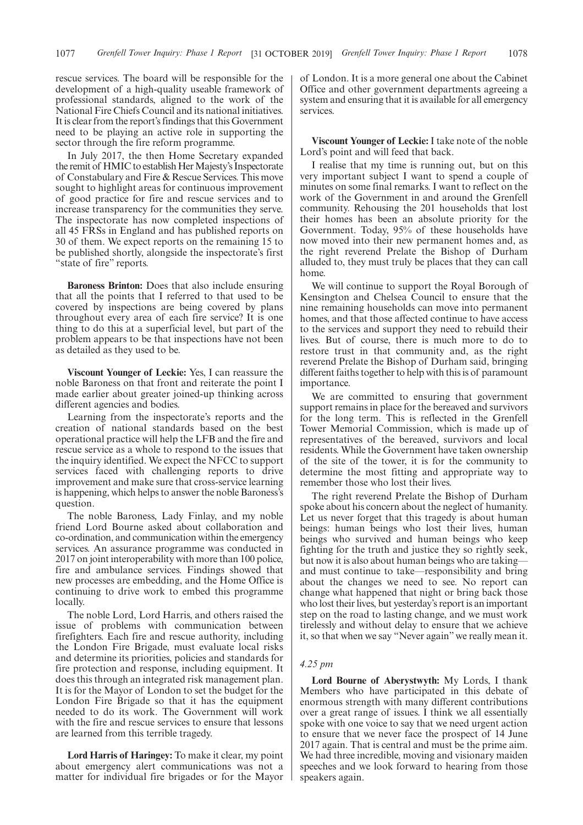rescue services. The board will be responsible for the development of a high-quality useable framework of professional standards, aligned to the work of the National Fire Chiefs Council and its national initiatives. It is clear from the report's findings that this Government need to be playing an active role in supporting the sector through the fire reform programme.

In July 2017, the then Home Secretary expanded the remit of HMIC to establish Her Majesty's Inspectorate of Constabulary and Fire & Rescue Services. This move sought to highlight areas for continuous improvement of good practice for fire and rescue services and to increase transparency for the communities they serve. The inspectorate has now completed inspections of all 45 FRSs in England and has published reports on 30 of them. We expect reports on the remaining 15 to be published shortly, alongside the inspectorate's first "state of fire" reports.

**Baroness Brinton:** Does that also include ensuring that all the points that I referred to that used to be covered by inspections are being covered by plans throughout every area of each fire service? It is one thing to do this at a superficial level, but part of the problem appears to be that inspections have not been as detailed as they used to be.

**Viscount Younger of Leckie:** Yes, I can reassure the noble Baroness on that front and reiterate the point I made earlier about greater joined-up thinking across different agencies and bodies.

Learning from the inspectorate's reports and the creation of national standards based on the best operational practice will help the LFB and the fire and rescue service as a whole to respond to the issues that the inquiry identified. We expect the NFCC to support services faced with challenging reports to drive improvement and make sure that cross-service learning is happening, which helps to answer the noble Baroness's question.

The noble Baroness, Lady Finlay, and my noble friend Lord Bourne asked about collaboration and co-ordination, and communication within the emergency services. An assurance programme was conducted in 2017 on joint interoperability with more than 100 police, fire and ambulance services. Findings showed that new processes are embedding, and the Home Office is continuing to drive work to embed this programme locally.

The noble Lord, Lord Harris, and others raised the issue of problems with communication between firefighters. Each fire and rescue authority, including the London Fire Brigade, must evaluate local risks and determine its priorities, policies and standards for fire protection and response, including equipment. It does this through an integrated risk management plan. It is for the Mayor of London to set the budget for the London Fire Brigade so that it has the equipment needed to do its work. The Government will work with the fire and rescue services to ensure that lessons are learned from this terrible tragedy.

**Lord Harris of Haringey:** To make it clear, my point about emergency alert communications was not a matter for individual fire brigades or for the Mayor of London. It is a more general one about the Cabinet Office and other government departments agreeing a system and ensuring that it is available for all emergency services.

**Viscount Younger of Leckie:** I take note of the noble Lord's point and will feed that back.

I realise that my time is running out, but on this very important subject I want to spend a couple of minutes on some final remarks. I want to reflect on the work of the Government in and around the Grenfell community. Rehousing the 201 households that lost their homes has been an absolute priority for the Government. Today, 95% of these households have now moved into their new permanent homes and, as the right reverend Prelate the Bishop of Durham alluded to, they must truly be places that they can call home.

We will continue to support the Royal Borough of Kensington and Chelsea Council to ensure that the nine remaining households can move into permanent homes, and that those affected continue to have access to the services and support they need to rebuild their lives. But of course, there is much more to do to restore trust in that community and, as the right reverend Prelate the Bishop of Durham said, bringing different faiths together to help with this is of paramount importance.

We are committed to ensuring that government support remains in place for the bereaved and survivors for the long term. This is reflected in the Grenfell Tower Memorial Commission, which is made up of representatives of the bereaved, survivors and local residents. While the Government have taken ownership of the site of the tower, it is for the community to determine the most fitting and appropriate way to remember those who lost their lives.

The right reverend Prelate the Bishop of Durham spoke about his concern about the neglect of humanity. Let us never forget that this tragedy is about human beings: human beings who lost their lives, human beings who survived and human beings who keep fighting for the truth and justice they so rightly seek, but now it is also about human beings who are taking and must continue to take—responsibility and bring about the changes we need to see. No report can change what happened that night or bring back those who lost their lives, but yesterday's report is an important step on the road to lasting change, and we must work tirelessly and without delay to ensure that we achieve it, so that when we say "Never again" we really mean it.

#### *4.25 pm*

**Lord Bourne of Aberystwyth:** My Lords, I thank Members who have participated in this debate of enormous strength with many different contributions over a great range of issues. I think we all essentially spoke with one voice to say that we need urgent action to ensure that we never face the prospect of 14 June 2017 again. That is central and must be the prime aim. We had three incredible, moving and visionary maiden speeches and we look forward to hearing from those speakers again.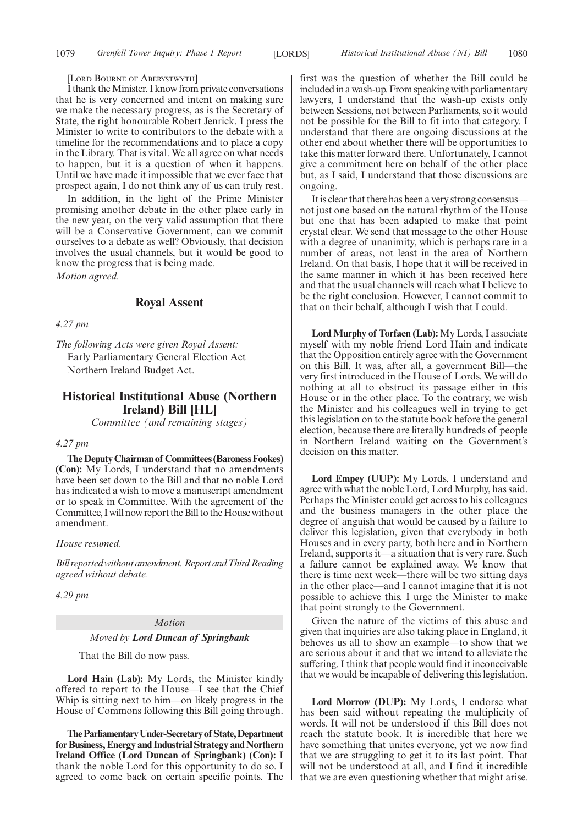#### [LORD BOURNE OF ABERYSTWYTH]

I thank the Minister. I know from private conversations that he is very concerned and intent on making sure we make the necessary progress, as is the Secretary of State, the right honourable Robert Jenrick. I press the Minister to write to contributors to the debate with a timeline for the recommendations and to place a copy in the Library. That is vital. We all agree on what needs to happen, but it is a question of when it happens. Until we have made it impossible that we ever face that prospect again, I do not think any of us can truly rest.

In addition, in the light of the Prime Minister promising another debate in the other place early in the new year, on the very valid assumption that there will be a Conservative Government, can we commit ourselves to a debate as well? Obviously, that decision involves the usual channels, but it would be good to know the progress that is being made.

*Motion agreed.*

#### **Royal Assent**

*4.27 pm*

*The following Acts were given Royal Assent:* Early Parliamentary General Election Act Northern Ireland Budget Act.

### **Historical Institutional Abuse (Northern Ireland) Bill [HL]**

*Committee (and remaining stages)*

#### *4.27 pm*

**TheDeputyChairmanof Committees(BaronessFookes) (Con):** My Lords, I understand that no amendments have been set down to the Bill and that no noble Lord has indicated a wish to move a manuscript amendment or to speak in Committee. With the agreement of the Committee, I will now report the Bill to the House without amendment.

#### *House resumed.*

*Billreportedwithoutamendment.ReportandThirdReading agreed without debate.*

*4.29 pm*

#### *Motion*

#### *Moved by Lord Duncan of Springbank*

That the Bill do now pass.

**Lord Hain (Lab):** My Lords, the Minister kindly offered to report to the House—I see that the Chief Whip is sitting next to him—on likely progress in the House of Commons following this Bill going through.

**TheParliamentaryUnder-Secretaryof State,Department for Business, Energy and Industrial Strategy and Northern Ireland Office (Lord Duncan of Springbank) (Con):** I thank the noble Lord for this opportunity to do so. I agreed to come back on certain specific points. The first was the question of whether the Bill could be included in a wash-up. From speaking with parliamentary lawyers, I understand that the wash-up exists only between Sessions, not between Parliaments, so it would not be possible for the Bill to fit into that category. I understand that there are ongoing discussions at the other end about whether there will be opportunities to take this matter forward there. Unfortunately, I cannot give a commitment here on behalf of the other place but, as I said, I understand that those discussions are ongoing.

It is clear that there has been a very strong consensus not just one based on the natural rhythm of the House but one that has been adapted to make that point crystal clear. We send that message to the other House with a degree of unanimity, which is perhaps rare in a number of areas, not least in the area of Northern Ireland. On that basis, I hope that it will be received in the same manner in which it has been received here and that the usual channels will reach what I believe to be the right conclusion. However, I cannot commit to that on their behalf, although I wish that I could.

**Lord Murphy of Torfaen (Lab):** My Lords, I associate myself with my noble friend Lord Hain and indicate that the Opposition entirely agree with the Government on this Bill. It was, after all, a government Bill—the very first introduced in the House of Lords. We will do nothing at all to obstruct its passage either in this House or in the other place. To the contrary, we wish the Minister and his colleagues well in trying to get this legislation on to the statute book before the general election, because there are literally hundreds of people in Northern Ireland waiting on the Government's decision on this matter.

**Lord Empey (UUP):** My Lords, I understand and agree with what the noble Lord, Lord Murphy, has said. Perhaps the Minister could get across to his colleagues and the business managers in the other place the degree of anguish that would be caused by a failure to deliver this legislation, given that everybody in both Houses and in every party, both here and in Northern Ireland, supports it—a situation that is very rare. Such a failure cannot be explained away. We know that there is time next week—there will be two sitting days in the other place—and I cannot imagine that it is not possible to achieve this. I urge the Minister to make that point strongly to the Government.

Given the nature of the victims of this abuse and given that inquiries are also taking place in England, it behoves us all to show an example—to show that we are serious about it and that we intend to alleviate the suffering. I think that people would find it inconceivable that we would be incapable of delivering this legislation.

**Lord Morrow (DUP):** My Lords, I endorse what has been said without repeating the multiplicity of words. It will not be understood if this Bill does not reach the statute book. It is incredible that here we have something that unites everyone, yet we now find that we are struggling to get it to its last point. That will not be understood at all, and I find it incredible that we are even questioning whether that might arise.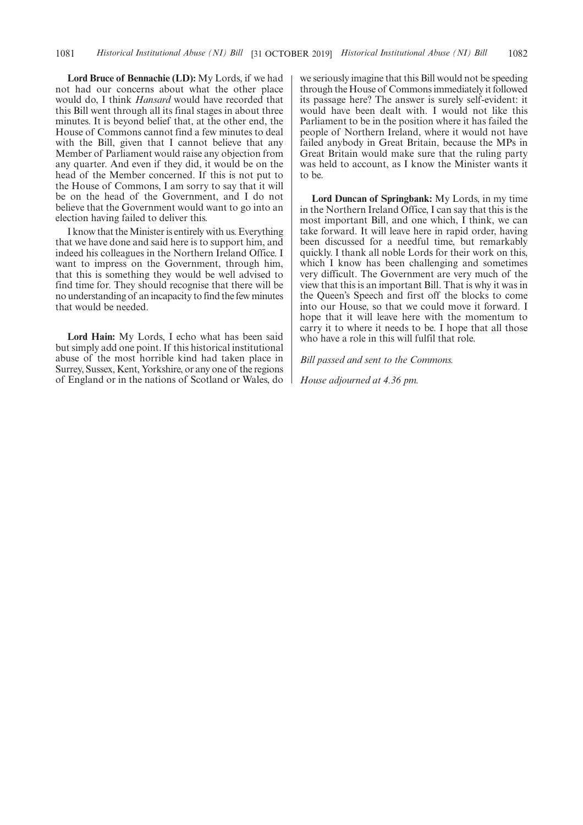**Lord Bruce of Bennachie (LD):** My Lords, if we had not had our concerns about what the other place would do, I think *Hansard* would have recorded that this Bill went through all its final stages in about three minutes. It is beyond belief that, at the other end, the House of Commons cannot find a few minutes to deal with the Bill, given that I cannot believe that any Member of Parliament would raise any objection from any quarter. And even if they did, it would be on the head of the Member concerned. If this is not put to the House of Commons, I am sorry to say that it will be on the head of the Government, and I do not believe that the Government would want to go into an election having failed to deliver this.

I know that the Minister is entirely with us. Everything that we have done and said here is to support him, and indeed his colleagues in the Northern Ireland Office. I want to impress on the Government, through him, that this is something they would be well advised to find time for. They should recognise that there will be no understanding of an incapacity to find the few minutes that would be needed.

**Lord Hain:** My Lords, I echo what has been said but simply add one point. If this historical institutional abuse of the most horrible kind had taken place in Surrey, Sussex, Kent, Yorkshire, or any one of the regions of England or in the nations of Scotland or Wales, do we seriously imagine that this Bill would not be speeding through the House of Commons immediately it followed its passage here? The answer is surely self-evident: it would have been dealt with. I would not like this Parliament to be in the position where it has failed the people of Northern Ireland, where it would not have failed anybody in Great Britain, because the MPs in Great Britain would make sure that the ruling party was held to account, as I know the Minister wants it to be.

**Lord Duncan of Springbank:** My Lords, in my time in the Northern Ireland Office, I can say that this is the most important Bill, and one which, I think, we can take forward. It will leave here in rapid order, having been discussed for a needful time, but remarkably quickly. I thank all noble Lords for their work on this, which I know has been challenging and sometimes very difficult. The Government are very much of the view that this is an important Bill. That is why it was in the Queen's Speech and first off the blocks to come into our House, so that we could move it forward. I hope that it will leave here with the momentum to carry it to where it needs to be. I hope that all those who have a role in this will fulfil that role.

*Bill passed and sent to the Commons.*

*House adjourned at 4.36 pm.*